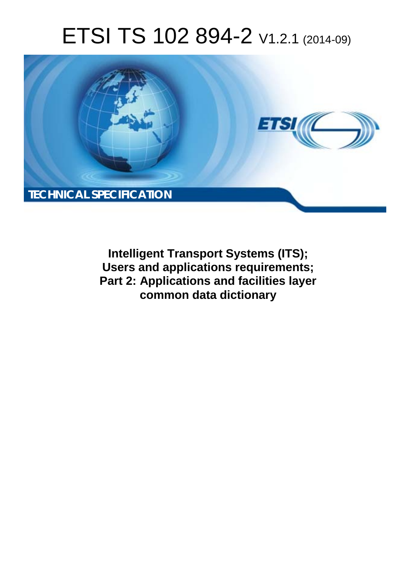# ETSI TS 102 894-2 V1.2.1 (2014-09)



**Intelligent Transport Systems (ITS); Users and applications requirements; Part 2: Applications and facilities layer common data dictionary**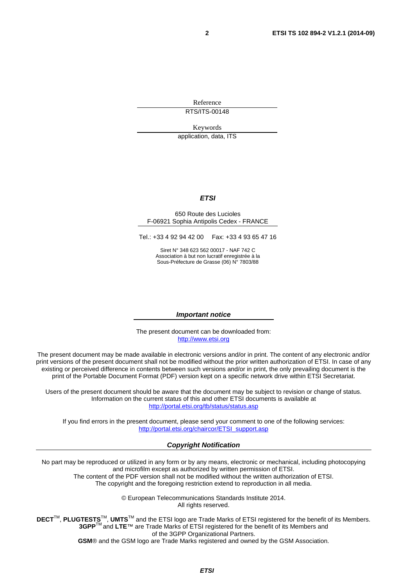Reference

RTS/ITS-00148

Keywords

application, data, ITS

#### *ETSI*

#### 650 Route des Lucioles F-06921 Sophia Antipolis Cedex - FRANCE

Tel.: +33 4 92 94 42 00 Fax: +33 4 93 65 47 16

Siret N° 348 623 562 00017 - NAF 742 C Association à but non lucratif enregistrée à la Sous-Préfecture de Grasse (06) N° 7803/88

#### *Important notice*

The present document can be downloaded from: [http://www.etsi.org](http://www.etsi.org/)

The present document may be made available in electronic versions and/or in print. The content of any electronic and/or print versions of the present document shall not be modified without the prior written authorization of ETSI. In case of any existing or perceived difference in contents between such versions and/or in print, the only prevailing document is the print of the Portable Document Format (PDF) version kept on a specific network drive within ETSI Secretariat.

Users of the present document should be aware that the document may be subject to revision or change of status. Information on the current status of this and other ETSI documents is available at <http://portal.etsi.org/tb/status/status.asp>

If you find errors in the present document, please send your comment to one of the following services: [http://portal.etsi.org/chaircor/ETSI\\_support.asp](http://portal.etsi.org/chaircor/ETSI_support.asp)

#### *Copyright Notification*

No part may be reproduced or utilized in any form or by any means, electronic or mechanical, including photocopying and microfilm except as authorized by written permission of ETSI.

The content of the PDF version shall not be modified without the written authorization of ETSI. The copyright and the foregoing restriction extend to reproduction in all media.

> © European Telecommunications Standards Institute 2014. All rights reserved.

**DECT**TM, **PLUGTESTS**TM, **UMTS**TM and the ETSI logo are Trade Marks of ETSI registered for the benefit of its Members. **3GPP**TM and **LTE**™ are Trade Marks of ETSI registered for the benefit of its Members and of the 3GPP Organizational Partners.

**GSM**® and the GSM logo are Trade Marks registered and owned by the GSM Association.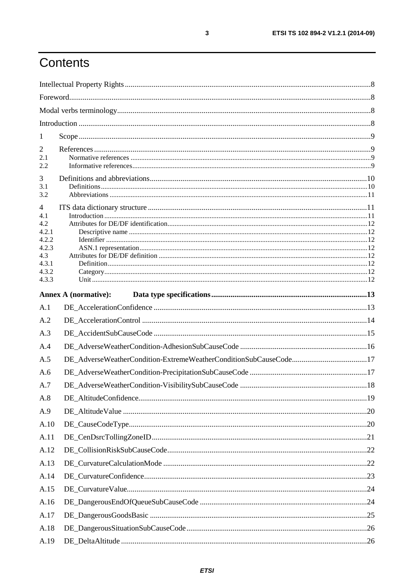## Contents

| Annex A (normative): |                                                                  |
|----------------------|------------------------------------------------------------------|
|                      |                                                                  |
|                      |                                                                  |
|                      |                                                                  |
|                      |                                                                  |
|                      |                                                                  |
|                      |                                                                  |
|                      |                                                                  |
|                      |                                                                  |
|                      |                                                                  |
|                      |                                                                  |
|                      |                                                                  |
|                      |                                                                  |
|                      |                                                                  |
|                      |                                                                  |
|                      |                                                                  |
|                      |                                                                  |
|                      |                                                                  |
|                      |                                                                  |
|                      |                                                                  |
|                      | DE_AdverseWeatherCondition-ExtremeWeatherConditionSubCauseCode17 |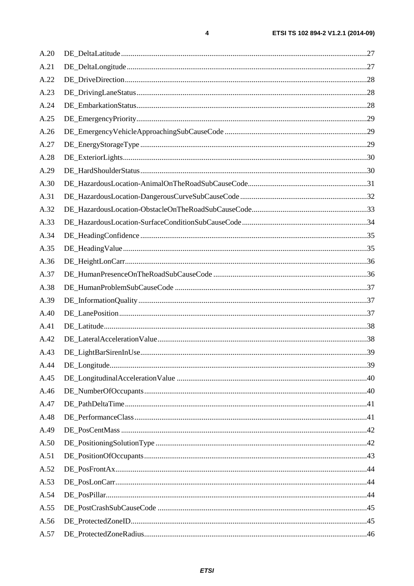| A.20 |  |
|------|--|
| A.21 |  |
| A.22 |  |
| A.23 |  |
| A.24 |  |
| A.25 |  |
| A.26 |  |
| A.27 |  |
| A.28 |  |
| A.29 |  |
| A.30 |  |
| A.31 |  |
| A.32 |  |
| A.33 |  |
| A.34 |  |
| A.35 |  |
| A.36 |  |
| A.37 |  |
| A.38 |  |
| A.39 |  |
| A.40 |  |
| A.41 |  |
| A.42 |  |
| A.43 |  |
| A.44 |  |
| A.45 |  |
| A.46 |  |
| A.47 |  |
| A.48 |  |
| A.49 |  |
| A.50 |  |
| A.51 |  |
| A.52 |  |
| A.53 |  |
| A.54 |  |
| A.55 |  |
| A.56 |  |
| A.57 |  |

 $\pmb{4}$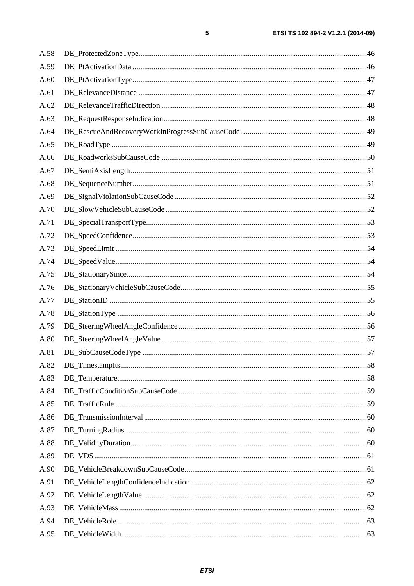| A.58 |  |
|------|--|
| A.59 |  |
| A.60 |  |
| A.61 |  |
| A.62 |  |
| A.63 |  |
| A.64 |  |
| A.65 |  |
| A.66 |  |
| A.67 |  |
| A.68 |  |
| A.69 |  |
| A.70 |  |
| A.71 |  |
| A.72 |  |
| A.73 |  |
| A.74 |  |
| A.75 |  |
| A.76 |  |
| A.77 |  |
| A.78 |  |
| A.79 |  |
| A.80 |  |
| A.81 |  |
| A.82 |  |
| A.83 |  |
| A.84 |  |
| A.85 |  |
| A.86 |  |
| A.87 |  |
| A.88 |  |
| A.89 |  |
| A.90 |  |
| A.91 |  |
| A.92 |  |
| A.93 |  |
| A.94 |  |
| A.95 |  |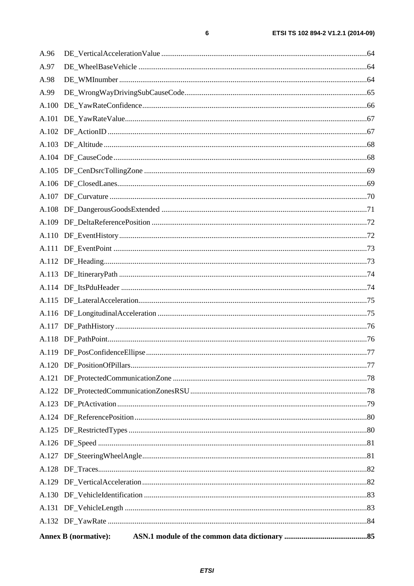| ETSI TS 102 894-2 V1.2.1 (2014-09) |
|------------------------------------|
|                                    |
|                                    |

| A.100 |  |  |
|-------|--|--|
| A.99  |  |  |
| A.98  |  |  |
| A.97  |  |  |
| A.96  |  |  |

 $\bf 6$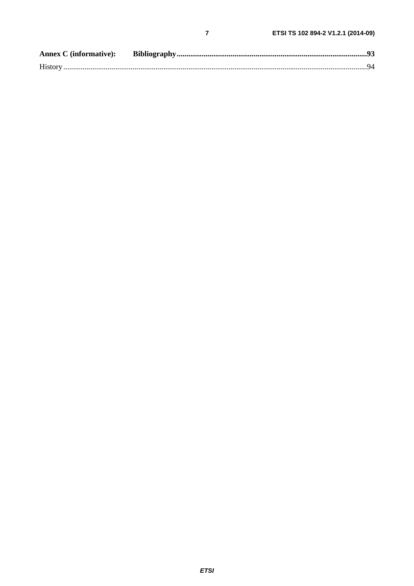$\overline{7}$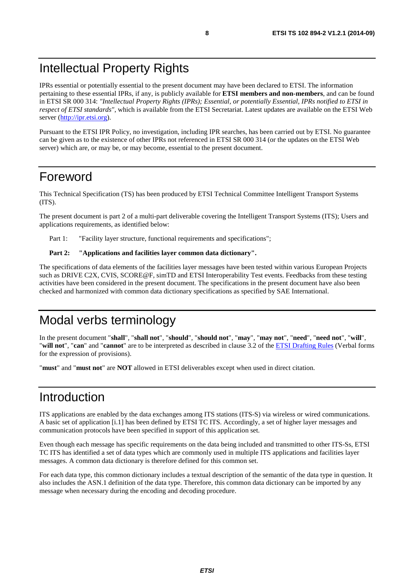### <span id="page-7-0"></span>Intellectual Property Rights

IPRs essential or potentially essential to the present document may have been declared to ETSI. The information pertaining to these essential IPRs, if any, is publicly available for **ETSI members and non-members**, and can be found in ETSI SR 000 314: *"Intellectual Property Rights (IPRs); Essential, or potentially Essential, IPRs notified to ETSI in respect of ETSI standards"*, which is available from the ETSI Secretariat. Latest updates are available on the ETSI Web server ([http://ipr.etsi.org\)](http://webapp.etsi.org/IPR/home.asp).

Pursuant to the ETSI IPR Policy, no investigation, including IPR searches, has been carried out by ETSI. No guarantee can be given as to the existence of other IPRs not referenced in ETSI SR 000 314 (or the updates on the ETSI Web server) which are, or may be, or may become, essential to the present document.

### Foreword

This Technical Specification (TS) has been produced by ETSI Technical Committee Intelligent Transport Systems (ITS).

The present document is part 2 of a multi-part deliverable covering the Intelligent Transport Systems (ITS); Users and applications requirements, as identified below:

Part 1: "Facility layer structure, functional requirements and specifications";

#### Part 2: "Applications and facilities layer common data dictionary".

The specifications of data elements of the facilities layer messages have been tested within various European Projects such as DRIVE C2X, CVIS, SCORE@F, simTD and ETSI Interoperability Test events. Feedbacks from these testing activities have been considered in the present document. The specifications in the present document have also been checked and harmonized with common data dictionary specifications as specified by SAE International.

### Modal verbs terminology

In the present document "**shall**", "**shall not**", "**should**", "**should not**", "**may**", "**may not**", "**need**", "**need not**", "**will**", "**will not**", "**can**" and "**cannot**" are to be interpreted as described in clause 3.2 of the [ETSI Drafting Rules](http://portal.etsi.org/Help/editHelp!/Howtostart/ETSIDraftingRules.aspx) (Verbal forms for the expression of provisions).

"**must**" and "**must not**" are **NOT** allowed in ETSI deliverables except when used in direct citation.

### Introduction

ITS applications are enabled by the data exchanges among ITS stations (ITS-S) via wireless or wired communications. A basic set of application [[i.1\]](#page-8-0) has been defined by ETSI TC ITS. Accordingly, a set of higher layer messages and communication protocols have been specified in support of this application set.

Even though each message has specific requirements on the data being included and transmitted to other ITS-Ss, ETSI TC ITS has identified a set of data types which are commonly used in multiple ITS applications and facilities layer messages. A common data dictionary is therefore defined for this common set.

For each data type, this common dictionary includes a textual description of the semantic of the data type in question. It also includes the ASN.1 definition of the data type. Therefore, this common data dictionary can be imported by any message when necessary during the encoding and decoding procedure.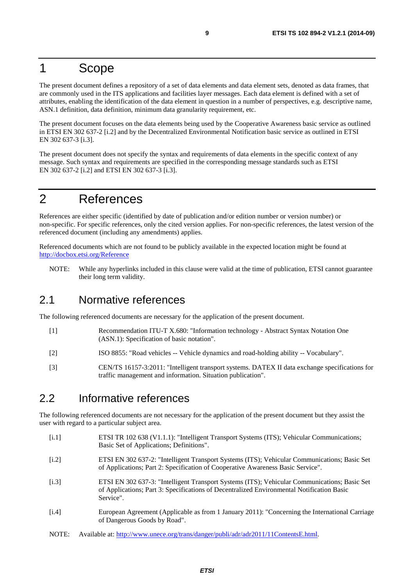#### <span id="page-8-0"></span>1 Scope

The present document defines a repository of a set of data elements and data element sets, denoted as data frames, that are commonly used in the ITS applications and facilities layer messages. Each data element is defined with a set of attributes, enabling the identification of the data element in question in a number of perspectives, e.g. descriptive name, ASN.1 definition, data definition, minimum data granularity requirement, etc.

The present document focuses on the data elements being used by the Cooperative Awareness basic service as outlined in ETSI EN 302 637-2 [i.2] and by the Decentralized Environmental Notification basic service as outlined in ETSI EN 302 637-3 [i.3].

The present document does not specify the syntax and requirements of data elements in the specific context of any message. Such syntax and requirements are specified in the corresponding message standards such as ETSI EN 302 637-2 [i.2] and ETSI EN 302 637-3 [i.3].

### 2 References

References are either specific (identified by date of publication and/or edition number or version number) or non-specific. For specific references, only the cited version applies. For non-specific references, the latest version of the referenced document (including any amendments) applies.

Referenced documents which are not found to be publicly available in the expected location might be found at <http://docbox.etsi.org/Reference>

NOTE: While any hyperlinks included in this clause were valid at the time of publication, ETSI cannot guarantee their long term validity.

#### 2.1 Normative references

The following referenced documents are necessary for the application of the present document.

- [1] Recommendation ITU-T X.680: "Information technology Abstract Syntax Notation One (ASN.1): Specification of basic notation".
- [2] ISO 8855: "Road vehicles -- Vehicle dynamics and road-holding ability -- Vocabulary".
- [3] CEN/TS 16157-3:2011: "Intelligent transport systems. DATEX II data exchange specifications for traffic management and information. Situation publication".

#### 2.2 Informative references

The following referenced documents are not necessary for the application of the present document but they assist the user with regard to a particular subject area.

- [i.1] ETSI TR 102 638 (V1.1.1): "Intelligent Transport Systems (ITS); Vehicular Communications; Basic Set of Applications; Definitions".
- [i.2] ETSI EN 302 637-2: "Intelligent Transport Systems (ITS); Vehicular Communications; Basic Set of Applications; Part 2: Specification of Cooperative Awareness Basic Service".
- [i.3] ETSI EN 302 637-3: "Intelligent Transport Systems (ITS); Vehicular Communications; Basic Set of Applications; Part 3: Specifications of Decentralized Environmental Notification Basic Service".
- [i.4] European Agreement (Applicable as from 1 January 2011): "Concerning the International Carriage of Dangerous Goods by Road".
- NOTE: Available at: [http://www.unece.org/trans/danger/publi/adr/adr2011/11ContentsE.html.](http://www.unece.org/trans/danger/publi/adr/adr2011/11ContentsE.html)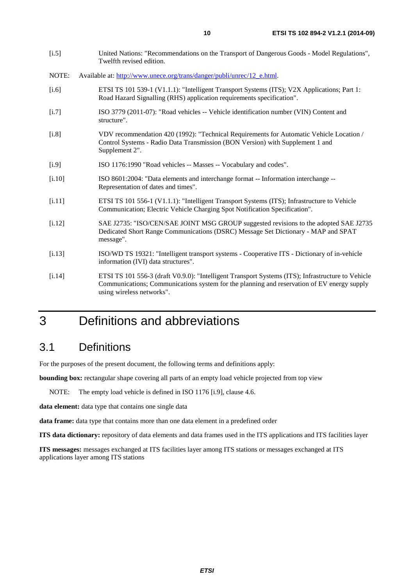<span id="page-9-0"></span>

| $[1.5]$  | United Nations: "Recommendations on the Transport of Dangerous Goods - Model Regulations",<br>Twelfth revised edition.                                                                                                       |
|----------|------------------------------------------------------------------------------------------------------------------------------------------------------------------------------------------------------------------------------|
| NOTE:    | Available at: http://www.unece.org/trans/danger/publi/unrec/12_e.html.                                                                                                                                                       |
| $[i.6]$  | ETSI TS 101 539-1 (V1.1.1): "Intelligent Transport Systems (ITS); V2X Applications; Part 1:<br>Road Hazard Signalling (RHS) application requirements specification".                                                         |
| $[1.7]$  | ISO 3779 (2011-07): "Road vehicles -- Vehicle identification number (VIN) Content and<br>structure".                                                                                                                         |
| [i.8]    | VDV recommendation 420 (1992): "Technical Requirements for Automatic Vehicle Location /<br>Control Systems - Radio Data Transmission (BON Version) with Supplement 1 and<br>Supplement 2".                                   |
| $[1.9]$  | ISO 1176:1990 "Road vehicles -- Masses -- Vocabulary and codes".                                                                                                                                                             |
| [i.10]   | ISO 8601:2004: "Data elements and interchange format -- Information interchange --<br>Representation of dates and times".                                                                                                    |
| [i.11]   | ETSI TS 101 556-1 (V1.1.1): "Intelligent Transport Systems (ITS); Infrastructure to Vehicle<br>Communication; Electric Vehicle Charging Spot Notification Specification".                                                    |
| $[1.12]$ | SAE J2735: "ISO/CEN/SAE JOINT MSG GROUP suggested revisions to the adopted SAE J2735<br>Dedicated Short Range Communications (DSRC) Message Set Dictionary - MAP and SPAT<br>message".                                       |
| [1.13]   | ISO/WD TS 19321: "Intelligent transport systems - Cooperative ITS - Dictionary of in-vehicle<br>information (IVI) data structures".                                                                                          |
| [1.14]   | ETSI TS 101 556-3 (draft V0.9.0): "Intelligent Transport Systems (ITS); Infrastructure to Vehicle<br>Communications; Communications system for the planning and reservation of EV energy supply<br>using wireless networks". |

## 3 Definitions and abbreviations

### 3.1 Definitions

For the purposes of the present document, the following terms and definitions apply:

**bounding box:** rectangular shape covering all parts of an empty load vehicle projected from top view

NOTE: The empty load vehicle is defined in ISO 1176 [i.9], clause 4.6.

**data element:** data type that contains one single data

**data frame:** data type that contains more than one data element in a predefined order

**ITS data dictionary:** repository of data elements and data frames used in the ITS applications and ITS facilities layer

**ITS messages:** messages exchanged at ITS facilities layer among ITS stations or messages exchanged at ITS applications layer among ITS stations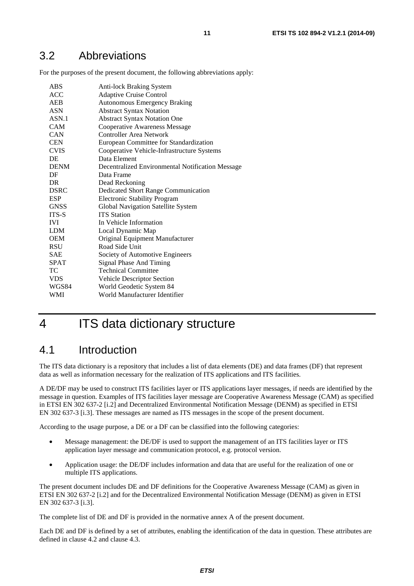<span id="page-10-0"></span>For the purposes of the present document, the following abbreviations apply:

| ABS            | <b>Anti-lock Braking System</b>                  |
|----------------|--------------------------------------------------|
| <b>ACC</b>     | <b>Adaptive Cruise Control</b>                   |
| AEB            | <b>Autonomous Emergency Braking</b>              |
| <b>ASN</b>     | <b>Abstract Syntax Notation</b>                  |
| ASN.1          | <b>Abstract Syntax Notation One</b>              |
| <b>CAM</b>     | <b>Cooperative Awareness Message</b>             |
| <b>CAN</b>     | Controller Area Network                          |
| <b>CEN</b>     | European Committee for Standardization           |
| <b>CVIS</b>    | Cooperative Vehicle-Infrastructure Systems       |
| DE             | Data Element                                     |
| <b>DENM</b>    | Decentralized Environmental Notification Message |
| DF             | Data Frame                                       |
| D <sub>R</sub> | Dead Reckoning                                   |
| <b>DSRC</b>    | Dedicated Short Range Communication              |
| <b>ESP</b>     | <b>Electronic Stability Program</b>              |
| <b>GNSS</b>    | Global Navigation Satellite System               |
| ITS-S          | <b>ITS</b> Station                               |
| <b>IVI</b>     | In Vehicle Information                           |
| LDM            | Local Dynamic Map                                |
| <b>OEM</b>     | Original Equipment Manufacturer                  |
| <b>RSU</b>     | Road Side Unit                                   |
| <b>SAE</b>     | Society of Automotive Engineers                  |
| <b>SPAT</b>    | Signal Phase And Timing                          |
| TC             | <b>Technical Committee</b>                       |
| <b>VDS</b>     | Vehicle Descriptor Section                       |
| WGS84          | World Geodetic System 84                         |
| WMI            | World Manufacturer Identifier                    |

### 4 ITS data dictionary structure

#### 4.1 Introduction

The ITS data dictionary is a repository that includes a list of data elements (DE) and data frames (DF) that represent data as well as information necessary for the realization of ITS applications and ITS facilities.

A DE/DF may be used to construct ITS facilities layer or ITS applications layer messages, if needs are identified by the message in question. Examples of ITS facilities layer message are Cooperative Awareness Message (CAM) as specified in ETSI EN 302 637-2 [[i.2\]](#page-8-0) and Decentralized Environmental Notification Message (DENM) as specified in ETSI EN 302 637-3 [[i.3\]](#page-8-0). These messages are named as ITS messages in the scope of the present document.

According to the usage purpose, a DE or a DF can be classified into the following categories:

- Message management: the DE/DF is used to support the management of an ITS facilities layer or ITS application layer message and communication protocol, e.g. protocol version.
- Application usage: the DE/DF includes information and data that are useful for the realization of one or multiple ITS applications.

The present document includes DE and DF definitions for the Cooperative Awareness Message (CAM) as given in ETSI EN 302 637-2 [[i.2\]](#page-8-0) and for the Decentralized Environmental Notification Message (DENM) as given in ETSI EN 302 637-3 [[i.3\]](#page-8-0).

The complete list of DE and DF is provided in the normative annex A of the present document.

Each DE and DF is defined by a set of attributes, enabling the identification of the data in question. These attributes are defined in clause 4.2 and clause 4.3.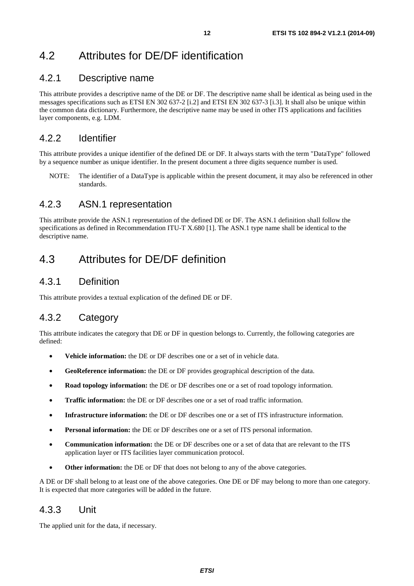### <span id="page-11-0"></span>4.2 Attributes for DE/DF identification

#### 4.2.1 Descriptive name

This attribute provides a descriptive name of the DE or DF. The descriptive name shall be identical as being used in the messages specifications such as ETSI EN 302 637-2 [[i.2\]](#page-8-0) and ETSI EN 302 637-3 [[i.3\]](#page-8-0). It shall also be unique within the common data dictionary. Furthermore, the descriptive name may be used in other ITS applications and facilities layer components, e.g. LDM.

#### 4.2.2 Identifier

This attribute provides a unique identifier of the defined DE or DF. It always starts with the term "DataType" followed by a sequence number as unique identifier. In the present document a three digits sequence number is used.

NOTE: The identifier of a DataType is applicable within the present document, it may also be referenced in other standards.

#### 4.2.3 ASN.1 representation

This attribute provide the ASN.1 representation of the defined DE or DF. The ASN.1 definition shall follow the specifications as defined in Recommendation ITU-T X.680 [[1\]](#page-8-0). The ASN.1 type name shall be identical to the descriptive name.

#### 4.3 Attributes for DE/DF definition

#### 4.3.1 Definition

This attribute provides a textual explication of the defined DE or DF.

#### 4.3.2 Category

This attribute indicates the category that DE or DF in question belongs to. Currently, the following categories are defined:

- **Vehicle information:** the DE or DF describes one or a set of in vehicle data.
- **GeoReference information:** the DE or DF provides geographical description of the data.
- **Road topology information:** the DE or DF describes one or a set of road topology information.
- **Traffic information:** the DE or DF describes one or a set of road traffic information.
- **Infrastructure information:** the DE or DF describes one or a set of ITS infrastructure information.
- **Personal information:** the DE or DF describes one or a set of ITS personal information.
- **Communication information:** the DE or DF describes one or a set of data that are relevant to the ITS application layer or ITS facilities layer communication protocol.
- **Other information:** the DE or DF that does not belong to any of the above categories.

A DE or DF shall belong to at least one of the above categories. One DE or DF may belong to more than one category. It is expected that more categories will be added in the future.

#### 4.3.3 Unit

The applied unit for the data, if necessary.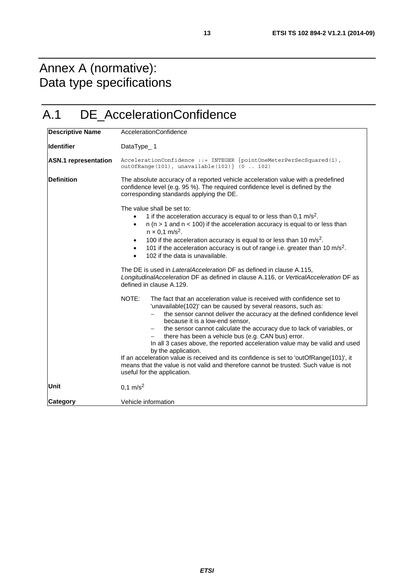## <span id="page-12-0"></span>Annex A (normative): Data type specifications

## A.1 DE\_AccelerationConfidence

| <b>Descriptive Name</b>     | AccelerationConfidence                                                                                                                                                                                                                                                                                                                                                                                                                                                                                                                                                                                                                                                                                                                    |
|-----------------------------|-------------------------------------------------------------------------------------------------------------------------------------------------------------------------------------------------------------------------------------------------------------------------------------------------------------------------------------------------------------------------------------------------------------------------------------------------------------------------------------------------------------------------------------------------------------------------------------------------------------------------------------------------------------------------------------------------------------------------------------------|
| <b>Identifier</b>           | DataType_1                                                                                                                                                                                                                                                                                                                                                                                                                                                                                                                                                                                                                                                                                                                                |
| <b>ASN.1</b> representation | $AccelerationConfidence :: = INTERF \{ pointOneMeterPerSecSquared(1),$<br>outOfRange(101), unavailable(102)} (0  102)                                                                                                                                                                                                                                                                                                                                                                                                                                                                                                                                                                                                                     |
| <b>Definition</b>           | The absolute accuracy of a reported vehicle acceleration value with a predefined<br>confidence level (e.g. 95 %). The required confidence level is defined by the<br>corresponding standards applying the DE.                                                                                                                                                                                                                                                                                                                                                                                                                                                                                                                             |
|                             | The value shall be set to:<br>1 if the acceleration accuracy is equal to or less than $0.1 \text{ m/s}^2$ .<br>$n$ ( $n > 1$ and $n < 100$ ) if the acceleration accuracy is equal to or less than<br>$\bullet$<br>$n \times 0.1$ m/s <sup>2</sup> .<br>100 if the acceleration accuracy is equal to or less than 10 $\text{m/s}^2$ .<br>$\bullet$<br>101 if the acceleration accuracy is out of range i.e. greater than 10 $m/s2$ .<br>$\bullet$<br>102 if the data is unavailable.<br>$\bullet$                                                                                                                                                                                                                                         |
|                             | The DE is used in <i>LateralAcceleration</i> DF as defined in clause A.115,<br>LongitudinalAcceleration DF as defined in clause A.116, or VerticalAcceleration DF as<br>defined in clause A.129.                                                                                                                                                                                                                                                                                                                                                                                                                                                                                                                                          |
|                             | NOTE:<br>The fact that an acceleration value is received with confidence set to<br>'unavailable(102)' can be caused by several reasons, such as:<br>the sensor cannot deliver the accuracy at the defined confidence level<br>because it is a low-end sensor,<br>the sensor cannot calculate the accuracy due to lack of variables, or<br>$\qquad \qquad -$<br>there has been a vehicle bus (e.g. CAN bus) error.<br>In all 3 cases above, the reported acceleration value may be valid and used<br>by the application.<br>If an acceleration value is received and its confidence is set to 'outOfRange(101)', it<br>means that the value is not valid and therefore cannot be trusted. Such value is not<br>useful for the application. |
| <b>Unit</b>                 | $0,1 \text{ m/s}^2$                                                                                                                                                                                                                                                                                                                                                                                                                                                                                                                                                                                                                                                                                                                       |
| Category                    | Vehicle information                                                                                                                                                                                                                                                                                                                                                                                                                                                                                                                                                                                                                                                                                                                       |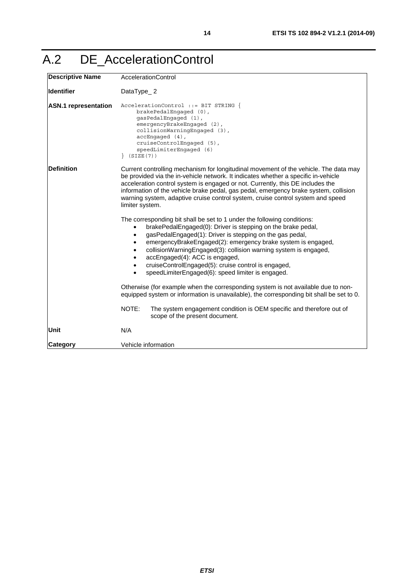## <span id="page-13-0"></span>A.2 DE\_AccelerationControl

| <b>Descriptive Name</b>     | AccelerationControl                                                                                                                                                                                                                                                                                                                                                                                                                                                                                                                                                 |
|-----------------------------|---------------------------------------------------------------------------------------------------------------------------------------------------------------------------------------------------------------------------------------------------------------------------------------------------------------------------------------------------------------------------------------------------------------------------------------------------------------------------------------------------------------------------------------------------------------------|
| <b>Identifier</b>           | DataType_2                                                                                                                                                                                                                                                                                                                                                                                                                                                                                                                                                          |
| <b>ASN.1</b> representation | AccelerationControl ::= BIT STRING {<br>brakePedalEngaged (0),<br>qasPedalEnqaqed (1),<br>emergencyBrakeEngaged (2),<br>collisionWarningEngaged (3),<br>$accEngaged (4)$ ,<br>cruiseControlEngaged (5),<br>speedLimiterEngaged (6)<br>(SIZE(7))                                                                                                                                                                                                                                                                                                                     |
| <b>Definition</b>           | Current controlling mechanism for longitudinal movement of the vehicle. The data may<br>be provided via the in-vehicle network. It indicates whether a specific in-vehicle<br>acceleration control system is engaged or not. Currently, this DE includes the<br>information of the vehicle brake pedal, gas pedal, emergency brake system, collision<br>warning system, adaptive cruise control system, cruise control system and speed<br>limiter system.                                                                                                          |
|                             | The corresponding bit shall be set to 1 under the following conditions:<br>brakePedalEngaged(0): Driver is stepping on the brake pedal,<br>gasPedalEngaged(1): Driver is stepping on the gas pedal,<br>$\bullet$<br>emergencyBrakeEngaged(2): emergency brake system is engaged,<br>$\bullet$<br>collisionWarningEngaged(3): collision warning system is engaged,<br>$\bullet$<br>accEngaged(4): ACC is engaged,<br>$\bullet$<br>cruiseControlEngaged(5): cruise control is engaged,<br>$\bullet$<br>speedLimiterEngaged(6): speed limiter is engaged.<br>$\bullet$ |
|                             | Otherwise (for example when the corresponding system is not available due to non-<br>equipped system or information is unavailable), the corresponding bit shall be set to 0.                                                                                                                                                                                                                                                                                                                                                                                       |
|                             | NOTE:<br>The system engagement condition is OEM specific and therefore out of<br>scope of the present document.                                                                                                                                                                                                                                                                                                                                                                                                                                                     |
| Unit                        | N/A                                                                                                                                                                                                                                                                                                                                                                                                                                                                                                                                                                 |
| Category                    | Vehicle information                                                                                                                                                                                                                                                                                                                                                                                                                                                                                                                                                 |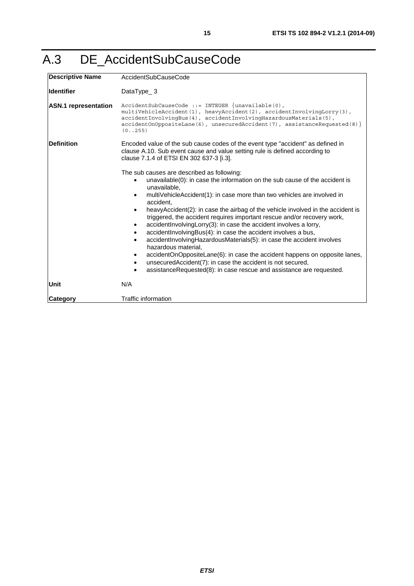## <span id="page-14-0"></span>A.3 DE\_AccidentSubCauseCode

| <b>Descriptive Name</b>     | AccidentSubCauseCode                                                                                                                                                                                                                                                                                                                                                                                                                                                                                                                                                                                                                                                                                                                                                                                                                                                                                                                 |
|-----------------------------|--------------------------------------------------------------------------------------------------------------------------------------------------------------------------------------------------------------------------------------------------------------------------------------------------------------------------------------------------------------------------------------------------------------------------------------------------------------------------------------------------------------------------------------------------------------------------------------------------------------------------------------------------------------------------------------------------------------------------------------------------------------------------------------------------------------------------------------------------------------------------------------------------------------------------------------|
| <b>Identifier</b>           | DataType_3                                                                                                                                                                                                                                                                                                                                                                                                                                                                                                                                                                                                                                                                                                                                                                                                                                                                                                                           |
| <b>ASN.1 representation</b> | $AccidentSubCauseCode ::= INTER$ {unavailable $(0)$ ,<br>multiVehicleAccident(1), heavyAccident(2), accidentInvolvingLorry(3),<br>accidentInvolvingBus(4), accidentInvolvingHazardousMaterials(5),<br>$accidentOnOppositeLane(6)$ , unsecuredAccident(7), assistanceRequested(8) }<br>(0.1255)                                                                                                                                                                                                                                                                                                                                                                                                                                                                                                                                                                                                                                       |
| <b>Definition</b>           | Encoded value of the sub cause codes of the event type "accident" as defined in<br>clause A.10. Sub event cause and value setting rule is defined according to<br>clause 7.1.4 of ETSI EN 302 637-3 [i.3].                                                                                                                                                                                                                                                                                                                                                                                                                                                                                                                                                                                                                                                                                                                           |
|                             | The sub causes are described as following:<br>unavailable(0): in case the information on the sub cause of the accident is<br>unavailable,<br>multiVehicleAccident(1): in case more than two vehicles are involved in<br>$\bullet$<br>accident,<br>heavyAccident(2): in case the airbag of the vehicle involved in the accident is<br>$\bullet$<br>triggered, the accident requires important rescue and/or recovery work,<br>accident Involving Lorry (3): in case the accident involves a lorry,<br>$\bullet$<br>accident Involving Bus(4): in case the accident involves a bus,<br>accidentInvolvingHazardousMaterials(5): in case the accident involves<br>$\bullet$<br>hazardous material,<br>accidentOnOppositeLane(6): in case the accident happens on opposite lanes,<br>٠<br>unsecuredAccident(7): in case the accident is not secured,<br>$\bullet$<br>assistanceRequested(8): in case rescue and assistance are requested. |
| Unit                        | N/A                                                                                                                                                                                                                                                                                                                                                                                                                                                                                                                                                                                                                                                                                                                                                                                                                                                                                                                                  |
| <b>Category</b>             | <b>Traffic information</b>                                                                                                                                                                                                                                                                                                                                                                                                                                                                                                                                                                                                                                                                                                                                                                                                                                                                                                           |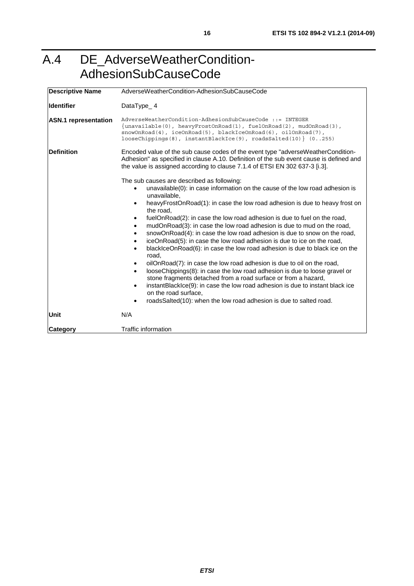### <span id="page-15-0"></span>A.4 DE\_AdverseWeatherCondition-AdhesionSubCauseCode

| <b>Descriptive Name</b>     | AdverseWeatherCondition-AdhesionSubCauseCode                                                                                                                                                                                                                                                  |  |
|-----------------------------|-----------------------------------------------------------------------------------------------------------------------------------------------------------------------------------------------------------------------------------------------------------------------------------------------|--|
| <b>Identifier</b>           | DataType_4                                                                                                                                                                                                                                                                                    |  |
| <b>ASN.1</b> representation | AdverseWeatherCondition-AdhesionSubCauseCode ::= INTEGER<br>$\{unavailable(0), heavyFrostOnRead(1), fuelOnRead(2), mudOnRead(3),\}$<br>$snowOn Road(4)$ , $iceOn Road(5)$ , $blackLeeOnRead(6)$ , $oilOn Road(7)$ ,<br>$looseChipping(8)$ , $instantBlackLee(9)$ , $roadssalted(10)$ $(0255)$ |  |
| <b>Definition</b>           | Encoded value of the sub cause codes of the event type "adverseWeatherCondition-<br>Adhesion" as specified in clause A.10. Definition of the sub event cause is defined and<br>the value is assigned according to clause 7.1.4 of ETSI EN 302 637-3 [i.3].                                    |  |
|                             | The sub causes are described as following:                                                                                                                                                                                                                                                    |  |
|                             | unavailable(0): in case information on the cause of the low road adhesion is<br>unavailable,                                                                                                                                                                                                  |  |
|                             | heavyFrostOnRoad(1): in case the low road adhesion is due to heavy frost on<br>$\bullet$<br>the road.                                                                                                                                                                                         |  |
|                             | fuelOnRoad(2): in case the low road adhesion is due to fuel on the road,<br>$\bullet$                                                                                                                                                                                                         |  |
|                             | mudOnRoad(3): in case the low road adhesion is due to mud on the road,<br>$\bullet$<br>snowOnRoad(4): in case the low road adhesion is due to snow on the road,<br>٠                                                                                                                          |  |
|                             | iceOnRoad(5): in case the low road adhesion is due to ice on the road,<br>$\bullet$                                                                                                                                                                                                           |  |
|                             | blacklceOnRoad(6): in case the low road adhesion is due to black ice on the<br>road,                                                                                                                                                                                                          |  |
|                             | oilOnRoad(7): in case the low road adhesion is due to oil on the road,                                                                                                                                                                                                                        |  |
|                             | looseChippings(8): in case the low road adhesion is due to loose gravel or<br>$\bullet$                                                                                                                                                                                                       |  |
|                             | stone fragments detached from a road surface or from a hazard,<br>instantBlackIce(9): in case the low road adhesion is due to instant black ice<br>$\bullet$                                                                                                                                  |  |
|                             | on the road surface,                                                                                                                                                                                                                                                                          |  |
|                             | roadsSalted(10): when the low road adhesion is due to salted road.<br>$\bullet$                                                                                                                                                                                                               |  |
| Unit                        | N/A                                                                                                                                                                                                                                                                                           |  |
| Category                    | <b>Traffic information</b>                                                                                                                                                                                                                                                                    |  |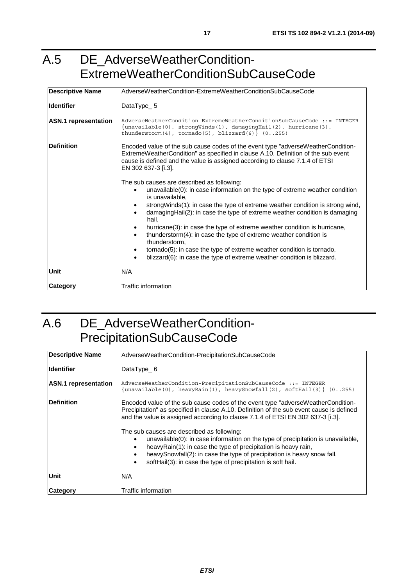### <span id="page-16-0"></span>A.5 DE\_AdverseWeatherCondition-ExtremeWeatherConditionSubCauseCode

| <b>Descriptive Name</b>     | AdverseWeatherCondition-ExtremeWeatherConditionSubCauseCode                                                                                                                                                                                                                                                                                                                                                                                                                                                                                                                                                                                      |
|-----------------------------|--------------------------------------------------------------------------------------------------------------------------------------------------------------------------------------------------------------------------------------------------------------------------------------------------------------------------------------------------------------------------------------------------------------------------------------------------------------------------------------------------------------------------------------------------------------------------------------------------------------------------------------------------|
| <b>Identifier</b>           | DataType_5                                                                                                                                                                                                                                                                                                                                                                                                                                                                                                                                                                                                                                       |
| <b>ASN.1</b> representation | AdverseWeatherCondition-ExtremeWeatherConditionSubCauseCode ::= INTEGER<br>$\{unavailable(0), strongly in the same graph, a function (3),\}$<br>thunderstorm $(4)$ , tornado $(5)$ , blizzard $(6)$ } $(0255)$                                                                                                                                                                                                                                                                                                                                                                                                                                   |
| Definition                  | Encoded value of the sub cause codes of the event type "adverseWeatherCondition-<br>ExtremeWeatherCondition" as specified in clause A.10. Definition of the sub event<br>cause is defined and the value is assigned according to clause 7.1.4 of ETSI<br>EN 302 637-3 [i.3].                                                                                                                                                                                                                                                                                                                                                                     |
|                             | The sub causes are described as following:<br>unavailable $(0)$ : in case information on the type of extreme weather condition<br>is unavailable.<br>strongWinds(1): in case the type of extreme weather condition is strong wind,<br>damagingHail(2): in case the type of extreme weather condition is damaging<br>hail,<br>hurricane(3): in case the type of extreme weather condition is hurricane,<br>thunderstorm(4): in case the type of extreme weather condition is<br>thunderstorm,<br>tornado(5): in case the type of extreme weather condition is tornado,<br>blizzard(6): in case the type of extreme weather condition is blizzard. |
| Unit                        | N/A                                                                                                                                                                                                                                                                                                                                                                                                                                                                                                                                                                                                                                              |
| Category                    | Traffic information                                                                                                                                                                                                                                                                                                                                                                                                                                                                                                                                                                                                                              |

## A.6 DE\_AdverseWeatherCondition-PrecipitationSubCauseCode

| Descriptive Name            | AdverseWeatherCondition-PrecipitationSubCauseCode                                                                                                                                                                                                                                                                                                        |
|-----------------------------|----------------------------------------------------------------------------------------------------------------------------------------------------------------------------------------------------------------------------------------------------------------------------------------------------------------------------------------------------------|
| <b>Identifier</b>           | DataType $6$                                                                                                                                                                                                                                                                                                                                             |
| <b>ASN.1</b> representation | AdverseWeatherCondition-PrecipitationSubCauseCode ::= INTEGER<br>$\{$ unavailable(0), heavyRain(1), heavySnowfall(2), softHail(3) $\}$ (0255)                                                                                                                                                                                                            |
| <b>IDefinition</b>          | Encoded value of the sub cause codes of the event type "adverse Weather Condition-<br>Precipitation" as specified in clause A.10. Definition of the sub event cause is defined<br>and the value is assigned according to clause 7.1.4 of ETSI EN 302 637-3 [i.3].                                                                                        |
|                             | The sub causes are described as following:<br>unavailable(0): in case information on the type of precipitation is unavailable,<br>heavyRain(1): in case the type of precipitation is heavy rain,<br>heavySnowfall(2): in case the type of precipitation is heavy snow fall,<br>softHail(3): in case the type of precipitation is soft hail.<br>$\bullet$ |
| Unit                        | N/A                                                                                                                                                                                                                                                                                                                                                      |
| <b>Category</b>             | Traffic information                                                                                                                                                                                                                                                                                                                                      |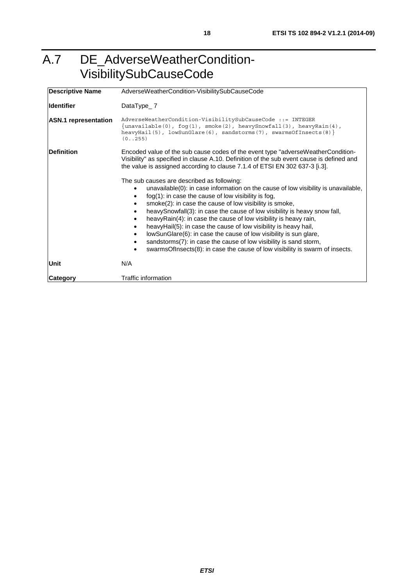## <span id="page-17-0"></span>A.7 DE\_AdverseWeatherCondition-VisibilitySubCauseCode

| <b>Descriptive Name</b>     | AdverseWeatherCondition-VisibilitySubCauseCode                                                                                                                                                                                                                                                                                                                                                                                                                                                                                                                                                                                                                                                                               |
|-----------------------------|------------------------------------------------------------------------------------------------------------------------------------------------------------------------------------------------------------------------------------------------------------------------------------------------------------------------------------------------------------------------------------------------------------------------------------------------------------------------------------------------------------------------------------------------------------------------------------------------------------------------------------------------------------------------------------------------------------------------------|
| <b>Identifier</b>           | DataType $2$                                                                                                                                                                                                                                                                                                                                                                                                                                                                                                                                                                                                                                                                                                                 |
| <b>ASN.1</b> representation | AdverseWeatherCondition-VisibilitySubCauseCode ::= INTEGER<br>{unavailable(0), $f \circ g(1)$ , smoke(2), heavySnowfall(3), heavyRain(4),<br>heavyHail(5), $lowSumGlare(6)$ , sandstorms(7), swarmsOfInsects(8)}<br>(0.1255)                                                                                                                                                                                                                                                                                                                                                                                                                                                                                                 |
| <b>Definition</b>           | Encoded value of the sub cause codes of the event type "adverseWeatherCondition-<br>Visibility" as specified in clause A.10. Definition of the sub event cause is defined and<br>the value is assigned according to clause 7.1.4 of ETSI EN 302 637-3 [i.3].                                                                                                                                                                                                                                                                                                                                                                                                                                                                 |
|                             | The sub causes are described as following:<br>unavailable(0): in case information on the cause of low visibility is unavailable,<br>$f \circ g(1)$ : in case the cause of low visibility is fog,<br>smoke(2): in case the cause of low visibility is smoke,<br>heavySnowfall(3): in case the cause of low visibility is heavy snow fall,<br>heavyRain(4): in case the cause of low visibility is heavy rain,<br>heavyHail(5): in case the cause of low visibility is heavy hail,<br>lowSunGlare(6): in case the cause of low visibility is sun glare,<br>$\bullet$<br>sandstorms(7): in case the cause of low visibility is sand storm,<br>٠<br>swarmsOfInsects(8): in case the cause of low visibility is swarm of insects. |
| Unit                        | N/A                                                                                                                                                                                                                                                                                                                                                                                                                                                                                                                                                                                                                                                                                                                          |
| <b>Category</b>             | Traffic information                                                                                                                                                                                                                                                                                                                                                                                                                                                                                                                                                                                                                                                                                                          |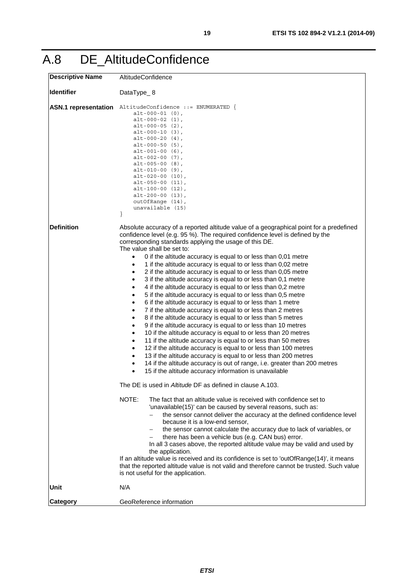<span id="page-18-0"></span>

| <b>Descriptive Name</b>     | AltitudeConfidence                                                                                                                                                                                                                                                                                                                                                                                                                                                                                                                                                                                                                                                                                                                                                                                                                                                                                                                                                                                                                                                                                                                                                                                                                                                                                                                                                                                                                                                                                                                                                                                                                                                                                                                                                                                                                                                                                                                                                                                                                                                                                                                                                                                                                                 |
|-----------------------------|----------------------------------------------------------------------------------------------------------------------------------------------------------------------------------------------------------------------------------------------------------------------------------------------------------------------------------------------------------------------------------------------------------------------------------------------------------------------------------------------------------------------------------------------------------------------------------------------------------------------------------------------------------------------------------------------------------------------------------------------------------------------------------------------------------------------------------------------------------------------------------------------------------------------------------------------------------------------------------------------------------------------------------------------------------------------------------------------------------------------------------------------------------------------------------------------------------------------------------------------------------------------------------------------------------------------------------------------------------------------------------------------------------------------------------------------------------------------------------------------------------------------------------------------------------------------------------------------------------------------------------------------------------------------------------------------------------------------------------------------------------------------------------------------------------------------------------------------------------------------------------------------------------------------------------------------------------------------------------------------------------------------------------------------------------------------------------------------------------------------------------------------------------------------------------------------------------------------------------------------------|
| <b>Identifier</b>           | DataType_8                                                                                                                                                                                                                                                                                                                                                                                                                                                                                                                                                                                                                                                                                                                                                                                                                                                                                                                                                                                                                                                                                                                                                                                                                                                                                                                                                                                                                                                                                                                                                                                                                                                                                                                                                                                                                                                                                                                                                                                                                                                                                                                                                                                                                                         |
| <b>ASN.1</b> representation | AltitudeConfidence ::= ENUMERATED {<br>$alt-000-01$ $(0)$ ,<br>$alt-000-02(1),$<br>$alt-000-05(2)$ ,<br>$alt-000-10(3)$ ,<br>$alt-000-20(4)$ ,<br>$alt-000-50(5)$ ,<br>$alt-001-00(6)$ ,<br>$alt-002-00 (7)$ ,<br>$alt-005-00(8)$ ,<br>$alt-010-00(9)$ ,<br>$alt-020-00(10)$ ,<br>$alt-050-00(11),$<br>$alt-100-00(12)$ ,<br>$alt-200-00(13)$ ,<br>outOfRange (14),<br>unavailable (15)<br>}                                                                                                                                                                                                                                                                                                                                                                                                                                                                                                                                                                                                                                                                                                                                                                                                                                                                                                                                                                                                                                                                                                                                                                                                                                                                                                                                                                                                                                                                                                                                                                                                                                                                                                                                                                                                                                                       |
| <b>Definition</b>           | Absolute accuracy of a reported altitude value of a geographical point for a predefined<br>confidence level (e.g. 95 %). The required confidence level is defined by the<br>corresponding standards applying the usage of this DE.<br>The value shall be set to:<br>0 if the altitude accuracy is equal to or less than 0,01 metre<br>1 if the altitude accuracy is equal to or less than 0,02 metre<br>2 if the altitude accuracy is equal to or less than 0,05 metre<br>٠<br>3 if the altitude accuracy is equal to or less than 0,1 metre<br>$\bullet$<br>4 if the altitude accuracy is equal to or less than 0,2 metre<br>٠<br>5 if the altitude accuracy is equal to or less than 0,5 metre<br>٠<br>6 if the altitude accuracy is equal to or less than 1 metre<br>7 if the altitude accuracy is equal to or less than 2 metres<br>8 if the altitude accuracy is equal to or less than 5 metres<br>$\bullet$<br>9 if the altitude accuracy is equal to or less than 10 metres<br>$\bullet$<br>10 if the altitude accuracy is equal to or less than 20 metres<br>٠<br>11 if the altitude accuracy is equal to or less than 50 metres<br>٠<br>12 if the altitude accuracy is equal to or less than 100 metres<br>٠<br>13 if the altitude accuracy is equal to or less than 200 metres<br>14 if the altitude accuracy is out of range, i.e. greater than 200 metres<br>$\bullet$<br>15 if the altitude accuracy information is unavailable<br>$\bullet$<br>The DE is used in Altitude DF as defined in clause A.103.<br>NOTE:<br>The fact that an altitude value is received with confidence set to<br>'unavailable(15)' can be caused by several reasons, such as:<br>the sensor cannot deliver the accuracy at the defined confidence level<br>because it is a low-end sensor,<br>the sensor cannot calculate the accuracy due to lack of variables, or<br>there has been a vehicle bus (e.g. CAN bus) error.<br>In all 3 cases above, the reported altitude value may be valid and used by<br>the application.<br>If an altitude value is received and its confidence is set to 'outOfRange(14)', it means<br>that the reported altitude value is not valid and therefore cannot be trusted. Such value<br>is not useful for the application. |
| Unit                        | N/A                                                                                                                                                                                                                                                                                                                                                                                                                                                                                                                                                                                                                                                                                                                                                                                                                                                                                                                                                                                                                                                                                                                                                                                                                                                                                                                                                                                                                                                                                                                                                                                                                                                                                                                                                                                                                                                                                                                                                                                                                                                                                                                                                                                                                                                |
| Category                    | GeoReference information                                                                                                                                                                                                                                                                                                                                                                                                                                                                                                                                                                                                                                                                                                                                                                                                                                                                                                                                                                                                                                                                                                                                                                                                                                                                                                                                                                                                                                                                                                                                                                                                                                                                                                                                                                                                                                                                                                                                                                                                                                                                                                                                                                                                                           |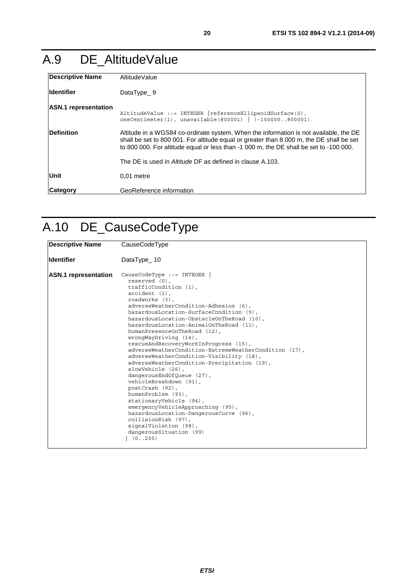## <span id="page-19-0"></span>A.9 DE\_AltitudeValue

| <b>Descriptive Name</b>     | AltitudeValue                                                                                                                                                                                                                                                               |
|-----------------------------|-----------------------------------------------------------------------------------------------------------------------------------------------------------------------------------------------------------------------------------------------------------------------------|
| <b>Identifier</b>           | DataType 9                                                                                                                                                                                                                                                                  |
| <b>ASN.1</b> representation | AltitudeValue ::= INTEGER $\{referenceEllipsoidsurface(0),\}$<br>$oneCentimeter(1)$ , unavailable(800001) } (-100000800001)                                                                                                                                                 |
| <b>Definition</b>           | Altitude in a WGS84 co-ordinate system. When the information is not available, the DE<br>shall be set to 800 001. For altitude equal or greater than 8 000 m, the DE shall be set<br>to 800 000. For altitude equal or less than -1 000 m, the DE shall be set to -100 000. |
|                             | The DE is used in Altitude DF as defined in clause A.103.                                                                                                                                                                                                                   |
| Unit                        | $0.01$ metre                                                                                                                                                                                                                                                                |
| <b>Category</b>             | GeoReference information                                                                                                                                                                                                                                                    |

## A.10 DE\_CauseCodeType

| <b>Descriptive Name</b>     | CauseCodeType                                                                                                                                                                                                                                                                                                                                                                                                                                                                                                                                                                                                                                                                                                                                                                                                                                                            |
|-----------------------------|--------------------------------------------------------------------------------------------------------------------------------------------------------------------------------------------------------------------------------------------------------------------------------------------------------------------------------------------------------------------------------------------------------------------------------------------------------------------------------------------------------------------------------------------------------------------------------------------------------------------------------------------------------------------------------------------------------------------------------------------------------------------------------------------------------------------------------------------------------------------------|
| <b>Identifier</b>           | DataType $10$                                                                                                                                                                                                                                                                                                                                                                                                                                                                                                                                                                                                                                                                                                                                                                                                                                                            |
| <b>ASN.1</b> representation | CauseCodeType $::=$ INTEGER $\{$<br>reserved (0),<br>trafficCondition (1),<br>$accident (2)$ ,<br>roadworks (3),<br>adverseWeatherCondition-Adhesion (6),<br>hazardousLocation-SurfaceCondition (9),<br>hazardousLocation-ObstacleOnTheRoad (10),<br>hazardousLocation-AnimalOnTheRoad (11),<br>humanPresenceOnTheRoad (12),<br>wronqWayDriving (14),<br>rescueAndRecoveryWorkInProgress (15),<br>adverseWeatherCondition-ExtremeWeatherCondition (17),<br>adverseWeatherCondition-Visibility (18),<br>adverseWeatherCondition-Precipitation (19),<br>slowVehicle (26),<br>dangerousEndOfQueue (27),<br>vehicleBreakdown (91),<br>postCrash (92),<br>humanProblem (93),<br>stationaryVehicle (94),<br>emergencyVehicleApproaching (95),<br>hazardousLocation-DangerousCurve (96),<br>collisionRisk (97),<br>signalViolation (98),<br>dangerousSituation (99)<br>(0.1255) |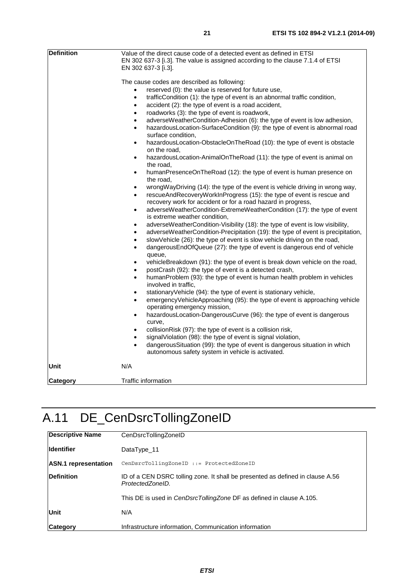<span id="page-20-0"></span>

| <b>Definition</b> | Value of the direct cause code of a detected event as defined in ETSI<br>EN 302 637-3 [i.3]. The value is assigned according to the clause 7.1.4 of ETSI<br>EN 302 637-3 [i.3].                                                                                                                                                                                                                                                                                                                                                                                                                                                                                                                                                                                                                                                                                                                                                                                                                                                                                                                                                                                                                                                                                                                                                                                                                                                                                                                                                                                                                                                                                                                                                                                                                                                                                                                                                                                                                                                                                                                                                                                                                                                                                                                                                                                                                                                                                                           |
|-------------------|-------------------------------------------------------------------------------------------------------------------------------------------------------------------------------------------------------------------------------------------------------------------------------------------------------------------------------------------------------------------------------------------------------------------------------------------------------------------------------------------------------------------------------------------------------------------------------------------------------------------------------------------------------------------------------------------------------------------------------------------------------------------------------------------------------------------------------------------------------------------------------------------------------------------------------------------------------------------------------------------------------------------------------------------------------------------------------------------------------------------------------------------------------------------------------------------------------------------------------------------------------------------------------------------------------------------------------------------------------------------------------------------------------------------------------------------------------------------------------------------------------------------------------------------------------------------------------------------------------------------------------------------------------------------------------------------------------------------------------------------------------------------------------------------------------------------------------------------------------------------------------------------------------------------------------------------------------------------------------------------------------------------------------------------------------------------------------------------------------------------------------------------------------------------------------------------------------------------------------------------------------------------------------------------------------------------------------------------------------------------------------------------------------------------------------------------------------------------------------------------|
|                   | The cause codes are described as following:<br>reserved (0): the value is reserved for future use,<br>$\bullet$<br>trafficCondition (1): the type of event is an abnormal traffic condition,<br>$\bullet$<br>accident (2): the type of event is a road accident,<br>$\bullet$<br>roadworks (3): the type of event is roadwork,<br>$\bullet$<br>adverseWeatherCondition-Adhesion (6): the type of event is low adhesion,<br>hazardousLocation-SurfaceCondition (9): the type of event is abnormal road<br>$\bullet$<br>surface condition.<br>hazardousLocation-ObstacleOnTheRoad (10): the type of event is obstacle<br>$\bullet$<br>on the road,<br>hazardousLocation-AnimalOnTheRoad (11): the type of event is animal on<br>$\bullet$<br>the road,<br>humanPresenceOnTheRoad (12): the type of event is human presence on<br>$\bullet$<br>the road,<br>wrongWayDriving (14): the type of the event is vehicle driving in wrong way,<br>$\bullet$<br>rescueAndRecoveryWorkInProgress (15): the type of event is rescue and<br>$\bullet$<br>recovery work for accident or for a road hazard in progress,<br>adverseWeatherCondition-ExtremeWeatherCondition (17): the type of event<br>$\bullet$<br>is extreme weather condition,<br>adverseWeatherCondition-Visibility (18): the type of event is low visibility,<br>٠<br>adverseWeatherCondition-Precipitation (19): the type of event is precipitation,<br>slowVehicle (26): the type of event is slow vehicle driving on the road,<br>$\bullet$<br>dangerous EndOfQueue (27): the type of event is dangerous end of vehicle<br>$\bullet$<br>queue,<br>vehicleBreakdown (91): the type of event is break down vehicle on the road,<br>٠<br>postCrash (92): the type of event is a detected crash,<br>$\bullet$<br>humanProblem (93): the type of event is human health problem in vehicles<br>$\bullet$<br>involved in traffic,<br>stationaryVehicle (94): the type of event is stationary vehicle,<br>$\bullet$<br>emergencyVehicleApproaching (95): the type of event is approaching vehicle<br>$\bullet$<br>operating emergency mission,<br>hazardousLocation-DangerousCurve (96): the type of event is dangerous<br>$\bullet$<br>curve,<br>collisionRisk (97): the type of event is a collision risk,<br>$\bullet$<br>signalViolation (98): the type of event is signal violation,<br>dangerousSituation (99): the type of event is dangerous situation in which<br>$\bullet$<br>autonomous safety system in vehicle is activated. |
| Unit              | N/A                                                                                                                                                                                                                                                                                                                                                                                                                                                                                                                                                                                                                                                                                                                                                                                                                                                                                                                                                                                                                                                                                                                                                                                                                                                                                                                                                                                                                                                                                                                                                                                                                                                                                                                                                                                                                                                                                                                                                                                                                                                                                                                                                                                                                                                                                                                                                                                                                                                                                       |

**Category Traffic information** 

## A.11 DE\_CenDsrcTollingZoneID

| <b>Descriptive Name</b>     | CenDsrcTollingZoneID                                                                               |
|-----------------------------|----------------------------------------------------------------------------------------------------|
| lldentifier                 | DataType_11                                                                                        |
| <b>ASN.1</b> representation | CenDsrcTollingZoneID ::= ProtectedZoneID                                                           |
| <b>Definition</b>           | ID of a CEN DSRC tolling zone. It shall be presented as defined in clause A.56<br>ProtectedZoneID. |
|                             | This DE is used in <i>CenDsrcTollingZone</i> DF as defined in clause A.105.                        |
| Unit                        | N/A                                                                                                |
| Category                    | Infrastructure information, Communication information                                              |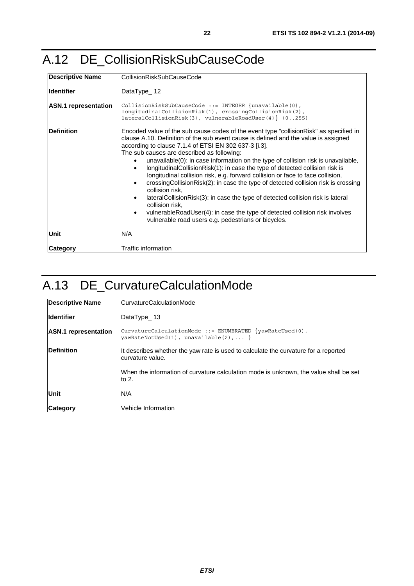## <span id="page-21-0"></span>A.12 DE\_CollisionRiskSubCauseCode

| <b>Descriptive Name</b>     | CollisionRiskSubCauseCode                                                                                                                                                                                                                                                                                                                                                                                                                                                                                                                                                                                                                                                                                                                                                                                                                                                                                                               |
|-----------------------------|-----------------------------------------------------------------------------------------------------------------------------------------------------------------------------------------------------------------------------------------------------------------------------------------------------------------------------------------------------------------------------------------------------------------------------------------------------------------------------------------------------------------------------------------------------------------------------------------------------------------------------------------------------------------------------------------------------------------------------------------------------------------------------------------------------------------------------------------------------------------------------------------------------------------------------------------|
| lldentifier                 | DataType $12$                                                                                                                                                                                                                                                                                                                                                                                                                                                                                                                                                                                                                                                                                                                                                                                                                                                                                                                           |
| <b>ASN.1</b> representation | CollisionRiskSubCauseCode ::= INTEGER $\{unavailable(0),\}$<br>longitudinalCollisionRisk(1), crossingCollisionRisk(2),<br>$lateralCollisionRisk(3)$ , vulnerableRoadUser(4) $(0255)$                                                                                                                                                                                                                                                                                                                                                                                                                                                                                                                                                                                                                                                                                                                                                    |
| Definition                  | Encoded value of the sub cause codes of the event type "collision Risk" as specified in<br>clause A.10. Definition of the sub event cause is defined and the value is assigned<br>according to clause 7.1.4 of ETSI EN 302 637-3 [i.3].<br>The sub causes are described as following:<br>unavailable(0): in case information on the type of collision risk is unavailable,<br>longitudinalCollisionRisk(1): in case the type of detected collision risk is<br>longitudinal collision risk, e.g. forward collision or face to face collision,<br>crossingCollisionRisk(2): in case the type of detected collision risk is crossing<br>$\bullet$<br>collision risk.<br>lateralCollisionRisk(3): in case the type of detected collision risk is lateral<br>$\bullet$<br>collision risk,<br>vulnerableRoadUser(4): in case the type of detected collision risk involves<br>$\bullet$<br>vulnerable road users e.g. pedestrians or bicycles. |
| Unit                        | N/A                                                                                                                                                                                                                                                                                                                                                                                                                                                                                                                                                                                                                                                                                                                                                                                                                                                                                                                                     |
| Category                    | Traffic information                                                                                                                                                                                                                                                                                                                                                                                                                                                                                                                                                                                                                                                                                                                                                                                                                                                                                                                     |

## A.13 DE\_CurvatureCalculationMode

| Descriptive Name            | <b>CurvatureCalculationMode</b>                                                                            |
|-----------------------------|------------------------------------------------------------------------------------------------------------|
| <b>Identifier</b>           | DataType $\_ 13$                                                                                           |
| <b>ASN.1</b> representation | CurvatureCalculationMode ::= ENUMERATED $\{yawRateUseed(0),\}$<br>$yawRateNot Used(1)$ , unavailable(2), } |
| <b>Definition</b>           | It describes whether the yaw rate is used to calculate the curvature for a reported<br>curvature value.    |
|                             | When the information of curvature calculation mode is unknown, the value shall be set<br>to $2.$           |
| Unit                        | N/A                                                                                                        |
| Category                    | Vehicle Information                                                                                        |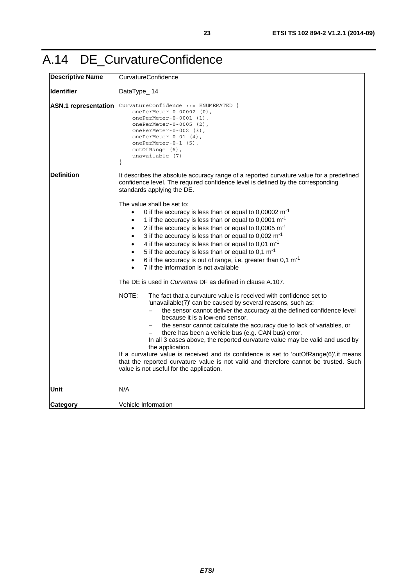## <span id="page-22-0"></span>A.14 DE\_CurvatureConfidence

| <b>Descriptive Name</b> | CurvatureConfidence                                                                                                                                                                                                                                                                                                                                                                                                                                                                                                                                                                                                                                                                                                                                                                           |
|-------------------------|-----------------------------------------------------------------------------------------------------------------------------------------------------------------------------------------------------------------------------------------------------------------------------------------------------------------------------------------------------------------------------------------------------------------------------------------------------------------------------------------------------------------------------------------------------------------------------------------------------------------------------------------------------------------------------------------------------------------------------------------------------------------------------------------------|
| <b>Identifier</b>       | DataType_14                                                                                                                                                                                                                                                                                                                                                                                                                                                                                                                                                                                                                                                                                                                                                                                   |
|                         | ASN.1 representation CurvatureConfidence ::= ENUMERATED {<br>onePerMeter-0-00002 (0),<br>$onePerMeter-0-0001$ (1),<br>onePerMeter-0-0005 (2),<br>onePerMeter-0-002 $(3)$ ,<br>onePerMeter-0-01 $(4)$ ,<br>onePerMeter-0-1 (5),<br>$outOfRange(6)$ ,<br>unavailable (7)<br>$\mathcal{E}$                                                                                                                                                                                                                                                                                                                                                                                                                                                                                                       |
| <b>Definition</b>       | It describes the absolute accuracy range of a reported curvature value for a predefined<br>confidence level. The required confidence level is defined by the corresponding<br>standards applying the DE.                                                                                                                                                                                                                                                                                                                                                                                                                                                                                                                                                                                      |
|                         | The value shall be set to:<br>0 if the accuracy is less than or equal to $0,00002 \text{ m}^{-1}$<br>1 if the accuracy is less than or equal to 0,0001 $\text{m}$ <sup>-1</sup><br>$\bullet$<br>2 if the accuracy is less than or equal to 0,0005 $m^{-1}$<br>$\bullet$<br>3 if the accuracy is less than or equal to 0,002 $m^{-1}$<br>$\bullet$<br>4 if the accuracy is less than or equal to 0,01 $\text{m}$ <sup>-1</sup><br>$\bullet$<br>5 if the accuracy is less than or equal to 0,1 $\text{m}$ <sup>-1</sup><br>$\bullet$<br>6 if the accuracy is out of range, i.e. greater than $0.1 \text{ m}^{-1}$<br>$\bullet$<br>7 if the information is not available<br>$\bullet$                                                                                                            |
|                         | The DE is used in <i>Curvature</i> DF as defined in clause A.107.<br>NOTE:<br>The fact that a curvature value is received with confidence set to<br>'unavailable(7)' can be caused by several reasons, such as:<br>the sensor cannot deliver the accuracy at the defined confidence level<br>because it is a low-end sensor,<br>the sensor cannot calculate the accuracy due to lack of variables, or<br>there has been a vehicle bus (e.g. CAN bus) error.<br>In all 3 cases above, the reported curvature value may be valid and used by<br>the application.<br>If a curvature value is received and its confidence is set to 'outOfRange(6)', it means<br>that the reported curvature value is not valid and therefore cannot be trusted. Such<br>value is not useful for the application. |
| Unit                    | N/A                                                                                                                                                                                                                                                                                                                                                                                                                                                                                                                                                                                                                                                                                                                                                                                           |
| <b>Category</b>         | Vehicle Information                                                                                                                                                                                                                                                                                                                                                                                                                                                                                                                                                                                                                                                                                                                                                                           |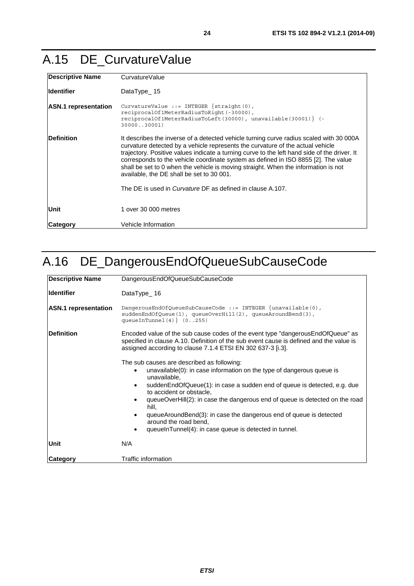## <span id="page-23-0"></span>A.15 DE\_CurvatureValue

| <b>Descriptive Name</b>     | CurvatureValue                                                                                                                                                                                                                                                                                                                                                                                                                                                                                                                                                          |
|-----------------------------|-------------------------------------------------------------------------------------------------------------------------------------------------------------------------------------------------------------------------------------------------------------------------------------------------------------------------------------------------------------------------------------------------------------------------------------------------------------------------------------------------------------------------------------------------------------------------|
| <b>Identifier</b>           | DataType $15$                                                                                                                                                                                                                                                                                                                                                                                                                                                                                                                                                           |
| <b>ASN.1</b> representation | CurvatureValue ::= INTEGER $\{straight(0),\}$<br>reciprocalOf1MeterRadiusToRight(-30000),<br>reciprocalOf1MeterRadiusToLeft(30000), unavailable(30001) } (-<br>3000030001)                                                                                                                                                                                                                                                                                                                                                                                              |
| <b>Definition</b>           | It describes the inverse of a detected vehicle turning curve radius scaled with 30 000A<br>curvature detected by a vehicle represents the curvature of the actual vehicle<br>trajectory. Positive values indicate a turning curve to the left hand side of the driver. It<br>corresponds to the vehicle coordinate system as defined in ISO 8855 [2]. The value<br>shall be set to 0 when the vehicle is moving straight. When the information is not<br>available, the DE shall be set to 30 001.<br>The DE is used in <i>Curvature</i> DF as defined in clause A.107. |
| Unit                        | 1 over 30 000 metres                                                                                                                                                                                                                                                                                                                                                                                                                                                                                                                                                    |
| <b>Category</b>             | Vehicle Information                                                                                                                                                                                                                                                                                                                                                                                                                                                                                                                                                     |

## A.16 DE\_DangerousEndOfQueueSubCauseCode

| <b>Descriptive Name</b>     | DangerousEndOfQueueSubCauseCode                                                                                                                                                                                                              |
|-----------------------------|----------------------------------------------------------------------------------------------------------------------------------------------------------------------------------------------------------------------------------------------|
| <b>Identifier</b>           | DataType_16                                                                                                                                                                                                                                  |
| <b>ASN.1</b> representation | DangerousEndOfOueueSubCauseCode ::= INTEGER $\{unavailable(0),\}$<br>$suddenEndOfQueue(1)$ , $queueOverHill(2)$ , $queueAroundBend(3)$ ,<br>queueInTunnel $(4)$ $(0255)$                                                                     |
| <b>IDefinition</b>          | Encoded value of the sub cause codes of the event type "dangerous End Of Queue" as<br>specified in clause A.10. Definition of the sub event cause is defined and the value is<br>assigned according to clause 7.1.4 ETSI EN 302 637-3 [i.3]. |
|                             | The sub causes are described as following:<br>unavailable(0): in case information on the type of dangerous queue is<br>$\bullet$<br>unavailable,                                                                                             |
|                             | suddenEndOfQueue(1): in case a sudden end of queue is detected, e.g. due<br>$\bullet$<br>to accident or obstacle,                                                                                                                            |
|                             | queueOverHill(2): in case the dangerous end of queue is detected on the road<br>hill,                                                                                                                                                        |
|                             | queueAroundBend(3): in case the dangerous end of queue is detected<br>$\bullet$<br>around the road bend,                                                                                                                                     |
|                             | queueInTunnel(4): in case queue is detected in tunnel.<br>٠                                                                                                                                                                                  |
| Unit                        | N/A                                                                                                                                                                                                                                          |
| <b>Category</b>             | Traffic information                                                                                                                                                                                                                          |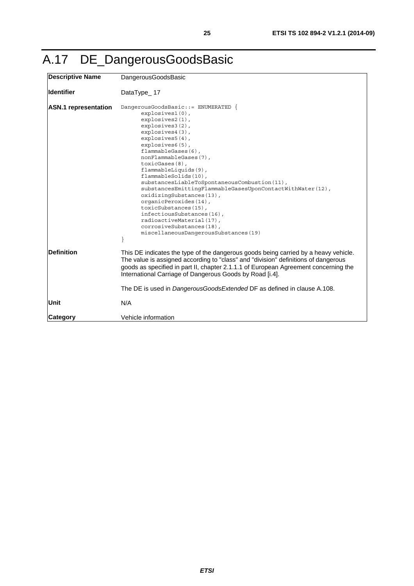<span id="page-24-0"></span>

|  |  | A.17 DE_DangerousGoodsBasic |
|--|--|-----------------------------|
|--|--|-----------------------------|

| <b>Descriptive Name</b>     | DangerousGoodsBasic                                                                                                                                                                                                                                                                                                                                                                                                                                                                                                                                                                                 |
|-----------------------------|-----------------------------------------------------------------------------------------------------------------------------------------------------------------------------------------------------------------------------------------------------------------------------------------------------------------------------------------------------------------------------------------------------------------------------------------------------------------------------------------------------------------------------------------------------------------------------------------------------|
| <b>Identifier</b>           | DataType_17                                                                                                                                                                                                                                                                                                                                                                                                                                                                                                                                                                                         |
| <b>ASN.1</b> representation | DangerousGoodsBasic::= ENUMERATED {<br>$explosives1(0)$ ,<br>$explosives2(1)$ ,<br>explosives3(2),<br>explosives4(3),<br>explosives5(4),<br>explosives6(5),<br>flammableGases(6),<br>nonFlammableGases(7),<br>toxicGases(8),<br>flammableLiquids(9),<br>flammableSolids(10),<br>substancesLiableToSpontaneousCombustion(11),<br>substancesEmittingFlammableGasesUponContactWithWater(12),<br>oxidizingSubstances(13),<br>organicPeroxides(14),<br>toxicSubstances(15),<br>infectiousSubstances(16),<br>radioactiveMaterial(17),<br>corrosiveSubstances(18),<br>miscellaneousDangerousSubstances(19) |
| <b>IDefinition</b>          | This DE indicates the type of the dangerous goods being carried by a heavy vehicle.<br>The value is assigned according to "class" and "division" definitions of dangerous<br>goods as specified in part II, chapter 2.1.1.1 of European Agreement concerning the<br>International Carriage of Dangerous Goods by Road [i.4].                                                                                                                                                                                                                                                                        |
|                             | The DE is used in <i>DangerousGoodsExtended</i> DF as defined in clause A.108.                                                                                                                                                                                                                                                                                                                                                                                                                                                                                                                      |
| Unit                        | N/A                                                                                                                                                                                                                                                                                                                                                                                                                                                                                                                                                                                                 |
| Category                    | Vehicle information                                                                                                                                                                                                                                                                                                                                                                                                                                                                                                                                                                                 |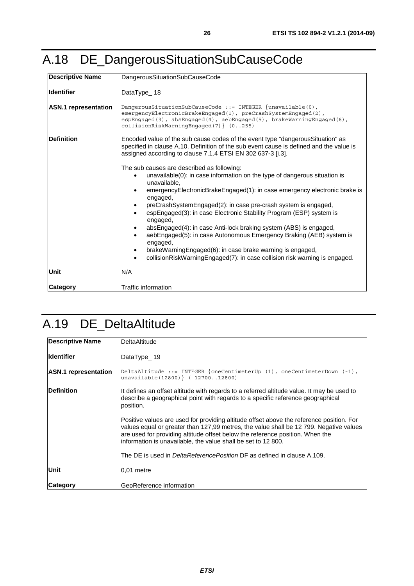## <span id="page-25-0"></span>A.18 DE\_DangerousSituationSubCauseCode

| <b>Descriptive Name</b>     | DangerousSituationSubCauseCode                                                                                                                                                                                                                                                                                                                                                                                                                                                                                                                                                                                                                                                           |
|-----------------------------|------------------------------------------------------------------------------------------------------------------------------------------------------------------------------------------------------------------------------------------------------------------------------------------------------------------------------------------------------------------------------------------------------------------------------------------------------------------------------------------------------------------------------------------------------------------------------------------------------------------------------------------------------------------------------------------|
| <b>Identifier</b>           | DataType 18                                                                                                                                                                                                                                                                                                                                                                                                                                                                                                                                                                                                                                                                              |
| <b>ASN.1</b> representation | DangerousSituationSubCauseCode ::= INTEGER $\{unavailable(0),\}$<br>emergencyElectronicBrakeEngaged(1), preCrashSystemEngaged(2),<br>$\epsilon$ spEnqaqed(3), absEnqaqed(4), aebEnqaqed(5), brakeWarninqEnqaqed(6),<br>$collisionRiskWarningEngaged(7)$ $(0255)$                                                                                                                                                                                                                                                                                                                                                                                                                         |
| <b>Definition</b>           | Encoded value of the sub cause codes of the event type "dangerous Situation" as<br>specified in clause A.10. Definition of the sub event cause is defined and the value is<br>assigned according to clause 7.1.4 ETSI EN 302 637-3 [i.3].                                                                                                                                                                                                                                                                                                                                                                                                                                                |
|                             | The sub causes are described as following:<br>unavailable(0): in case information on the type of dangerous situation is<br>unavailable.<br>emergencyElectronicBrakeEngaged(1): in case emergency electronic brake is<br>engaged,<br>preCrashSystemEngaged(2): in case pre-crash system is engaged,<br>espEngaged(3): in case Electronic Stability Program (ESP) system is<br>engaged,<br>absEngaged(4): in case Anti-lock braking system (ABS) is engaged,<br>aebEngaged(5): in case Autonomous Emergency Braking (AEB) system is<br>engaged,<br>brakeWarningEngaged(6): in case brake warning is engaged,<br>collisionRiskWarningEngaged(7): in case collision risk warning is engaged. |
| Unit                        | N/A                                                                                                                                                                                                                                                                                                                                                                                                                                                                                                                                                                                                                                                                                      |
| <b>Category</b>             | <b>Traffic information</b>                                                                                                                                                                                                                                                                                                                                                                                                                                                                                                                                                                                                                                                               |

## A.19 DE\_DeltaAltitude

| <b>Descriptive Name</b>     | <b>DeltaAltitude</b>                                                                                                                                                                                                                                                                                                                 |
|-----------------------------|--------------------------------------------------------------------------------------------------------------------------------------------------------------------------------------------------------------------------------------------------------------------------------------------------------------------------------------|
| <b>Identifier</b>           | DataType $19$                                                                                                                                                                                                                                                                                                                        |
| <b>ASN.1</b> representation | DeltaAltitude ::= INTEGER $\{oneCentimeterUp (1), oneCentimeterDown (-1),\}$<br>$unavailable (12800)$ $(-1270012800)$                                                                                                                                                                                                                |
| <b>Definition</b>           | It defines an offset altitude with regards to a referred altitude value. It may be used to<br>describe a geographical point with regards to a specific reference geographical<br>position.                                                                                                                                           |
|                             | Positive values are used for providing altitude offset above the reference position. For<br>values equal or greater than 127,99 metres, the value shall be 12 799. Negative values<br>are used for providing altitude offset below the reference position. When the<br>information is unavailable, the value shall be set to 12 800. |
|                             | The DE is used in <i>DeltaReferencePosition</i> DF as defined in clause A.109.                                                                                                                                                                                                                                                       |
| Unit                        | $0.01$ metre                                                                                                                                                                                                                                                                                                                         |
| Category                    | GeoReference information                                                                                                                                                                                                                                                                                                             |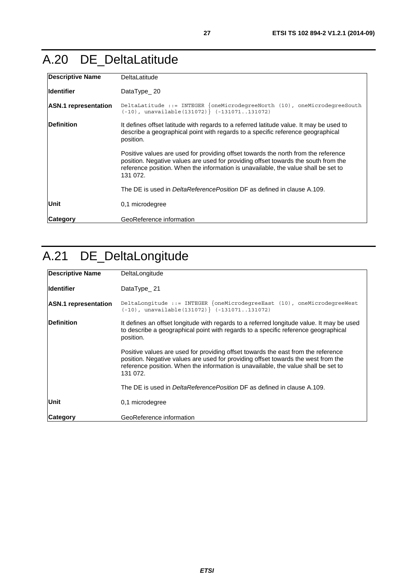## <span id="page-26-0"></span>A.20 DE\_DeltaLatitude

| <b>Descriptive Name</b>     | DeltaLatitude                                                                                                                                                                                                                                                              |
|-----------------------------|----------------------------------------------------------------------------------------------------------------------------------------------------------------------------------------------------------------------------------------------------------------------------|
| lldentifier                 | DataType $20$                                                                                                                                                                                                                                                              |
| <b>ASN.1</b> representation | DeltaLatitude ::= INTEGER {oneMicrodegreeNorth (10), oneMicrodegreeSouth<br>$(-10)$ , unavailable $(131072)$ $(-131071.131072)$                                                                                                                                            |
| Definition                  | It defines offset latitude with regards to a referred latitude value. It may be used to<br>describe a geographical point with regards to a specific reference geographical<br>position.                                                                                    |
|                             | Positive values are used for providing offset towards the north from the reference<br>position. Negative values are used for providing offset towards the south from the<br>reference position. When the information is unavailable, the value shall be set to<br>131 072. |
|                             | The DE is used in <i>DeltaReferencePosition</i> DF as defined in clause A.109.                                                                                                                                                                                             |
| Unit                        | 0,1 microdegree                                                                                                                                                                                                                                                            |
| Category                    | GeoReference information                                                                                                                                                                                                                                                   |

## A.21 DE\_DeltaLongitude

| <b>Descriptive Name</b>     | DeltaLongitude                                                                                                                                                                                                                                                           |
|-----------------------------|--------------------------------------------------------------------------------------------------------------------------------------------------------------------------------------------------------------------------------------------------------------------------|
| lldentifier                 | DataType $21$                                                                                                                                                                                                                                                            |
| <b>ASN.1</b> representation | DeltaLongitude ::= INTEGER $\{\text{oneMicrodegreeEast } (10)$ , oneMicrodegreeWest<br>$(-10)$ , unavailable $(131072)$ $(-131071131072)$                                                                                                                                |
| <b>IDefinition</b>          | It defines an offset longitude with regards to a referred longitude value. It may be used<br>to describe a geographical point with regards to a specific reference geographical<br>position.                                                                             |
|                             | Positive values are used for providing offset towards the east from the reference<br>position. Negative values are used for providing offset towards the west from the<br>reference position. When the information is unavailable, the value shall be set to<br>131 072. |
|                             | The DE is used in <i>DeltaReferencePosition</i> DF as defined in clause A.109.                                                                                                                                                                                           |
| Unit                        | 0,1 microdegree                                                                                                                                                                                                                                                          |
| <b>Category</b>             | GeoReference information                                                                                                                                                                                                                                                 |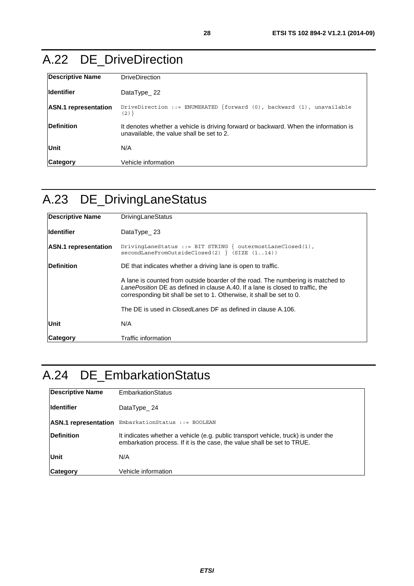## <span id="page-27-0"></span>A.22 DE\_DriveDirection

| <b>Descriptive Name</b>     | <b>DriveDirection</b>                                                                                                             |
|-----------------------------|-----------------------------------------------------------------------------------------------------------------------------------|
| <b>Identifier</b>           | DataType $22$                                                                                                                     |
| <b>ASN.1</b> representation | DriveDirection ::= ENUMERATED {forward $(0)$ , backward $(1)$ , unavailable<br>$(2)$ }                                            |
| <b>IDefinition</b>          | It denotes whether a vehicle is driving forward or backward. When the information is<br>unavailable, the value shall be set to 2. |
| Unit                        | N/A                                                                                                                               |
| Category                    | Vehicle information                                                                                                               |

## A.23 DE\_DrivingLaneStatus

| <b>Descriptive Name</b>     | <b>DrivingLaneStatus</b>                                                                                                                                                                                                                   |
|-----------------------------|--------------------------------------------------------------------------------------------------------------------------------------------------------------------------------------------------------------------------------------------|
| <b>Identifier</b>           | DataType $23$                                                                                                                                                                                                                              |
| <b>ASN.1</b> representation | DrivingLaneStatus ::= BIT STRING $\{$ outermostLaneClosed(1),<br>$secondLaneFromOutsideClosed(2) \{ SIZE (114) \}$                                                                                                                         |
| Definition                  | DE that indicates whether a driving lane is open to traffic.                                                                                                                                                                               |
|                             | A lane is counted from outside boarder of the road. The numbering is matched to<br>LanePosition DE as defined in clause A.40. If a lane is closed to traffic, the<br>corresponding bit shall be set to 1. Otherwise, it shall be set to 0. |
|                             | The DE is used in <i>ClosedLanes</i> DF as defined in clause A.106.                                                                                                                                                                        |
| Unit                        | N/A                                                                                                                                                                                                                                        |
| Category                    | Traffic information                                                                                                                                                                                                                        |

## A.24 DE\_EmbarkationStatus

| <b>Descriptive Name</b>     | <b>EmbarkationStatus</b>                                                                                                                                      |
|-----------------------------|---------------------------------------------------------------------------------------------------------------------------------------------------------------|
| <b>Identifier</b>           | DataType $24$                                                                                                                                                 |
| <b>ASN.1</b> representation | EmbarkationStatus ::= BOOLEAN                                                                                                                                 |
| <b>IDefinition</b>          | It indicates whether a vehicle (e.g. public transport vehicle, truck) is under the<br>embarkation process. If it is the case, the value shall be set to TRUE. |
| <b>Unit</b>                 | N/A                                                                                                                                                           |
| <b>Category</b>             | Vehicle information                                                                                                                                           |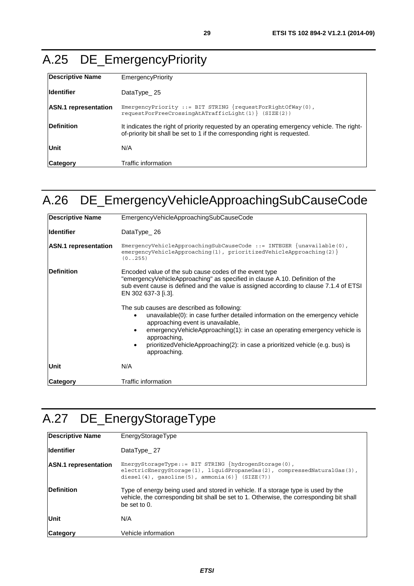## <span id="page-28-0"></span>A.25 DE\_EmergencyPriority

| Descriptive Name            | EmergencyPriority                                                                                                                                                        |
|-----------------------------|--------------------------------------------------------------------------------------------------------------------------------------------------------------------------|
| <b>Identifier</b>           | DataType $25$                                                                                                                                                            |
| <b>ASN.1</b> representation | EmergencyPriority ::= BIT STRING $\{requestForRightOfWay(0),\}$<br>$requestForFreeCrossingAtATrafficLight(1) \ (SIZE(2))$                                                |
| <b>IDefinition</b>          | It indicates the right of priority requested by an operating emergency vehicle. The right-<br>of-priority bit shall be set to 1 if the corresponding right is requested. |
| Unit                        | N/A                                                                                                                                                                      |
| Category                    | Traffic information                                                                                                                                                      |

## A.26 DE\_EmergencyVehicleApproachingSubCauseCode

| <b>Descriptive Name</b>     | EmergencyVehicleApproachingSubCauseCode                                                                                                                                                                                                                                                                                                                           |
|-----------------------------|-------------------------------------------------------------------------------------------------------------------------------------------------------------------------------------------------------------------------------------------------------------------------------------------------------------------------------------------------------------------|
| <b>Identifier</b>           | DataType $26$                                                                                                                                                                                                                                                                                                                                                     |
| <b>ASN.1</b> representation | EmergencyVehicleApproachingSubCauseCode ::= INTEGER $\{unavailable(0),\}$<br>$emergencyVehicleApproxing(1)$ , $prioritizedVehicleApproxing(2)$<br>(0.1255)                                                                                                                                                                                                        |
| <b>Definition</b>           | Encoded value of the sub cause codes of the event type<br>"emergencyVehicleApproaching" as specified in clause A.10. Definition of the<br>sub event cause is defined and the value is assigned according to clause 7.1.4 of ETSI<br>EN 302 637-3 [i.3].                                                                                                           |
|                             | The sub causes are described as following:<br>unavailable(0): in case further detailed information on the emergency vehicle<br>approaching event is unavailable,<br>emergencyVehicleApproaching(1): in case an operating emergency vehicle is<br>approaching,<br>prioritized Vehicle Approaching (2): in case a prioritized vehicle (e.g. bus) is<br>approaching. |
| Unit                        | N/A                                                                                                                                                                                                                                                                                                                                                               |
| <b>Category</b>             | Traffic information                                                                                                                                                                                                                                                                                                                                               |

## A.27 DE\_EnergyStorageType

| <b>Descriptive Name</b>     | EnergyStorageType                                                                                                                                                                                      |
|-----------------------------|--------------------------------------------------------------------------------------------------------------------------------------------------------------------------------------------------------|
| <b>Identifier</b>           | DataType 27                                                                                                                                                                                            |
| <b>ASN.1</b> representation | EnergyStorageType::= BIT STRING $\{hydrogenStorage(0)\}\$<br>$electricEnergyStorage(1)$ , liquidPropaneGas(2), compressedNaturalGas(3),<br>diesel $(4)$ , qasoline $(5)$ , ammonia $(6)$ } $(SIZE(7))$ |
| <b>Definition</b>           | Type of energy being used and stored in vehicle. If a storage type is used by the<br>vehicle, the corresponding bit shall be set to 1. Otherwise, the corresponding bit shall<br>be set to $0$ .       |
| Unit                        | N/A                                                                                                                                                                                                    |
| <b>Category</b>             | Vehicle information                                                                                                                                                                                    |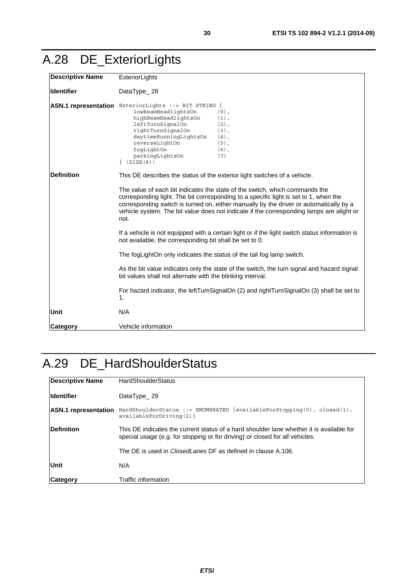## <span id="page-29-0"></span>A.28 DE\_ExteriorLights

| <b>Descriptive Name</b> | ExteriorLights                                                                                                                                                                                                                                                                                                                                                    |  |
|-------------------------|-------------------------------------------------------------------------------------------------------------------------------------------------------------------------------------------------------------------------------------------------------------------------------------------------------------------------------------------------------------------|--|
| <b>Identifier</b>       | DataType_28                                                                                                                                                                                                                                                                                                                                                       |  |
|                         | ASN.1 representation ExteriorLights ::= BIT STRING {<br>lowBeamHeadlightsOn<br>$(0)$ ,<br>highBeamHeadlightsOn<br>$(1)$ ,<br>leftTurnSignalOn<br>$(2)$ ,<br>rightTurnSignalOn<br>$(3)$ ,<br>daytimeRunningLightsOn<br>$(4)$ ,<br>reverseLightOn<br>$(5)$ ,<br>fogLightOn<br>$(6)$ ,<br>parkingLightsOn<br>(7)<br>(SIZE(8))                                        |  |
| <b>Definition</b>       | This DE describes the status of the exterior light switches of a vehicle.                                                                                                                                                                                                                                                                                         |  |
|                         | The value of each bit indicates the state of the switch, which commands the<br>corresponding light. The bit corresponding to a specific light is set to 1, when the<br>corresponding switch is turned on, either manually by the driver or automatically by a<br>vehicle system. The bit value does not indicate if the corresponding lamps are alight or<br>not. |  |
|                         | If a vehicle is not equipped with a certain light or if the light switch status information is<br>not available, the corresponding bit shall be set to 0.                                                                                                                                                                                                         |  |
|                         | The fogLightOn only indicates the status of the tail fog lamp switch.                                                                                                                                                                                                                                                                                             |  |
|                         | As the bit value indicates only the state of the switch, the turn signal and hazard signal<br>bit values shall not alternate with the blinking interval.                                                                                                                                                                                                          |  |
|                         | For hazard indicator, the leftTurnSignalOn (2) and rightTurnSignalOn (3) shall be set to<br>1.                                                                                                                                                                                                                                                                    |  |
| Unit                    | N/A                                                                                                                                                                                                                                                                                                                                                               |  |
| Category                | Vehicle information                                                                                                                                                                                                                                                                                                                                               |  |

## A.29 DE\_HardShoulderStatus

| <b>Descriptive Name</b>     | <b>HardShoulderStatus</b>                                                                                                                                                |  |
|-----------------------------|--------------------------------------------------------------------------------------------------------------------------------------------------------------------------|--|
| <b>Identifier</b>           | DataType 29                                                                                                                                                              |  |
| <b>ASN.1</b> representation | HardShoulderStatus ::= ENUMERATED {availableForStopping(0), closed(1),<br>available For Driving (2)                                                                      |  |
| <b>Definition</b>           | This DE indicates the current status of a hard shoulder lane whether it is available for<br>special usage (e.g. for stopping or for driving) or closed for all vehicles. |  |
|                             | The DE is used in <i>ClosedLanes</i> DF as defined in clause A.106.                                                                                                      |  |
| Unit                        | N/A                                                                                                                                                                      |  |
| <b>Category</b>             | Traffic information                                                                                                                                                      |  |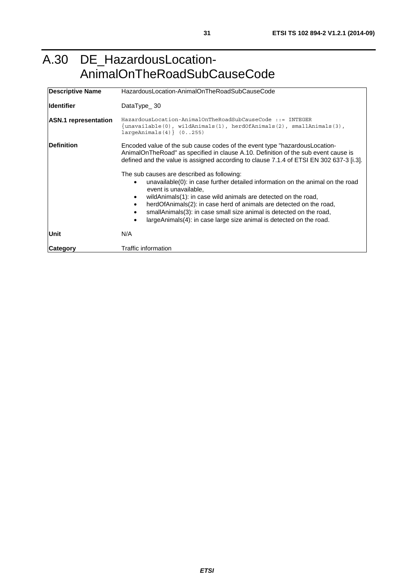### <span id="page-30-0"></span>A.30 DE\_HazardousLocation-AnimalOnTheRoadSubCauseCode

| <b>Descriptive Name</b>     | HazardousLocation-AnimalOnTheRoadSubCauseCode                                                                                                                                                                                                                                                                                                                                                |
|-----------------------------|----------------------------------------------------------------------------------------------------------------------------------------------------------------------------------------------------------------------------------------------------------------------------------------------------------------------------------------------------------------------------------------------|
| <b>Identifier</b>           | DataType $30$                                                                                                                                                                                                                                                                                                                                                                                |
| <b>ASN.1</b> representation | HazardousLocation-AnimalOnTheRoadSubCauseCode ::= INTEGER<br>{unavailable(0), wildAnimals(1), herdOfAnimals(2), smallAnimals(3),<br>$largeAnimals(4)$ $(0255)$                                                                                                                                                                                                                               |
| <b>Definition</b>           | Encoded value of the sub cause codes of the event type "hazardous Location-<br>AnimalOnTheRoad" as specified in clause A.10. Definition of the sub event cause is<br>defined and the value is assigned according to clause 7.1.4 of ETSI EN 302 637-3 [i.3].<br>The sub causes are described as following:<br>unavailable(0): in case further detailed information on the animal on the road |
|                             | event is unavailable.<br>wildAnimals(1): in case wild animals are detected on the road,<br>٠<br>herdOfAnimals(2): in case herd of animals are detected on the road,<br>٠<br>smallAnimals(3): in case small size animal is detected on the road,<br>largeAnimals(4): in case large size animal is detected on the road.<br>$\bullet$                                                          |
| Unit                        | N/A                                                                                                                                                                                                                                                                                                                                                                                          |
| Category                    | Traffic information                                                                                                                                                                                                                                                                                                                                                                          |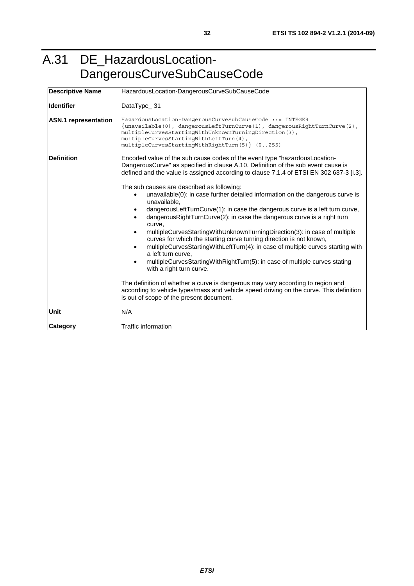## <span id="page-31-0"></span>A.31 DE\_HazardousLocation-DangerousCurveSubCauseCode

| <b>Descriptive Name</b>     | HazardousLocation-DangerousCurveSubCauseCode                                                                                                                                                                                                                                                                                                                                                                                                                                                                                                                                                                                                                                                                                                                                                                                                                               |
|-----------------------------|----------------------------------------------------------------------------------------------------------------------------------------------------------------------------------------------------------------------------------------------------------------------------------------------------------------------------------------------------------------------------------------------------------------------------------------------------------------------------------------------------------------------------------------------------------------------------------------------------------------------------------------------------------------------------------------------------------------------------------------------------------------------------------------------------------------------------------------------------------------------------|
| <b>Identifier</b>           | DataType_31                                                                                                                                                                                                                                                                                                                                                                                                                                                                                                                                                                                                                                                                                                                                                                                                                                                                |
| <b>ASN.1</b> representation | HazardousLocation-DangerousCurveSubCauseCode ::= INTEGER<br>$\{unavailable(0), dangerousLeftTurnCurve(1), dangerousRightTurnCurve(2),\}$<br>multipleCurvesStartinqWithUnknownTurninqDirection(3),<br>multipleCurvesStartinqWithLeftTurn(4),<br>multipleCurvesStartingWithRightTurn(5) } (0255)                                                                                                                                                                                                                                                                                                                                                                                                                                                                                                                                                                             |
| <b>Definition</b>           | Encoded value of the sub cause codes of the event type "hazardousLocation-<br>DangerousCurve" as specified in clause A.10. Definition of the sub event cause is<br>defined and the value is assigned according to clause 7.1.4 of ETSI EN 302 637-3 [i.3].                                                                                                                                                                                                                                                                                                                                                                                                                                                                                                                                                                                                                 |
|                             | The sub causes are described as following:<br>unavailable(0): in case further detailed information on the dangerous curve is<br>unavailable.<br>dangerousLeftTurnCurve(1): in case the dangerous curve is a left turn curve,<br>dangerous Right Turn Curve (2): in case the dangerous curve is a right turn<br>curve.<br>multipleCurvesStartingWithUnknownTurningDirection(3): in case of multiple<br>curves for which the starting curve turning direction is not known,<br>multipleCurvesStartingWithLeftTurn(4): in case of multiple curves starting with<br>a left turn curve,<br>multipleCurvesStartingWithRightTurn(5): in case of multiple curves stating<br>with a right turn curve.<br>The definition of whether a curve is dangerous may vary according to region and<br>according to vehicle types/mass and vehicle speed driving on the curve. This definition |
|                             | is out of scope of the present document.                                                                                                                                                                                                                                                                                                                                                                                                                                                                                                                                                                                                                                                                                                                                                                                                                                   |
| <b>Unit</b>                 | N/A                                                                                                                                                                                                                                                                                                                                                                                                                                                                                                                                                                                                                                                                                                                                                                                                                                                                        |
| <b>Category</b>             | Traffic information                                                                                                                                                                                                                                                                                                                                                                                                                                                                                                                                                                                                                                                                                                                                                                                                                                                        |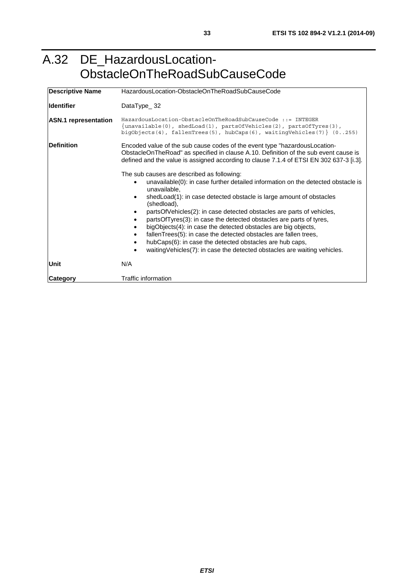### <span id="page-32-0"></span>A.32 DE\_HazardousLocation-ObstacleOnTheRoadSubCauseCode

| <b>Descriptive Name</b>     | HazardousLocation-ObstacleOnTheRoadSubCauseCode                                                                                                                                                                                                                                                                                                                                                                                                                                                                                                                                                                                                                                                                  |  |
|-----------------------------|------------------------------------------------------------------------------------------------------------------------------------------------------------------------------------------------------------------------------------------------------------------------------------------------------------------------------------------------------------------------------------------------------------------------------------------------------------------------------------------------------------------------------------------------------------------------------------------------------------------------------------------------------------------------------------------------------------------|--|
| <b>Identifier</b>           | DataType_32                                                                                                                                                                                                                                                                                                                                                                                                                                                                                                                                                                                                                                                                                                      |  |
| <b>ASN.1</b> representation | HazardousLocation-ObstacleOnTheRoadSubCauseCode ::= INTEGER<br>$\{unavailable(0), schedule(1), particle(2), particle(3),\}$<br>bigObjects(4), fallenTrees(5), hubCaps(6), waitingVehicles(7) } $(0255)$                                                                                                                                                                                                                                                                                                                                                                                                                                                                                                          |  |
| <b>IDefinition</b>          | Encoded value of the sub cause codes of the event type "hazardous Location-<br>ObstacleOnTheRoad" as specified in clause A.10. Definition of the sub event cause is<br>defined and the value is assigned according to clause 7.1.4 of ETSI EN 302 637-3 [i.3].                                                                                                                                                                                                                                                                                                                                                                                                                                                   |  |
|                             | The sub causes are described as following:<br>unavailable(0): in case further detailed information on the detected obstacle is<br>unavailable,<br>shedLoad(1): in case detected obstacle is large amount of obstacles<br>$\bullet$<br>(shedload),<br>partsOfVehicles(2): in case detected obstacles are parts of vehicles,<br>partsOfTyres(3): in case the detected obstacles are parts of tyres,<br>bigObjects(4): in case the detected obstacles are big objects,<br>fallenTrees(5): in case the detected obstacles are fallen trees,<br>$\bullet$<br>hubCaps(6): in case the detected obstacles are hub caps,<br>٠<br>waiting Vehicles (7): in case the detected obstacles are waiting vehicles.<br>$\bullet$ |  |
| Unit                        | N/A                                                                                                                                                                                                                                                                                                                                                                                                                                                                                                                                                                                                                                                                                                              |  |
| Category                    | Traffic information                                                                                                                                                                                                                                                                                                                                                                                                                                                                                                                                                                                                                                                                                              |  |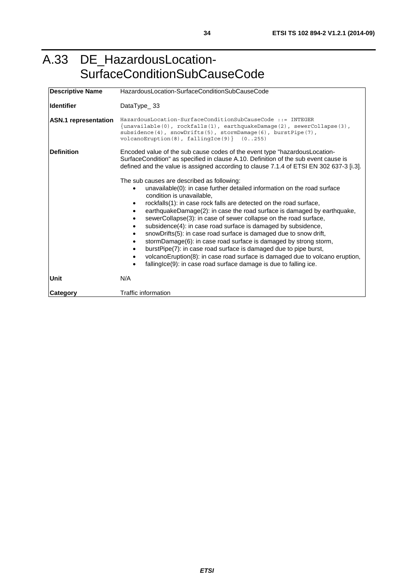### <span id="page-33-0"></span>A.33 DE\_HazardousLocation-SurfaceConditionSubCauseCode

| <b>Descriptive Name</b>     | HazardousLocation-SurfaceConditionSubCauseCode                                                                                                                                                                                                                                                                                                                                                                                                                                                                                                                                                                                                                                                                                                                                                                                                     |  |
|-----------------------------|----------------------------------------------------------------------------------------------------------------------------------------------------------------------------------------------------------------------------------------------------------------------------------------------------------------------------------------------------------------------------------------------------------------------------------------------------------------------------------------------------------------------------------------------------------------------------------------------------------------------------------------------------------------------------------------------------------------------------------------------------------------------------------------------------------------------------------------------------|--|
| lldentifier                 | DataType $_33$                                                                                                                                                                                                                                                                                                                                                                                                                                                                                                                                                                                                                                                                                                                                                                                                                                     |  |
| <b>ASN.1</b> representation | $\text{HazardousLocation-SurfaceConditionSubCause.}$<br>{unavailable(0), rockfalls(1), earthquakeDamage(2), sewerCollapse(3),<br>subsidence(4), $snowDrifts(5)$ , $sformDamaqe(6)$ , $burstPipe(7)$ ,<br>$volaanoEruption(8)$ , $fallingIce(9)$ $(0255)$                                                                                                                                                                                                                                                                                                                                                                                                                                                                                                                                                                                           |  |
| Definition                  | Encoded value of the sub cause codes of the event type "hazardous Location-<br>SurfaceCondition" as specified in clause A.10. Definition of the sub event cause is<br>defined and the value is assigned according to clause 7.1.4 of ETSI EN 302 637-3 [i.3].                                                                                                                                                                                                                                                                                                                                                                                                                                                                                                                                                                                      |  |
|                             | The sub causes are described as following:<br>unavailable(0): in case further detailed information on the road surface<br>condition is unavailable.<br>rockfalls(1): in case rock falls are detected on the road surface,<br>earthquakeDamage(2): in case the road surface is damaged by earthquake,<br>sewerCollapse(3): in case of sewer collapse on the road surface,<br>subsidence(4): in case road surface is damaged by subsidence,<br>snowDrifts(5): in case road surface is damaged due to snow drift,<br>$\bullet$<br>stormDamage(6): in case road surface is damaged by strong storm,<br>burstPipe(7): in case road surface is damaged due to pipe burst,<br>volcanoEruption(8): in case road surface is damaged due to volcano eruption,<br>$\bullet$<br>falling ce(9): in case road surface damage is due to falling ice.<br>$\bullet$ |  |
| Unit                        | N/A                                                                                                                                                                                                                                                                                                                                                                                                                                                                                                                                                                                                                                                                                                                                                                                                                                                |  |
| <b>Category</b>             | Traffic information                                                                                                                                                                                                                                                                                                                                                                                                                                                                                                                                                                                                                                                                                                                                                                                                                                |  |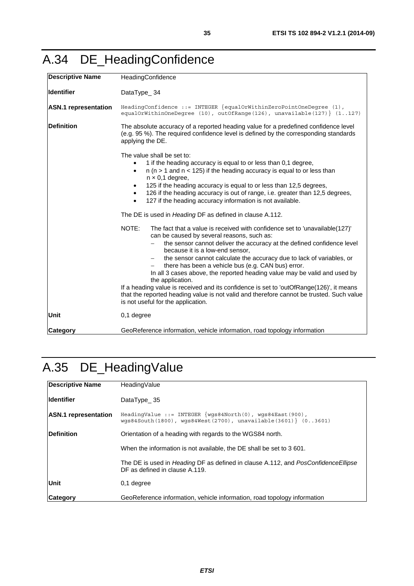<span id="page-34-0"></span>

|  |  | A.34 DE_HeadingConfidence |
|--|--|---------------------------|
|--|--|---------------------------|

| <b>Descriptive Name</b>     | HeadingConfidence                                                                                                                                                                                                                                                                                                                                                                                                                                                                                                                                                                                                                                                                                            |  |
|-----------------------------|--------------------------------------------------------------------------------------------------------------------------------------------------------------------------------------------------------------------------------------------------------------------------------------------------------------------------------------------------------------------------------------------------------------------------------------------------------------------------------------------------------------------------------------------------------------------------------------------------------------------------------------------------------------------------------------------------------------|--|
| <b>Identifier</b>           | DataType_34                                                                                                                                                                                                                                                                                                                                                                                                                                                                                                                                                                                                                                                                                                  |  |
| <b>ASN.1</b> representation | HeadingConfidence ::= INTEGER $\{equalOrWithinZeroPointOneDegree (1),\}$<br>equalOrWithinOneDegree (10), outOfRange(126), unavailable(127)} (1127)                                                                                                                                                                                                                                                                                                                                                                                                                                                                                                                                                           |  |
| <b>Definition</b>           | The absolute accuracy of a reported heading value for a predefined confidence level<br>(e.g. 95 %). The required confidence level is defined by the corresponding standards<br>applying the DE.                                                                                                                                                                                                                                                                                                                                                                                                                                                                                                              |  |
|                             | The value shall be set to:<br>1 if the heading accuracy is equal to or less than 0,1 degree,<br>$n$ ( $n > 1$ and $n < 125$ ) if the heading accuracy is equal to or less than<br>$\bullet$<br>$n \times 0,1$ degree,<br>125 if the heading accuracy is equal to or less than 12,5 degrees,<br>$\bullet$<br>126 if the heading accuracy is out of range, i.e. greater than 12,5 degrees,<br>$\bullet$<br>127 if the heading accuracy information is not available.<br>$\bullet$                                                                                                                                                                                                                              |  |
|                             | The DE is used in <i>Heading</i> DF as defined in clause A.112.                                                                                                                                                                                                                                                                                                                                                                                                                                                                                                                                                                                                                                              |  |
|                             | NOTE:<br>The fact that a value is received with confidence set to 'unavailable(127)'<br>can be caused by several reasons, such as:<br>the sensor cannot deliver the accuracy at the defined confidence level<br>because it is a low-end sensor,<br>the sensor cannot calculate the accuracy due to lack of variables, or<br>there has been a vehicle bus (e.g. CAN bus) error.<br>In all 3 cases above, the reported heading value may be valid and used by<br>the application.<br>If a heading value is received and its confidence is set to 'outOfRange(126)', it means<br>that the reported heading value is not valid and therefore cannot be trusted. Such value<br>is not useful for the application. |  |
| <b>Unit</b>                 | $0,1$ degree                                                                                                                                                                                                                                                                                                                                                                                                                                                                                                                                                                                                                                                                                                 |  |
| <b>Category</b>             | GeoReference information, vehicle information, road topology information                                                                                                                                                                                                                                                                                                                                                                                                                                                                                                                                                                                                                                     |  |

# A.35 DE\_HeadingValue

| <b>Descriptive Name</b>     | HeadingValue                                                                                                                            |
|-----------------------------|-----------------------------------------------------------------------------------------------------------------------------------------|
| <b>Identifier</b>           | DataType 35                                                                                                                             |
| <b>ASN.1</b> representation | HeadingValue ::= INTEGER $\{wgs84North(0), wgs84East(900),\}$<br>$wqs84South(1800)$ , $wqs84West(2700)$ , $unavailable(3601)$ $(03601)$ |
| Definition                  | Orientation of a heading with regards to the WGS84 north.                                                                               |
|                             | When the information is not available, the DE shall be set to 3 601.                                                                    |
|                             | The DE is used in Heading DF as defined in clause A.112, and PosConfidence Ellipse<br>DF as defined in clause A.119.                    |
| Unit                        | 0.1 degree                                                                                                                              |
| <b>Category</b>             | GeoReference information, vehicle information, road topology information                                                                |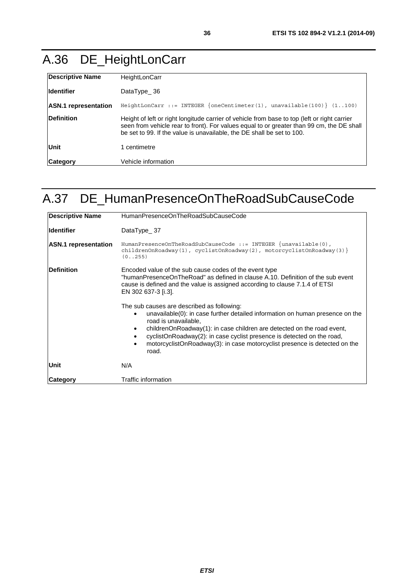## <span id="page-35-0"></span>A.36 DE\_HeightLonCarr

| <b>Descriptive Name</b>     | HeightLonCarr                                                                                                                                                                                                                                                       |
|-----------------------------|---------------------------------------------------------------------------------------------------------------------------------------------------------------------------------------------------------------------------------------------------------------------|
| <b>I</b> Identifier         | DataType $36$                                                                                                                                                                                                                                                       |
| <b>ASN.1</b> representation | HeightLonCarr ::= INTEGER $\{oneCentimeter(1)$ , unavailable(100) $\}$ (1100)                                                                                                                                                                                       |
| <b>IDefinition</b>          | Height of left or right longitude carrier of vehicle from base to top (left or right carrier<br>seen from vehicle rear to front). For values equal to or greater than 99 cm, the DE shall<br>be set to 99. If the value is unavailable, the DE shall be set to 100. |
| Unit                        | 1 centimetre                                                                                                                                                                                                                                                        |
| Category                    | Vehicle information                                                                                                                                                                                                                                                 |

## A.37 DE\_HumanPresenceOnTheRoadSubCauseCode

| <b>Descriptive Name</b>     | HumanPresenceOnTheRoadSubCauseCode                                                                                                                                                                                                                                                                                                                                                                          |  |
|-----------------------------|-------------------------------------------------------------------------------------------------------------------------------------------------------------------------------------------------------------------------------------------------------------------------------------------------------------------------------------------------------------------------------------------------------------|--|
| lldentifier                 | DataType $_37$                                                                                                                                                                                                                                                                                                                                                                                              |  |
| <b>ASN.1</b> representation | HumanPresenceOnTheRoadSubCauseCode ::= INTEGER $\{unavailable(0),\}$<br>childrenOnRoadway(1), cyclistOnRoadway(2), motorcyclistOnRoadway(3) }<br>(0.0255)                                                                                                                                                                                                                                                   |  |
| <b>Definition</b>           | Encoded value of the sub cause codes of the event type<br>"humanPresenceOnTheRoad" as defined in clause A.10. Definition of the sub event<br>cause is defined and the value is assigned according to clause 7.1.4 of ETSI<br>EN 302 637-3 [i.3].                                                                                                                                                            |  |
|                             | The sub causes are described as following:<br>unavailable(0): in case further detailed information on human presence on the<br>road is unavailable,<br>childrenOnRoadway(1): in case children are detected on the road event,<br>$\bullet$<br>cyclistOnRoadway(2): in case cyclist presence is detected on the road,<br>motorcyclistOnRoadway(3): in case motorcyclist presence is detected on the<br>road. |  |
| Unit                        | N/A                                                                                                                                                                                                                                                                                                                                                                                                         |  |
| <b>Category</b>             | Traffic information                                                                                                                                                                                                                                                                                                                                                                                         |  |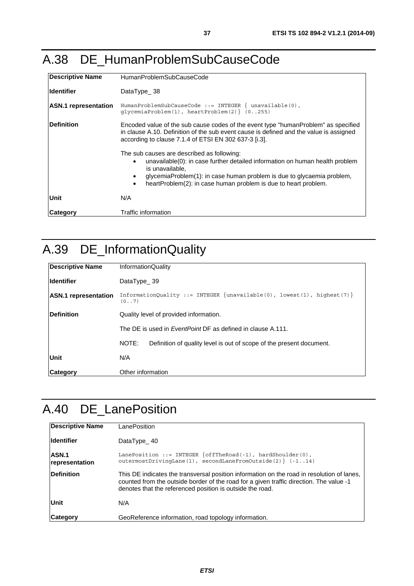#### A.38 DE\_HumanProblemSubCauseCode

| <b>Descriptive Name</b>     | HumanProblemSubCauseCode                                                                                                                                                                                                                                                                                |
|-----------------------------|---------------------------------------------------------------------------------------------------------------------------------------------------------------------------------------------------------------------------------------------------------------------------------------------------------|
| lldentifier                 | DataType $-38$                                                                                                                                                                                                                                                                                          |
| <b>ASN.1</b> representation | $Human Problem SubCause. := INTEGR \{ unavailable(0),\}$<br>qlycemiaProblem $(1)$ , heartProblem $(2)$ $(0255)$                                                                                                                                                                                         |
| <b>Definition</b>           | Encoded value of the sub cause codes of the event type "humanProblem" as specified<br>in clause A.10. Definition of the sub event cause is defined and the value is assigned<br>according to clause 7.1.4 of ETSI EN 302 637-3 [i.3].                                                                   |
|                             | The sub causes are described as following:<br>unavailable(0): in case further detailed information on human health problem<br>is unavailable.<br>glycemiaProblem(1): in case human problem is due to glycaemia problem,<br>heartProblem(2): in case human problem is due to heart problem.<br>$\bullet$ |
| Unit                        | N/A                                                                                                                                                                                                                                                                                                     |
| <b>Category</b>             | Traffic information                                                                                                                                                                                                                                                                                     |

## A.39 DE\_InformationQuality

| <b>Descriptive Name</b>     | <b>InformationQuality</b>                                                                         |
|-----------------------------|---------------------------------------------------------------------------------------------------|
| <b>Identifier</b>           | DataType $39$                                                                                     |
| <b>ASN.1</b> representation | InformationQuality ::= INTEGER $\{unavailable(0), \text{lowest}(1), \text{highest}(7)\}$<br>(0.7) |
| Definition                  | Quality level of provided information.                                                            |
|                             | The DE is used in <i>EventPoint</i> DF as defined in clause A.111.                                |
|                             | Definition of quality level is out of scope of the present document.<br>NOTE:                     |
| Unit                        | N/A                                                                                               |
| <b>Category</b>             | Other information                                                                                 |

# A.40 DE\_LanePosition

| <b>Descriptive Name</b>        | LanePosition                                                                                                                                                                                                                                       |
|--------------------------------|----------------------------------------------------------------------------------------------------------------------------------------------------------------------------------------------------------------------------------------------------|
| <b>Identifier</b>              | DataType $40$                                                                                                                                                                                                                                      |
| <b>ASN.1</b><br>representation | LanePosition ::= INTEGER $\{offThe Road(-1), hardShoulder(0),\}$<br>outermostDrivingLane(1), secondLaneFromOutside(2) $(-114)$                                                                                                                     |
| Definition                     | This DE indicates the transversal position information on the road in resolution of lanes,<br>counted from the outside border of the road for a given traffic direction. The value -1<br>denotes that the referenced position is outside the road. |
| Unit                           | N/A                                                                                                                                                                                                                                                |
| <b>Category</b>                | GeoReference information, road topology information.                                                                                                                                                                                               |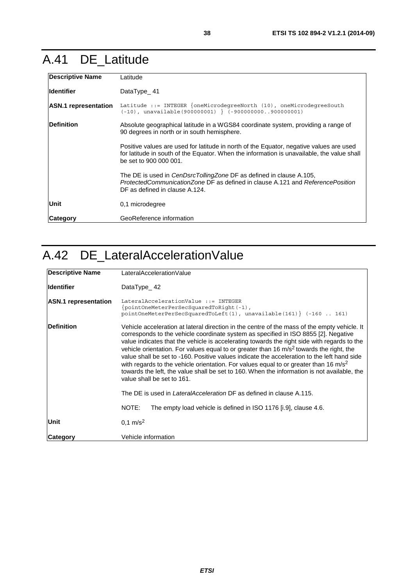### <span id="page-37-0"></span>A.41 DE\_Latitude

| <b>Descriptive Name</b>     | Latitude                                                                                                                                                                                                        |
|-----------------------------|-----------------------------------------------------------------------------------------------------------------------------------------------------------------------------------------------------------------|
| <b>Identifier</b>           | DataType 41                                                                                                                                                                                                     |
| <b>ASN.1</b> representation | Latitude ::= INTEGER $\{\text{oneMicrodegreeNorth} \ (10), \text{oneMicrodegreeSouth}\}$<br>$(-10)$ , unavailable(900000001) } (-900000000900000001)                                                            |
| <b>Definition</b>           | Absolute geographical latitude in a WGS84 coordinate system, providing a range of<br>90 degrees in north or in south hemisphere.                                                                                |
|                             | Positive values are used for latitude in north of the Equator, negative values are used<br>for latitude in south of the Equator. When the information is unavailable, the value shall<br>be set to 900 000 001. |
|                             | The DE is used in <i>CenDsrcTollingZone</i> DF as defined in clause A.105,<br>ProtectedCommunicationZone DF as defined in clause A.121 and ReferencePosition<br>DF as defined in clause A.124.                  |
| Unit                        | 0,1 microdegree                                                                                                                                                                                                 |
| <b>Category</b>             | GeoReference information                                                                                                                                                                                        |

## A.42 DE\_LateralAccelerationValue

| <b>Descriptive Name</b>     | LateralAccelerationValue                                                                                                                                                                                                                                                                                                                                                                                                                                                                                                                                                                                                                                                                                                                                                                                                                                                    |
|-----------------------------|-----------------------------------------------------------------------------------------------------------------------------------------------------------------------------------------------------------------------------------------------------------------------------------------------------------------------------------------------------------------------------------------------------------------------------------------------------------------------------------------------------------------------------------------------------------------------------------------------------------------------------------------------------------------------------------------------------------------------------------------------------------------------------------------------------------------------------------------------------------------------------|
| lldentifier                 | DataType 42                                                                                                                                                                                                                                                                                                                                                                                                                                                                                                                                                                                                                                                                                                                                                                                                                                                                 |
| <b>ASN.1</b> representation | LateralAccelerationValue ::= INTEGER<br>{pointOneMeterPerSecSquaredToRight(-1),<br>pointOneMeterPerSecSquaredToLeft(1), unavailable(161) $\{-160161\}$                                                                                                                                                                                                                                                                                                                                                                                                                                                                                                                                                                                                                                                                                                                      |
| <b>Definition</b>           | Vehicle acceleration at lateral direction in the centre of the mass of the empty vehicle. It<br>corresponds to the vehicle coordinate system as specified in ISO 8855 [2]. Negative<br>value indicates that the vehicle is accelerating towards the right side with regards to the<br>vehicle orientation. For values equal to or greater than 16 $m/s2$ towards the right, the<br>value shall be set to -160. Positive values indicate the acceleration to the left hand side<br>with regards to the vehicle orientation. For values equal to or greater than 16 m/s <sup>2</sup><br>towards the left, the value shall be set to 160. When the information is not available, the<br>value shall be set to 161.<br>The DE is used in <i>LateralAcceleration</i> DF as defined in clause A.115.<br>NOTE:<br>The empty load vehicle is defined in ISO 1176 [i.9], clause 4.6. |
| Unit                        | $0,1 \text{ m/s}^2$                                                                                                                                                                                                                                                                                                                                                                                                                                                                                                                                                                                                                                                                                                                                                                                                                                                         |
| <b>Category</b>             | Vehicle information                                                                                                                                                                                                                                                                                                                                                                                                                                                                                                                                                                                                                                                                                                                                                                                                                                                         |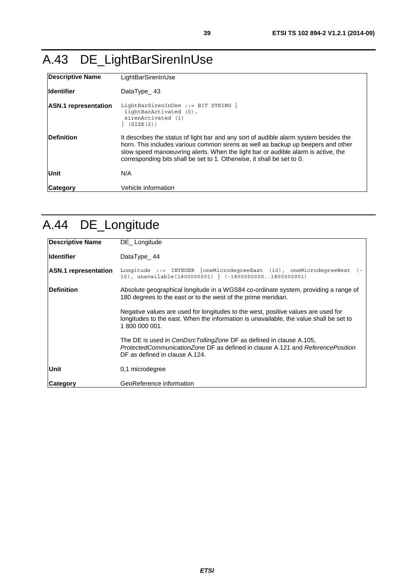# <span id="page-38-0"></span>A.43 DE\_LightBarSirenInUse

| <b>Descriptive Name</b>     | LightBarSirenInUse                                                                                                                                                                                                                                                                                                                       |
|-----------------------------|------------------------------------------------------------------------------------------------------------------------------------------------------------------------------------------------------------------------------------------------------------------------------------------------------------------------------------------|
| lldentifier                 | DataType $\_$ 43                                                                                                                                                                                                                                                                                                                         |
| <b>ASN.1</b> representation | LightBarSirenInUse ::= BIT STRING $\{$<br>lightBarActivated (0),<br>sirenActivated (1)<br>(SIZE(2))                                                                                                                                                                                                                                      |
| <b>Definition</b>           | It describes the status of light bar and any sort of audible alarm system besides the<br>horn. This includes various common sirens as well as backup up beepers and other<br>slow speed manoeuvring alerts. When the light bar or audible alarm is active, the<br>corresponding bits shall be set to 1. Otherwise, it shall be set to 0. |
| Unit                        | N/A                                                                                                                                                                                                                                                                                                                                      |
| Category                    | Vehicle information                                                                                                                                                                                                                                                                                                                      |

# A.44 DE\_Longitude

| <b>Descriptive Name</b>     | DE Longitude                                                                                                                                                                                   |
|-----------------------------|------------------------------------------------------------------------------------------------------------------------------------------------------------------------------------------------|
| <b>Identifier</b>           | DataType_44                                                                                                                                                                                    |
| <b>ASN.1</b> representation | Longitude ::= INTEGER $\{oneMicrodegreeEast (10)$ , oneMicrodegreeWest $(-$<br>10), unavailable(1800000001) } $(-180000000001800000001)$                                                       |
| <b>IDefinition</b>          | Absolute geographical longitude in a WGS84 co-ordinate system, providing a range of<br>180 degrees to the east or to the west of the prime meridian.                                           |
|                             | Negative values are used for longitudes to the west, positive values are used for<br>longitudes to the east. When the information is unavailable, the value shall be set to<br>1 800 000 001.  |
|                             | The DE is used in <i>CenDsrcTollingZone</i> DF as defined in clause A.105,<br>ProtectedCommunicationZone DF as defined in clause A.121 and ReferencePosition<br>DF as defined in clause A.124. |
| <b>Unit</b>                 | 0.1 microdegree                                                                                                                                                                                |
| Category                    | GeoReference information                                                                                                                                                                       |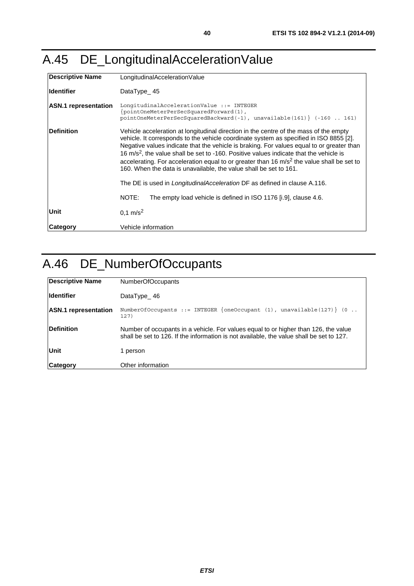## A.45 DE\_LongitudinalAccelerationValue

| Descriptive Name            | LongitudinalAccelerationValue                                                                                                                                                                                                                                                                                                                                                                                                                                                                                                                          |
|-----------------------------|--------------------------------------------------------------------------------------------------------------------------------------------------------------------------------------------------------------------------------------------------------------------------------------------------------------------------------------------------------------------------------------------------------------------------------------------------------------------------------------------------------------------------------------------------------|
| <b>Identifier</b>           | DataType $45$                                                                                                                                                                                                                                                                                                                                                                                                                                                                                                                                          |
| <b>ASN.1</b> representation | LongitudinalAccelerationValue ::= INTEGER<br>{pointOneMeterPerSecSquaredForward(1),<br>pointOneMeterPerSecSquaredBackward(-1), unavailable(161) } (-160  161)                                                                                                                                                                                                                                                                                                                                                                                          |
| <b>IDefinition</b>          | Vehicle acceleration at longitudinal direction in the centre of the mass of the empty<br>vehicle. It corresponds to the vehicle coordinate system as specified in ISO 8855 [2].<br>Negative values indicate that the vehicle is braking. For values equal to or greater than<br>16 m/s <sup>2</sup> , the value shall be set to -160. Positive values indicate that the vehicle is<br>accelerating. For acceleration equal to or greater than 16 $m/s2$ the value shall be set to<br>160. When the data is unavailable, the value shall be set to 161. |
|                             | The DE is used in <i>LongitudinalAcceleration</i> DF as defined in clause A.116.                                                                                                                                                                                                                                                                                                                                                                                                                                                                       |
|                             | NOTE:<br>The empty load vehicle is defined in ISO 1176 [i.9], clause 4.6.                                                                                                                                                                                                                                                                                                                                                                                                                                                                              |
| Unit                        | $0.1 \text{ m/s}^2$                                                                                                                                                                                                                                                                                                                                                                                                                                                                                                                                    |
| Category                    | Vehicle information                                                                                                                                                                                                                                                                                                                                                                                                                                                                                                                                    |

# A.46 DE\_NumberOfOccupants

| Descriptive Name            | NumberOfOccupants                                                                                                                                                               |
|-----------------------------|---------------------------------------------------------------------------------------------------------------------------------------------------------------------------------|
| <b>Identifier</b>           | DataType_46                                                                                                                                                                     |
| <b>ASN.1</b> representation | NumberOfOccupants ::= INTEGER {oneOccupant $(1)$ , unavailable $(127)$ } $(0 \ldots$<br>127)                                                                                    |
| <b>IDefinition</b>          | Number of occupants in a vehicle. For values equal to or higher than 126, the value<br>shall be set to 126. If the information is not available, the value shall be set to 127. |
| Unit                        | 1 person                                                                                                                                                                        |
| <b>Category</b>             | Other information                                                                                                                                                               |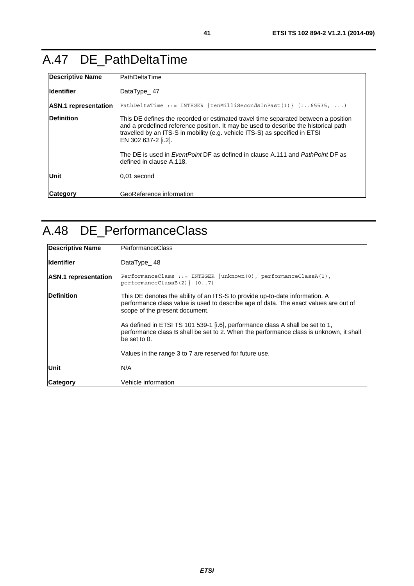### A.47 DE\_PathDeltaTime

| <b>Descriptive Name</b>     | PathDeltaTime                                                                                                                                                                                                                                                                   |
|-----------------------------|---------------------------------------------------------------------------------------------------------------------------------------------------------------------------------------------------------------------------------------------------------------------------------|
| <b>Identifier</b>           | DataType 47                                                                                                                                                                                                                                                                     |
| <b>ASN.1</b> representation | PathDeltaTime ::= INTEGER $\{tenMillisecondsInFast(1)\}$ (165535, )                                                                                                                                                                                                             |
| <b>Definition</b>           | This DE defines the recorded or estimated travel time separated between a position<br>and a predefined reference position. It may be used to describe the historical path<br>travelled by an ITS-S in mobility (e.g. vehicle ITS-S) as specified in ETSI<br>EN 302 637-2 [i.2]. |
|                             | The DE is used in <i>EventPoint</i> DF as defined in clause A.111 and <i>PathPoint</i> DF as<br>defined in clause A.118.                                                                                                                                                        |
| Unit                        | 0,01 second                                                                                                                                                                                                                                                                     |
| <b>Category</b>             | GeoReference information                                                                                                                                                                                                                                                        |

### A.48 DE\_PerformanceClass

| <b>Descriptive Name</b>     | PerformanceClass                                                                                                                                                                                       |
|-----------------------------|--------------------------------------------------------------------------------------------------------------------------------------------------------------------------------------------------------|
| <b>Identifier</b>           | DataType $48$                                                                                                                                                                                          |
| <b>ASN.1 representation</b> | PerformanceClass ::= INTEGER $\{unknown(0), pertormanceClassA(1),\}$<br>$performanceClassB(2)$ $(07)$                                                                                                  |
| <b>Definition</b>           | This DE denotes the ability of an ITS-S to provide up-to-date information. A<br>performance class value is used to describe age of data. The exact values are out of<br>scope of the present document. |
|                             | As defined in ETSI TS 101 539-1 [i.6], performance class A shall be set to 1,<br>performance class B shall be set to 2. When the performance class is unknown, it shall<br>be set to $0$ .             |
|                             | Values in the range 3 to 7 are reserved for future use.                                                                                                                                                |
| Unit                        | N/A                                                                                                                                                                                                    |
| <b>Category</b>             | Vehicle information                                                                                                                                                                                    |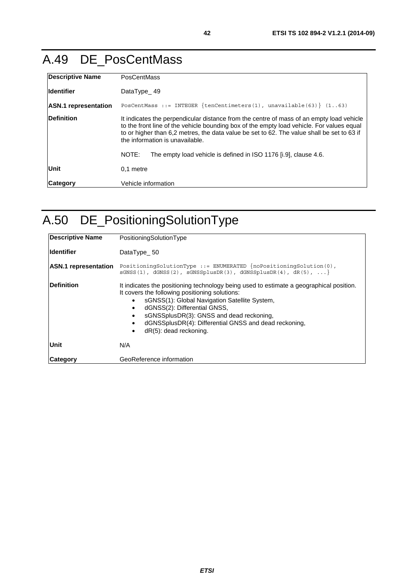### A.49 DE\_PosCentMass

| Descriptive Name            | <b>PosCentMass</b>                                                                                                                                                                                                                                                                                                     |
|-----------------------------|------------------------------------------------------------------------------------------------------------------------------------------------------------------------------------------------------------------------------------------------------------------------------------------------------------------------|
| <b>Identifier</b>           | DataType $49$                                                                                                                                                                                                                                                                                                          |
| <b>ASN.1</b> representation | PosCentMass ::= INTEGER {tenCentimeters(1), unavailable(63)} $(163)$                                                                                                                                                                                                                                                   |
| <b>IDefinition</b>          | It indicates the perpendicular distance from the centre of mass of an empty load vehicle<br>to the front line of the vehicle bounding box of the empty load vehicle. For values equal<br>to or higher than 6.2 metres, the data value be set to 62. The value shall be set to 63 if<br>the information is unavailable. |
|                             | The empty load vehicle is defined in ISO 1176 [i.9], clause 4.6.<br>NOTE:                                                                                                                                                                                                                                              |
| Unit                        | 0.1 metre                                                                                                                                                                                                                                                                                                              |
| <b>Category</b>             | Vehicle information                                                                                                                                                                                                                                                                                                    |

# A.50 DE\_PositioningSolutionType

| <b>Descriptive Name</b>     | PositioningSolutionType                                                                                                                                                                                                                                                                                                                                                                     |
|-----------------------------|---------------------------------------------------------------------------------------------------------------------------------------------------------------------------------------------------------------------------------------------------------------------------------------------------------------------------------------------------------------------------------------------|
| <b>Identifier</b>           | DataType 50                                                                                                                                                                                                                                                                                                                                                                                 |
| <b>ASN.1</b> representation | PositioningSolutionType ::= ENUMERATED $\{noPositioningSolution(0),\}$<br>$SGNSS(1)$ , $dGNSS(2)$ , $SGNSSplusDR(3)$ , $dGNSSplusDR(4)$ , $dR(5)$ ,                                                                                                                                                                                                                                         |
| <b>IDefinition</b>          | It indicates the positioning technology being used to estimate a geographical position.<br>It covers the following positioning solutions:<br>sGNSS(1): Global Navigation Satellite System,<br>dGNSS(2): Differential GNSS,<br>sGNSSplusDR(3): GNSS and dead reckoning,<br>$\bullet$<br>dGNSSplusDR(4): Differential GNSS and dead reckoning,<br>$\bullet$<br>$dR(5)$ : dead reckoning.<br>٠ |
| Unit                        | N/A                                                                                                                                                                                                                                                                                                                                                                                         |
| Category                    | GeoReference information                                                                                                                                                                                                                                                                                                                                                                    |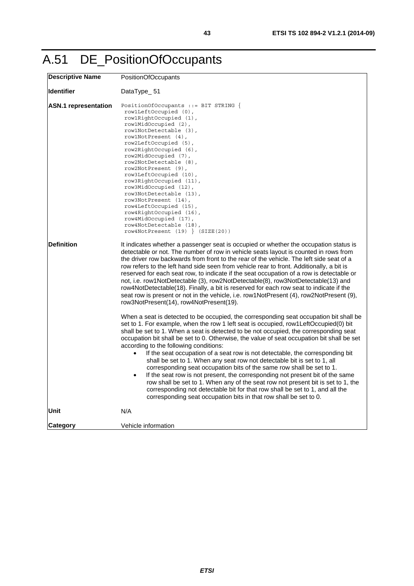| <b>Descriptive Name</b>     | PositionOfOccupants                                                                                                                                                                                                                                                                                                                                                                                                                                                                                                                                                                                                                                                                                                                                                                                                                     |
|-----------------------------|-----------------------------------------------------------------------------------------------------------------------------------------------------------------------------------------------------------------------------------------------------------------------------------------------------------------------------------------------------------------------------------------------------------------------------------------------------------------------------------------------------------------------------------------------------------------------------------------------------------------------------------------------------------------------------------------------------------------------------------------------------------------------------------------------------------------------------------------|
| <b>Identifier</b>           | DataType $-51$                                                                                                                                                                                                                                                                                                                                                                                                                                                                                                                                                                                                                                                                                                                                                                                                                          |
| <b>ASN.1</b> representation | PositionOfOccupants ::= BIT STRING $\{$<br>rowlLeftOccupied (0),<br>row1RightOccupied (1),<br>row1MidOccupied (2),<br>row1NotDetectable (3),<br>row1NotPresent (4),<br>row2LeftOccupied (5),<br>row2RightOccupied (6),<br>row2MidOccupied (7),<br>row2NotDetectable (8),<br>row2NotPresent (9),<br>row3LeftOccupied (10),<br>row3RightOccupied (11),<br>row3MidOccupied (12),<br>row3NotDetectable (13),<br>row3NotPresent (14),<br>row4LeftOccupied (15),<br>row4RightOccupied (16),<br>row4MidOccupied (17),<br>row4NotDetectable (18),<br>$row4NotPresent (19)$ (SIZE(20))                                                                                                                                                                                                                                                           |
| <b>Definition</b>           | It indicates whether a passenger seat is occupied or whether the occupation status is<br>detectable or not. The number of row in vehicle seats layout is counted in rows from<br>the driver row backwards from front to the rear of the vehicle. The left side seat of a<br>row refers to the left hand side seen from vehicle rear to front. Additionally, a bit is<br>reserved for each seat row, to indicate if the seat occupation of a row is detectable or<br>not, i.e. row1NotDetectable (3), row2NotDetectable(8), row3NotDetectable(13) and<br>row4NotDetectable(18). Finally, a bit is reserved for each row seat to indicate if the<br>seat row is present or not in the vehicle, i.e. row1NotPresent (4), row2NotPresent (9),<br>row3NotPresent(14), row4NotPresent(19).                                                    |
|                             | When a seat is detected to be occupied, the corresponding seat occupation bit shall be<br>set to 1. For example, when the row 1 left seat is occupied, row1LeftOccupied(0) bit<br>shall be set to 1. When a seat is detected to be not occupied, the corresponding seat<br>occupation bit shall be set to 0. Otherwise, the value of seat occupation bit shall be set<br>according to the following conditions:<br>If the seat occupation of a seat row is not detectable, the corresponding bit<br>shall be set to 1. When any seat row not detectable bit is set to 1, all<br>corresponding seat occupation bits of the same row shall be set to 1.<br>If the seat row is not present, the corresponding not present bit of the same<br>$\bullet$<br>row shall be set to 1. When any of the seat row not present bit is set to 1, the |
|                             | corresponding not detectable bit for that row shall be set to 1, and all the<br>corresponding seat occupation bits in that row shall be set to 0.                                                                                                                                                                                                                                                                                                                                                                                                                                                                                                                                                                                                                                                                                       |
| Unit                        | N/A                                                                                                                                                                                                                                                                                                                                                                                                                                                                                                                                                                                                                                                                                                                                                                                                                                     |
| <b>Category</b>             | Vehicle information                                                                                                                                                                                                                                                                                                                                                                                                                                                                                                                                                                                                                                                                                                                                                                                                                     |

# A.51 DE\_PositionOfOccupants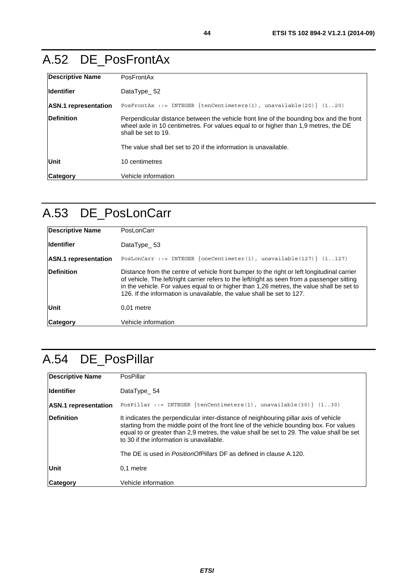### A.52 DE\_PosFrontAx

| <b>Descriptive Name</b>     | PosFrontAx                                                                                                                                                                                            |
|-----------------------------|-------------------------------------------------------------------------------------------------------------------------------------------------------------------------------------------------------|
| <b>Identifier</b>           | DataType 52                                                                                                                                                                                           |
| <b>ASN.1</b> representation | POSFrontAx ::= INTEGER {tenCentimeters(1), unavailable(20)} $(120)$                                                                                                                                   |
| <b>Definition</b>           | Perpendicular distance between the vehicle front line of the bounding box and the front<br>wheel axle in 10 centimetres. For values equal to or higher than 1,9 metres, the DE<br>shall be set to 19. |
|                             | The value shall bet set to 20 if the information is unavailable.                                                                                                                                      |
| Unit                        | 10 centimetres                                                                                                                                                                                        |
| <b>Category</b>             | Vehicle information                                                                                                                                                                                   |

## A.53 DE\_PosLonCarr

| <b>Descriptive Name</b>     | PosLonCarr                                                                                                                                                                                                                                                                                                                                                        |
|-----------------------------|-------------------------------------------------------------------------------------------------------------------------------------------------------------------------------------------------------------------------------------------------------------------------------------------------------------------------------------------------------------------|
| <b>Identifier</b>           | DataType $53$                                                                                                                                                                                                                                                                                                                                                     |
| <b>ASN.1</b> representation | PosLonCarr ::= INTEGER $\{oneCentimeter(1), unavaliable(127)\}$ (1127)                                                                                                                                                                                                                                                                                            |
| <b>Definition</b>           | Distance from the centre of vehicle front bumper to the right or left longitudinal carrier<br>of vehicle. The left/right carrier refers to the left/right as seen from a passenger sitting<br>in the vehicle. For values equal to or higher than 1,26 metres, the value shall be set to<br>126. If the information is unavailable, the value shall be set to 127. |
| Unit                        | $0.01$ metre                                                                                                                                                                                                                                                                                                                                                      |
| <b>Category</b>             | Vehicle information                                                                                                                                                                                                                                                                                                                                               |

# A.54 DE\_PosPillar

| <b>Descriptive Name</b>     | PosPillar                                                                                                                                                                                                                                                                                                                 |
|-----------------------------|---------------------------------------------------------------------------------------------------------------------------------------------------------------------------------------------------------------------------------------------------------------------------------------------------------------------------|
| <b>Identifier</b>           | DataType 54                                                                                                                                                                                                                                                                                                               |
| <b>ASN.1</b> representation | PosPillar ::= INTEGER $\{tenCentimeters(1), unavailable(30)\}$ (130)                                                                                                                                                                                                                                                      |
| Definition                  | It indicates the perpendicular inter-distance of neighbouring pillar axis of vehicle<br>starting from the middle point of the front line of the vehicle bounding box. For values<br>equal to or greater than 2.9 metres, the value shall be set to 29. The value shall be set<br>to 30 if the information is unavailable. |
|                             | The DE is used in <i>Position Of Pillars</i> DF as defined in clause A.120.                                                                                                                                                                                                                                               |
| Unit                        | 0.1 metre                                                                                                                                                                                                                                                                                                                 |
| <b>Category</b>             | Vehicle information                                                                                                                                                                                                                                                                                                       |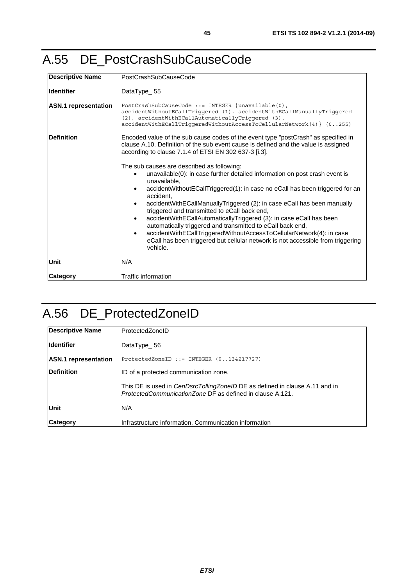#### A.55 DE\_PostCrashSubCauseCode

| <b>Descriptive Name</b>     | PostCrashSubCauseCode                                                                                                                                                                                                                                                                                                                                                                                                                                                                                                                                                                                                                                                                                                             |
|-----------------------------|-----------------------------------------------------------------------------------------------------------------------------------------------------------------------------------------------------------------------------------------------------------------------------------------------------------------------------------------------------------------------------------------------------------------------------------------------------------------------------------------------------------------------------------------------------------------------------------------------------------------------------------------------------------------------------------------------------------------------------------|
| <b>Identifier</b>           | DataType_55                                                                                                                                                                                                                                                                                                                                                                                                                                                                                                                                                                                                                                                                                                                       |
| <b>ASN.1</b> representation | PostCrashSubCauseCode ::= INTEGER $\{unavailable(0),\}$<br>accidentWithoutECallTriggered (1), accidentWithECallManuallyTriggered<br>(2), accidentWithECallAutomaticallyTriqqered (3),<br>accidentWithECallTriggeredWithoutAccessToCellularNetwork(4) } (0255)                                                                                                                                                                                                                                                                                                                                                                                                                                                                     |
| Definition                  | Encoded value of the sub cause codes of the event type "postCrash" as specified in<br>clause A.10. Definition of the sub event cause is defined and the value is assigned<br>according to clause 7.1.4 of ETSI EN 302 637-3 [i.3].                                                                                                                                                                                                                                                                                                                                                                                                                                                                                                |
|                             | The sub causes are described as following:<br>unavailable(0): in case further detailed information on post crash event is<br>unavailable,<br>accidentWithoutECallTriggered(1): in case no eCall has been triggered for an<br>$\bullet$<br>accident.<br>accidentWithECallManuallyTriggered (2): in case eCall has been manually<br>$\bullet$<br>triggered and transmitted to eCall back end,<br>accidentWithECallAutomaticallyTriggered (3): in case eCall has been<br>$\bullet$<br>automatically triggered and transmitted to eCall back end,<br>accidentWithECallTriggeredWithoutAccessToCellularNetwork(4): in case<br>$\bullet$<br>eCall has been triggered but cellular network is not accessible from triggering<br>vehicle. |
| Unit                        | N/A                                                                                                                                                                                                                                                                                                                                                                                                                                                                                                                                                                                                                                                                                                                               |
| <b>Category</b>             | <b>Traffic information</b>                                                                                                                                                                                                                                                                                                                                                                                                                                                                                                                                                                                                                                                                                                        |

### A.56 DE\_ProtectedZoneID

| <b>Descriptive Name</b>     | ProtectedZoneID                                                                                                                                 |
|-----------------------------|-------------------------------------------------------------------------------------------------------------------------------------------------|
| <b>Identifier</b>           | DataType $-56$                                                                                                                                  |
| <b>ASN.1</b> representation | ProtectedZoneID ::= INTEGER $(0134217727)$                                                                                                      |
| <b>IDefinition</b>          | ID of a protected communication zone.                                                                                                           |
|                             | This DE is used in <i>CenDsrcTollingZoneID</i> DE as defined in clause A.11 and in<br>ProtectedCommunicationZone DF as defined in clause A.121. |
| Unit                        | N/A                                                                                                                                             |
| <b>Category</b>             | Infrastructure information, Communication information                                                                                           |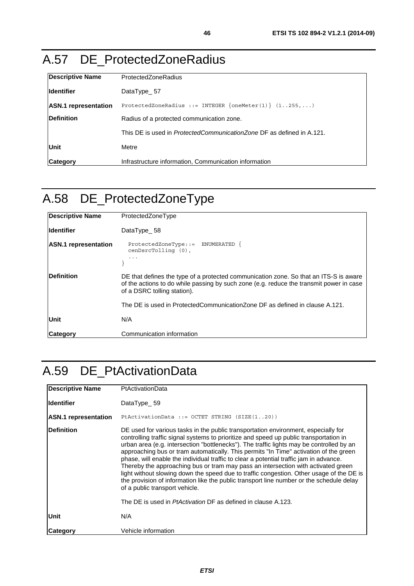#### A.57 DE\_ProtectedZoneRadius

| <b>Descriptive Name</b>     | ProtectedZoneRadius                                                          |
|-----------------------------|------------------------------------------------------------------------------|
| lldentifier                 | DataType 57                                                                  |
| <b>ASN.1</b> representation | ProtectedZoneRadius ::= INTEGER $\{oneMeter(1)\}$ $(1.255,)$                 |
| Definition                  | Radius of a protected communication zone.                                    |
|                             | This DE is used in <i>ProtectedCommunicationZone</i> DF as defined in A.121. |
| Unit                        | Metre                                                                        |
| Category                    | Infrastructure information, Communication information                        |

# A.58 DE\_ProtectedZoneType

| Descriptive Name            | ProtectedZoneType                                                                                                                                                                                               |
|-----------------------------|-----------------------------------------------------------------------------------------------------------------------------------------------------------------------------------------------------------------|
| <b>Identifier</b>           | DataType 58                                                                                                                                                                                                     |
| <b>ASN.1</b> representation | $ProtocolZoneType::=$ ENUMERATED $\{$<br>$c$ en $D$ src $T$ ollinq $(0)$ ,                                                                                                                                      |
| <b>IDefinition</b>          | DE that defines the type of a protected communication zone. So that an ITS-S is aware<br>of the actions to do while passing by such zone (e.g. reduce the transmit power in case<br>of a DSRC tolling station). |
|                             | The DE is used in ProtectedCommunicationZone DF as defined in clause A.121.                                                                                                                                     |
| Unit                        | N/A                                                                                                                                                                                                             |
| <b>Category</b>             | Communication information                                                                                                                                                                                       |

### A.59 DE\_PtActivationData

| <b>Descriptive Name</b>     | <b>PtActivationData</b>                                                                                                                                                                                                                                                                                                                                                                                                                                                                                                                                                                                                                                                                                                                                                                                                                            |
|-----------------------------|----------------------------------------------------------------------------------------------------------------------------------------------------------------------------------------------------------------------------------------------------------------------------------------------------------------------------------------------------------------------------------------------------------------------------------------------------------------------------------------------------------------------------------------------------------------------------------------------------------------------------------------------------------------------------------------------------------------------------------------------------------------------------------------------------------------------------------------------------|
| lldentifier                 | DataType $-59$                                                                                                                                                                                                                                                                                                                                                                                                                                                                                                                                                                                                                                                                                                                                                                                                                                     |
| <b>ASN.1</b> representation | PtActivationData ::= OCTET STRING (SIZE(120))                                                                                                                                                                                                                                                                                                                                                                                                                                                                                                                                                                                                                                                                                                                                                                                                      |
| <b>Definition</b>           | DE used for various tasks in the public transportation environment, especially for<br>controlling traffic signal systems to prioritize and speed up public transportation in<br>urban area (e.g. intersection "bottlenecks"). The traffic lights may be controlled by an<br>approaching bus or tram automatically. This permits "In Time" activation of the green<br>phase, will enable the individual traffic to clear a potential traffic jam in advance.<br>Thereby the approaching bus or tram may pass an intersection with activated green<br>light without slowing down the speed due to traffic congestion. Other usage of the DE is<br>the provision of information like the public transport line number or the schedule delay<br>of a public transport vehicle.<br>The DE is used in <i>PtActivation</i> DF as defined in clause A.123. |
| Unit                        | N/A                                                                                                                                                                                                                                                                                                                                                                                                                                                                                                                                                                                                                                                                                                                                                                                                                                                |
| Category                    | Vehicle information                                                                                                                                                                                                                                                                                                                                                                                                                                                                                                                                                                                                                                                                                                                                                                                                                                |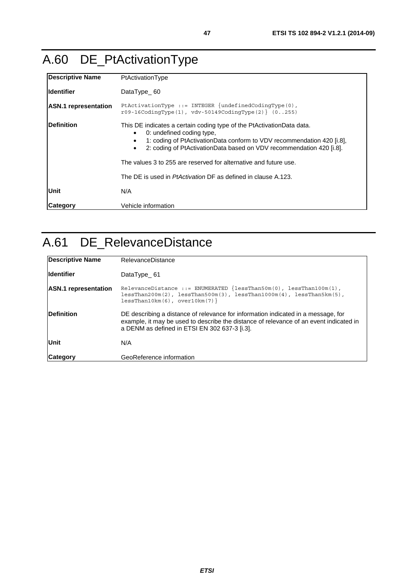# A.60 DE\_PtActivationType

| Descriptive Name            | PtActivationType                                                                                                                                                                                                                                                                                                                                                                                                        |
|-----------------------------|-------------------------------------------------------------------------------------------------------------------------------------------------------------------------------------------------------------------------------------------------------------------------------------------------------------------------------------------------------------------------------------------------------------------------|
| lldentifier                 | DataType $_60$                                                                                                                                                                                                                                                                                                                                                                                                          |
| <b>ASN.1</b> representation | PtActivationType ::= INTEGER $\{undefined\}$ codingType $(0)$ ,<br>$r09-16$ CodinqType(1), vdv-50149CodinqType(2) { $(0255)$                                                                                                                                                                                                                                                                                            |
| Definition                  | This DE indicates a certain coding type of the PtActivationData data.<br>0: undefined coding type,<br>٠<br>1: coding of PtActivationData conform to VDV recommendation 420 [i.8],<br>٠<br>2: coding of PtActivationData based on VDV recommendation 420 [i.8].<br>$\bullet$<br>The values 3 to 255 are reserved for alternative and future use.<br>The DE is used in <i>PtActivation</i> DF as defined in clause A.123. |
| <b>Unit</b>                 | N/A                                                                                                                                                                                                                                                                                                                                                                                                                     |
| <b>Category</b>             | Vehicle information                                                                                                                                                                                                                                                                                                                                                                                                     |

## A.61 DE\_RelevanceDistance

| <b>Descriptive Name</b>     | RelevanceDistance                                                                                                                                                                                                            |
|-----------------------------|------------------------------------------------------------------------------------------------------------------------------------------------------------------------------------------------------------------------------|
| <b>Identifier</b>           | DataType 61                                                                                                                                                                                                                  |
| <b>ASN.1</b> representation | RelevanceDistance ::= ENUMERATED $\{lessThan50m(0), lessThan100m(1),$<br>$lessThan200m(2)$ , $lessThan500m(3)$ , $lessThan1000m(4)$ , $lessThan5km(5)$ ,<br>$lessThan10km(6)$ , over $10km(7)$                               |
| <b>Definition</b>           | DE describing a distance of relevance for information indicated in a message, for<br>example, it may be used to describe the distance of relevance of an event indicated in<br>a DENM as defined in ETSI EN 302 637-3 [i.3]. |
| Unit                        | N/A                                                                                                                                                                                                                          |
| <b>Category</b>             | GeoReference information                                                                                                                                                                                                     |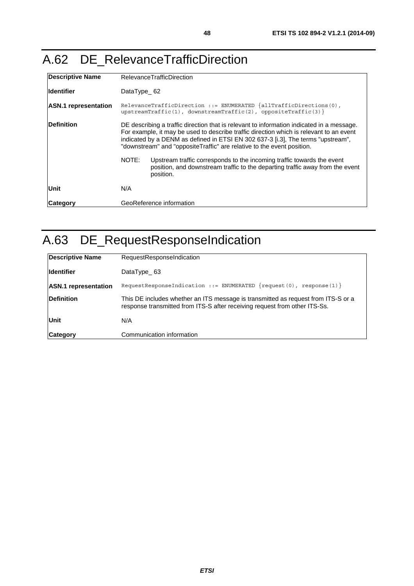### A.62 DE\_RelevanceTrafficDirection

| <b>Descriptive Name</b>     | <b>RelevanceTrafficDirection</b>                                                                                                                                                                                                                                                                                                                   |
|-----------------------------|----------------------------------------------------------------------------------------------------------------------------------------------------------------------------------------------------------------------------------------------------------------------------------------------------------------------------------------------------|
| <b>Identifier</b>           | DataType $\_62$                                                                                                                                                                                                                                                                                                                                    |
| <b>ASN.1</b> representation | RelevanceTrafficDirection ::= ENUMERATED $\{allTrafficDirections(0),\}$<br>upstreamTraffic(1), downstreamTraffic(2), oppositeTraffic(3) }                                                                                                                                                                                                          |
| <b>IDefinition</b>          | DE describing a traffic direction that is relevant to information indicated in a message.<br>For example, it may be used to describe traffic direction which is relevant to an event<br>indicated by a DENM as defined in ETSI EN 302 637-3 [i.3]. The terms "upstream",<br>"downstream" and "oppositeTraffic" are relative to the event position. |
|                             | NOTE:<br>Upstream traffic corresponds to the incoming traffic towards the event<br>position, and downstream traffic to the departing traffic away from the event<br>position.                                                                                                                                                                      |
| Unit                        | N/A                                                                                                                                                                                                                                                                                                                                                |
| Category                    | GeoReference information                                                                                                                                                                                                                                                                                                                           |

# A.63 DE\_RequestResponseIndication

| Descriptive Name            | RequestResponseIndication                                                                                                                                       |
|-----------------------------|-----------------------------------------------------------------------------------------------------------------------------------------------------------------|
| <b>Ildentifier</b>          | DataType 63                                                                                                                                                     |
| <b>ASN.1</b> representation | RequestResponseIndication ::= ENUMERATED $\{request(0), response(1)\}$                                                                                          |
| <b>Definition</b>           | This DE includes whether an ITS message is transmitted as request from ITS-S or a<br>response transmitted from ITS-S after receiving request from other ITS-Ss. |
| Unit                        | N/A                                                                                                                                                             |
| Category                    | Communication information                                                                                                                                       |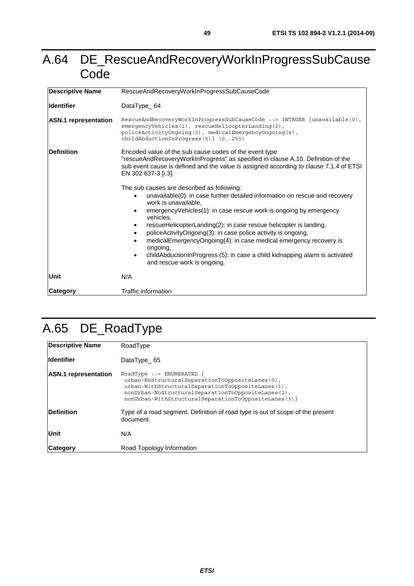#### A.64 DE\_RescueAndRecoveryWorkInProgressSubCause **Code**

| <b>Descriptive Name</b>     | RescueAndRecoveryWorkInProgressSubCauseCode                                                                                                                                                                                                                                                                                                                                                                                                                                                                                                                                                        |
|-----------------------------|----------------------------------------------------------------------------------------------------------------------------------------------------------------------------------------------------------------------------------------------------------------------------------------------------------------------------------------------------------------------------------------------------------------------------------------------------------------------------------------------------------------------------------------------------------------------------------------------------|
| <b>Identifier</b>           | DataType_64                                                                                                                                                                                                                                                                                                                                                                                                                                                                                                                                                                                        |
| <b>ASN.1</b> representation | RescueAndRecoveryWorkInProgressSubCauseCode ::= INTEGER $\{unavailable(0),\}$<br>emergencyVehicles(1), rescueHelicopterLanding(2),<br>policeActivityOngoing(3), medicalEmergencyOngoing(4),<br>$childAbductionInProgress(5)$ $(0255)$                                                                                                                                                                                                                                                                                                                                                              |
| Definition                  | Encoded value of the sub cause codes of the event type<br>"rescueAndRecoveryWorkInProgress" as specified in clause A.10. Definition of the<br>sub event cause is defined and the value is assigned according to clause 7.1.4 of ETSI<br>EN 302 637-3 [i.3].                                                                                                                                                                                                                                                                                                                                        |
|                             | The sub causes are described as following:<br>unavailable(0): in case further detailed information on rescue and recovery<br>$\bullet$<br>work is unavailable,<br>emergencyVehicles(1): in case rescue work is ongoing by emergency<br>vehicles.<br>rescueHelicopterLanding(2): in case rescue helicopter is landing,<br>policeActivityOngoing(3): in case police activity is ongoing,<br>medicalEmergencyOngoing(4): in case medical emergency recovery is<br>ongoing,<br>childAbductionInProgress (5): in case a child kidnapping alarm is activated<br>$\bullet$<br>and rescue work is ongoing. |
| Unit                        | N/A                                                                                                                                                                                                                                                                                                                                                                                                                                                                                                                                                                                                |
| Category                    | Traffic information                                                                                                                                                                                                                                                                                                                                                                                                                                                                                                                                                                                |

# A.65 DE\_RoadType

| Descriptive Name            | RoadType                                                                                                                                                                                                                                            |
|-----------------------------|-----------------------------------------------------------------------------------------------------------------------------------------------------------------------------------------------------------------------------------------------------|
| <b>Identifier</b>           | DataType 65                                                                                                                                                                                                                                         |
| <b>ASN.1</b> representation | $RoadType :: = ENUMERATED$ {<br>urban-NoStructuralSeparationToOppositeLanes(0),<br>urban-WithStructuralSeparationToOppositeLanes(1),<br>nonUrban-NoStructuralSeparationToOppositeLanes(2),<br>nonUrban-WithStructuralSeparationToOppositeLanes(3) } |
| <b>Definition</b>           | Type of a road segment. Definition of road type is out of scope of the present<br>document.                                                                                                                                                         |
| Unit                        | N/A                                                                                                                                                                                                                                                 |
| ∣Cateqory                   | Road Topology Information                                                                                                                                                                                                                           |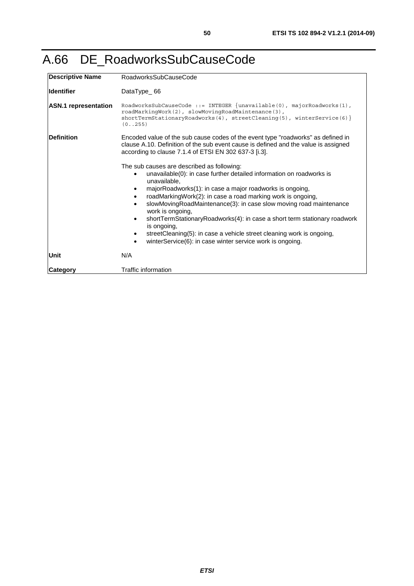### A.66 DE\_RoadworksSubCauseCode

| Descriptive Name            | RoadworksSubCauseCode                                                                                                                                                                                                                                                                                                                                                                                                                                                                                                                                                                                  |
|-----------------------------|--------------------------------------------------------------------------------------------------------------------------------------------------------------------------------------------------------------------------------------------------------------------------------------------------------------------------------------------------------------------------------------------------------------------------------------------------------------------------------------------------------------------------------------------------------------------------------------------------------|
| <b>Identifier</b>           | DataType_66                                                                                                                                                                                                                                                                                                                                                                                                                                                                                                                                                                                            |
| <b>ASN.1</b> representation | RoadworksSubCauseCode ::= INTEGER $\{unavailable(0), majorReadworks(1),$<br>roadMarkingWork(2), slowMovingRoadMaintenance(3),<br>$shortTermStationaryReadworks(4)$ , $streettexianing(5)$ , winterService(6) }<br>(0.0255)                                                                                                                                                                                                                                                                                                                                                                             |
| <b>IDefinition</b>          | Encoded value of the sub cause codes of the event type "roadworks" as defined in<br>clause A.10. Definition of the sub event cause is defined and the value is assigned<br>according to clause 7.1.4 of ETSI EN 302 637-3 [i.3].                                                                                                                                                                                                                                                                                                                                                                       |
|                             | The sub causes are described as following:<br>unavailable(0): in case further detailed information on roadworks is<br>unavailable.<br>majorRoadworks(1): in case a major roadworks is ongoing,<br>roadMarkingWork(2): in case a road marking work is ongoing,<br>slowMovingRoadMaintenance(3): in case slow moving road maintenance<br>work is ongoing,<br>shortTermStationaryRoadworks(4): in case a short term stationary roadwork<br>is ongoing,<br>streetCleaning(5): in case a vehicle street cleaning work is ongoing,<br>winterService(6): in case winter service work is ongoing.<br>$\bullet$ |
| Unit                        | N/A                                                                                                                                                                                                                                                                                                                                                                                                                                                                                                                                                                                                    |
| Category                    | Traffic information                                                                                                                                                                                                                                                                                                                                                                                                                                                                                                                                                                                    |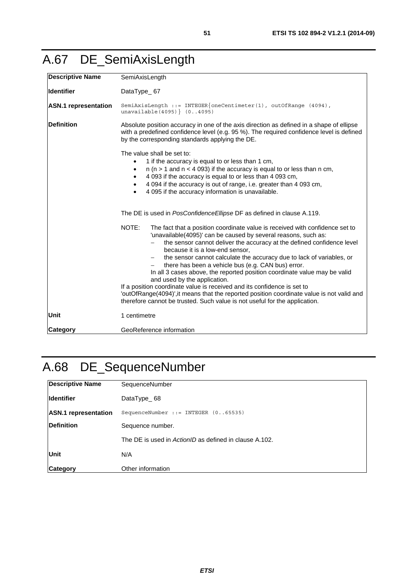<span id="page-50-0"></span>

| <b>Descriptive Name</b>     | SemiAxisLength                                                                                                                                                                                                                                                                                                                                                                                                                                                                                                                                                                                                                                                                                                                                                         |
|-----------------------------|------------------------------------------------------------------------------------------------------------------------------------------------------------------------------------------------------------------------------------------------------------------------------------------------------------------------------------------------------------------------------------------------------------------------------------------------------------------------------------------------------------------------------------------------------------------------------------------------------------------------------------------------------------------------------------------------------------------------------------------------------------------------|
| <b>Identifier</b>           | DataType_67                                                                                                                                                                                                                                                                                                                                                                                                                                                                                                                                                                                                                                                                                                                                                            |
| <b>ASN.1</b> representation | SemiAxisLength ::= INTEGER{oneCentimeter(1), outOfRange (4094),<br>unavailable(4095) (04095)                                                                                                                                                                                                                                                                                                                                                                                                                                                                                                                                                                                                                                                                           |
| <b>Definition</b>           | Absolute position accuracy in one of the axis direction as defined in a shape of ellipse<br>with a predefined confidence level (e.g. 95 %). The required confidence level is defined<br>by the corresponding standards applying the DE.                                                                                                                                                                                                                                                                                                                                                                                                                                                                                                                                |
|                             | The value shall be set to:<br>1 if the accuracy is equal to or less than 1 cm,<br>$n$ ( $n > 1$ and $n < 4$ 093) if the accuracy is equal to or less than n cm,<br>$\bullet$<br>4 093 if the accuracy is equal to or less than 4 093 cm,<br>$\bullet$<br>4 094 if the accuracy is out of range, i.e. greater than 4 093 cm,<br>$\bullet$<br>4 095 if the accuracy information is unavailable.                                                                                                                                                                                                                                                                                                                                                                          |
|                             | The DE is used in PosConfidence Ellipse DF as defined in clause A.119.                                                                                                                                                                                                                                                                                                                                                                                                                                                                                                                                                                                                                                                                                                 |
|                             | NOTE:<br>The fact that a position coordinate value is received with confidence set to<br>'unavailable(4095)' can be caused by several reasons, such as:<br>the sensor cannot deliver the accuracy at the defined confidence level<br>because it is a low-end sensor,<br>the sensor cannot calculate the accuracy due to lack of variables, or<br>there has been a vehicle bus (e.g. CAN bus) error.<br>In all 3 cases above, the reported position coordinate value may be valid<br>and used by the application.<br>If a position coordinate value is received and its confidence is set to<br>'outOfRange(4094)', it means that the reported position coordinate value is not valid and<br>therefore cannot be trusted. Such value is not useful for the application. |
| <b>Unit</b>                 | 1 centimetre                                                                                                                                                                                                                                                                                                                                                                                                                                                                                                                                                                                                                                                                                                                                                           |
| <b>Category</b>             | GeoReference information                                                                                                                                                                                                                                                                                                                                                                                                                                                                                                                                                                                                                                                                                                                                               |

# A.68 DE\_SequenceNumber

| <b>Descriptive Name</b>     | SequenceNumber                                         |
|-----------------------------|--------------------------------------------------------|
| <b>Identifier</b>           | DataType 68                                            |
| <b>ASN.1</b> representation | SequenceNumber ::= INTEGER $(065535)$                  |
| <b>Definition</b>           | Sequence number.                                       |
|                             | The DE is used in ActionID as defined in clause A.102. |
| <b>Unit</b>                 | N/A                                                    |
| <b>Category</b>             | Other information                                      |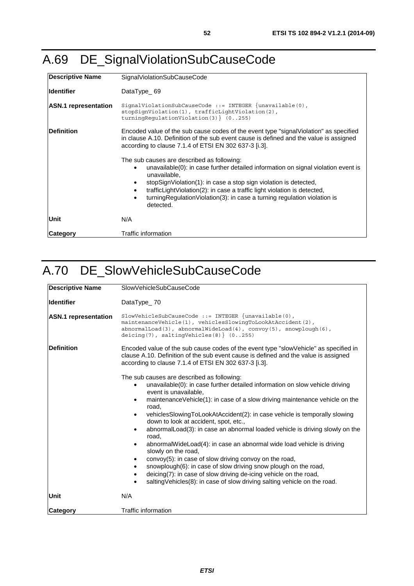| <b>Descriptive Name</b>     | SignalViolationSubCauseCode                                                                                                                                                                                                                                                                                                                                                                                                                                                                                                                                                                                                                           |
|-----------------------------|-------------------------------------------------------------------------------------------------------------------------------------------------------------------------------------------------------------------------------------------------------------------------------------------------------------------------------------------------------------------------------------------------------------------------------------------------------------------------------------------------------------------------------------------------------------------------------------------------------------------------------------------------------|
| <b>Identifier</b>           | DataType 69                                                                                                                                                                                                                                                                                                                                                                                                                                                                                                                                                                                                                                           |
| <b>ASN.1</b> representation | $Signal ViolationSubCause$ := INTEGER ${unavailable(0)}$ ,<br>stopSignViolation(1), trafficLightViolation(2),<br>turningRegulationViolation(3) } (0255)                                                                                                                                                                                                                                                                                                                                                                                                                                                                                               |
| Definition                  | Encoded value of the sub cause codes of the event type "signal Violation" as specified<br>in clause A.10. Definition of the sub event cause is defined and the value is assigned<br>according to clause 7.1.4 of ETSI EN 302 637-3 [i.3].<br>The sub causes are described as following:<br>unavailable(0): in case further detailed information on signal violation event is<br>$\bullet$<br>unavailable.<br>stopSignViolation(1): in case a stop sign violation is detected,<br>trafficLightViolation(2): in case a traffic light violation is detected,<br>turning Regulation Violation (3): in case a turning regulation violation is<br>detected. |
| Unit                        | N/A                                                                                                                                                                                                                                                                                                                                                                                                                                                                                                                                                                                                                                                   |
| Category                    | Traffic information                                                                                                                                                                                                                                                                                                                                                                                                                                                                                                                                                                                                                                   |

#### A.70 DE\_SlowVehicleSubCauseCode

| <b>Descriptive Name</b>     | SlowVehicleSubCauseCode                                                                                                                                                                                                                                                                                                                                                                                                                                                                                                                                                                                                                                                                                                                                                                                                                                                        |
|-----------------------------|--------------------------------------------------------------------------------------------------------------------------------------------------------------------------------------------------------------------------------------------------------------------------------------------------------------------------------------------------------------------------------------------------------------------------------------------------------------------------------------------------------------------------------------------------------------------------------------------------------------------------------------------------------------------------------------------------------------------------------------------------------------------------------------------------------------------------------------------------------------------------------|
| <b>Identifier</b>           | DataType_70                                                                                                                                                                                                                                                                                                                                                                                                                                                                                                                                                                                                                                                                                                                                                                                                                                                                    |
| <b>ASN.1</b> representation | $SlowVehicleSubCause$ Code ::= INTEGER $\{unavailable(0)\}$ ,<br>maintenanceVehicle(1), vehiclesSlowinqToLookAtAccident(2),<br>$abnormalLoad(3)$ , $abnormalWindow(4)$ , $convoy(5)$ , $smooth(6)$ ,<br>deicing(7), saltingVehicles(8) } $(0255)$                                                                                                                                                                                                                                                                                                                                                                                                                                                                                                                                                                                                                              |
| <b>Definition</b>           | Encoded value of the sub cause codes of the event type "slow Vehicle" as specified in<br>clause A.10. Definition of the sub event cause is defined and the value is assigned<br>according to clause 7.1.4 of ETSI EN 302 637-3 [i.3].                                                                                                                                                                                                                                                                                                                                                                                                                                                                                                                                                                                                                                          |
|                             | The sub causes are described as following:<br>unavailable(0): in case further detailed information on slow vehicle driving<br>event is unavailable,<br>maintenanceVehicle(1): in case of a slow driving maintenance vehicle on the<br>$\bullet$<br>road,<br>vehiclesSlowingToLookAtAccident(2): in case vehicle is temporally slowing<br>down to look at accident, spot, etc.,<br>abnormalLoad(3): in case an abnormal loaded vehicle is driving slowly on the<br>road,<br>abnormalWideLoad(4): in case an abnormal wide load vehicle is driving<br>٠<br>slowly on the road,<br>convoy(5): in case of slow driving convoy on the road,<br>snowplough(6): in case of slow driving snow plough on the road,<br>٠<br>deicing(7): in case of slow driving de-icing vehicle on the road,<br>$\bullet$<br>salting Vehicles (8): in case of slow driving salting vehicle on the road. |
| Unit                        | N/A                                                                                                                                                                                                                                                                                                                                                                                                                                                                                                                                                                                                                                                                                                                                                                                                                                                                            |
| Category                    | <b>Traffic information</b>                                                                                                                                                                                                                                                                                                                                                                                                                                                                                                                                                                                                                                                                                                                                                                                                                                                     |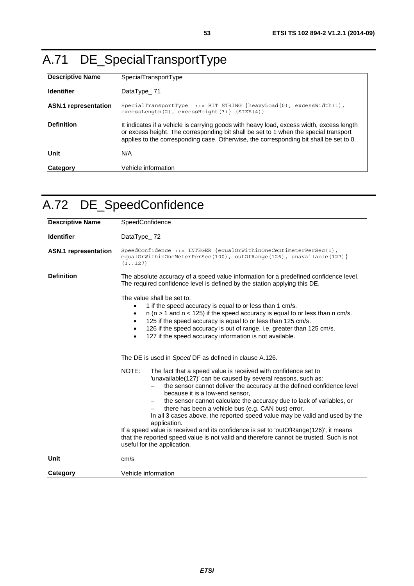# A.71 DE\_SpecialTransportType

| <b>Descriptive Name</b>     | SpecialTransportType                                                                                                                                                                                                                                                       |
|-----------------------------|----------------------------------------------------------------------------------------------------------------------------------------------------------------------------------------------------------------------------------------------------------------------------|
| <b>Identifier</b>           | DataType 71                                                                                                                                                                                                                                                                |
| <b>ASN.1</b> representation | SpecialTransportType ::= BIT STRING $\{heavyLoad(0)$ , excessWidth(1),<br>$excessLength(2)$ , $excessHeight(3)$ $(SIZE(4))$                                                                                                                                                |
| <b>Definition</b>           | It indicates if a vehicle is carrying goods with heavy load, excess width, excess length<br>or excess height. The corresponding bit shall be set to 1 when the special transport<br>applies to the corresponding case. Otherwise, the corresponding bit shall be set to 0. |
| <b>Unit</b>                 | N/A                                                                                                                                                                                                                                                                        |
| <b>Category</b>             | Vehicle information                                                                                                                                                                                                                                                        |

## A.72 DE\_SpeedConfidence

| <b>Descriptive Name</b>     | SpeedConfidence                                                                                                                                                                                                                                                                                                                                                                                                                                                                                                                                                                                                                                                                                        |
|-----------------------------|--------------------------------------------------------------------------------------------------------------------------------------------------------------------------------------------------------------------------------------------------------------------------------------------------------------------------------------------------------------------------------------------------------------------------------------------------------------------------------------------------------------------------------------------------------------------------------------------------------------------------------------------------------------------------------------------------------|
| <b>Identifier</b>           | DataType_72                                                                                                                                                                                                                                                                                                                                                                                                                                                                                                                                                                                                                                                                                            |
| <b>ASN.1</b> representation | SpeedConfidence ::= INTEGER $\{equalOrWithinOneCentimeterPerSec(1),\}$<br>equalOrWithinOneMeterPerSec(100), outOfRange(126), unavailable(127) }<br>(1.127)                                                                                                                                                                                                                                                                                                                                                                                                                                                                                                                                             |
| <b>Definition</b>           | The absolute accuracy of a speed value information for a predefined confidence level.<br>The required confidence level is defined by the station applying this DE.                                                                                                                                                                                                                                                                                                                                                                                                                                                                                                                                     |
|                             | The value shall be set to:<br>1 if the speed accuracy is equal to or less than 1 cm/s.<br>n (n > 1 and n < 125) if the speed accuracy is equal to or less than n cm/s.<br>٠<br>125 if the speed accuracy is equal to or less than 125 cm/s.<br>$\bullet$<br>126 if the speed accuracy is out of range, i.e. greater than 125 cm/s.<br>$\bullet$<br>127 if the speed accuracy information is not available.<br>٠                                                                                                                                                                                                                                                                                        |
|                             | The DE is used in Speed DF as defined in clause A.126.                                                                                                                                                                                                                                                                                                                                                                                                                                                                                                                                                                                                                                                 |
|                             | NOTE:<br>The fact that a speed value is received with confidence set to<br>'unavailable(127)' can be caused by several reasons, such as:<br>the sensor cannot deliver the accuracy at the defined confidence level<br>because it is a low-end sensor,<br>the sensor cannot calculate the accuracy due to lack of variables, or<br>there has been a vehicle bus (e.g. CAN bus) error.<br>In all 3 cases above, the reported speed value may be valid and used by the<br>application.<br>If a speed value is received and its confidence is set to 'outOfRange(126)', it means<br>that the reported speed value is not valid and therefore cannot be trusted. Such is not<br>useful for the application. |
| Unit                        | cm/s                                                                                                                                                                                                                                                                                                                                                                                                                                                                                                                                                                                                                                                                                                   |
| <b>Category</b>             | Vehicle information                                                                                                                                                                                                                                                                                                                                                                                                                                                                                                                                                                                                                                                                                    |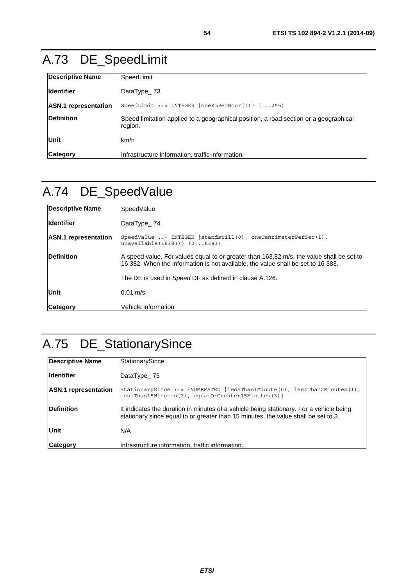# A.73 DE\_SpeedLimit

| <b>Descriptive Name</b>     | SpeedLimit                                                                                       |
|-----------------------------|--------------------------------------------------------------------------------------------------|
| lldentifier                 | DataType $23$                                                                                    |
| <b>ASN.1</b> representation | SpeedLimit ::= INTEGER $\{oneKmPerHour(1)\}$ (1255)                                              |
| Definition                  | Speed limitation applied to a geographical position, a road section or a geographical<br>region. |
| Unit                        | km/h                                                                                             |
| <b>Category</b>             | Infrastructure information, traffic information.                                                 |

# A.74 DE\_SpeedValue

| <b>Descriptive Name</b>     | SpeedValue                                                                                                                                                                   |  |
|-----------------------------|------------------------------------------------------------------------------------------------------------------------------------------------------------------------------|--|
| <b>Identifier</b>           | DataType 74                                                                                                                                                                  |  |
| <b>ASN.1</b> representation | SpeedValue ::= INTEGER $\{$ standstill(0), oneCentimeterPerSec(1),<br>unavailable(16383) (016383)                                                                            |  |
| <b>Definition</b>           | A speed value. For values equal to or greater than 163,82 m/s, the value shall be set to<br>16 382. When the information is not available, the value shall be set to 16 383. |  |
|                             | The DE is used in Speed DF as defined in clause A.126.                                                                                                                       |  |
| Unit                        | $0.01 \text{ m/s}$                                                                                                                                                           |  |
| <b>Category</b>             | Vehicle information                                                                                                                                                          |  |

# A.75 DE\_StationarySince

| Descriptive Name            | StationarySince                                                                                                                                                               |
|-----------------------------|-------------------------------------------------------------------------------------------------------------------------------------------------------------------------------|
| <b>Identifier</b>           | DataType $25$                                                                                                                                                                 |
| <b>ASN.1</b> representation | StationarySince ::= ENUMERATED $\{lessThan1Minute(0), lessThan2Minutes(1),$<br>$less$ Than15Minutes(2), equalOrGreater15Minutes(3) }                                          |
| <b>Definition</b>           | It indicates the duration in minutes of a vehicle being stationary. For a vehicle being<br>stationary since equal to or greater than 15 minutes, the value shall be set to 3. |
| <b>Unit</b>                 | N/A                                                                                                                                                                           |
| <b>Category</b>             | Infrastructure information, traffic information.                                                                                                                              |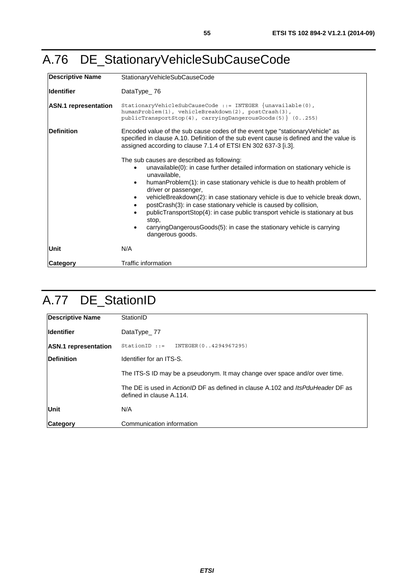## <span id="page-54-0"></span>A.76 DE\_StationaryVehicleSubCauseCode

| <b>Descriptive Name</b>     | StationaryVehicleSubCauseCode                                                                                                                                                                                                                                                                                                                                                                                                                                                                                                                                                                                                                  |  |
|-----------------------------|------------------------------------------------------------------------------------------------------------------------------------------------------------------------------------------------------------------------------------------------------------------------------------------------------------------------------------------------------------------------------------------------------------------------------------------------------------------------------------------------------------------------------------------------------------------------------------------------------------------------------------------------|--|
| <b>Identifier</b>           | DataType 76                                                                                                                                                                                                                                                                                                                                                                                                                                                                                                                                                                                                                                    |  |
| <b>ASN.1</b> representation | StationaryVehicleSubCauseCode ::= INTEGER $\{unavailable(0),\}$<br>humanProblem(1), vehicleBreakdown(2), postCrash(3),<br>$publicTransportStop(4), carryingDangerousGoods(5) (0255)$                                                                                                                                                                                                                                                                                                                                                                                                                                                           |  |
| <b>Definition</b>           | Encoded value of the sub cause codes of the event type "stationary Vehicle" as<br>specified in clause A.10. Definition of the sub event cause is defined and the value is<br>assigned according to clause 7.1.4 of ETSI EN 302 637-3 [i.3].                                                                                                                                                                                                                                                                                                                                                                                                    |  |
|                             | The sub causes are described as following:<br>unavailable(0): in case further detailed information on stationary vehicle is<br>$\bullet$<br>unavailable,<br>humanProblem(1): in case stationary vehicle is due to health problem of<br>$\bullet$<br>driver or passenger,<br>vehicleBreakdown(2): in case stationary vehicle is due to vehicle break down,<br>$\bullet$<br>postCrash(3): in case stationary vehicle is caused by collision,<br>publicTransportStop(4): in case public transport vehicle is stationary at bus<br>$\bullet$<br>stop,<br>carryingDangerousGoods(5): in case the stationary vehicle is carrying<br>dangerous goods. |  |
| Unit                        | N/A                                                                                                                                                                                                                                                                                                                                                                                                                                                                                                                                                                                                                                            |  |
| Category                    | Traffic information                                                                                                                                                                                                                                                                                                                                                                                                                                                                                                                                                                                                                            |  |

## A.77 DE\_StationID

| Descriptive Name            | StationID                                                                                                   |  |
|-----------------------------|-------------------------------------------------------------------------------------------------------------|--|
| <b>Identifier</b>           | DataType_77                                                                                                 |  |
| <b>ASN.1</b> representation | StationID ::= INTEGER(04294967295)                                                                          |  |
| <b>IDefinition</b>          | Identifier for an ITS-S.                                                                                    |  |
|                             | The ITS-S ID may be a pseudonym. It may change over space and/or over time.                                 |  |
|                             | The DE is used in ActionID DF as defined in clause A.102 and ItsPduHeader DF as<br>defined in clause A.114. |  |
| Unit                        | N/A                                                                                                         |  |
| Category                    | Communication information                                                                                   |  |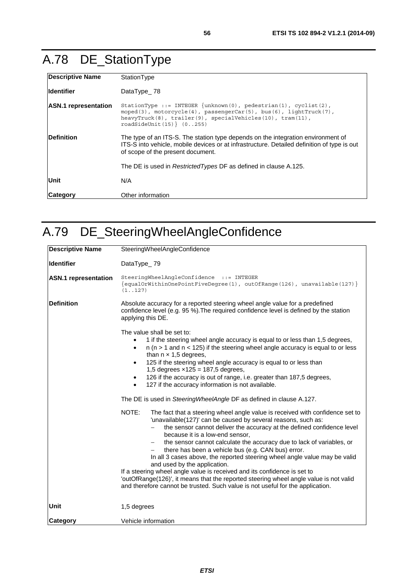# A.78 DE\_StationType

| Descriptive Name            | StationType                                                                                                                                                                                                                        |  |
|-----------------------------|------------------------------------------------------------------------------------------------------------------------------------------------------------------------------------------------------------------------------------|--|
| lldentifier                 | DataType_78                                                                                                                                                                                                                        |  |
| <b>ASN.1</b> representation | StationType ::= INTEGER $\{unknown(0),$ pedestrian(1), cyclist(2),<br>moped(3), motorcycle(4), passengerCar(5), bus(6), lightTruck(7),<br>heavyTruck(8), trailer(9), specialVehicles(10), tram(11),<br>$roadSideUnit(15)$ $(0255)$ |  |
| <b>IDefinition</b>          | The type of an ITS-S. The station type depends on the integration environment of<br>ITS-S into vehicle, mobile devices or at infrastructure. Detailed definition of type is out<br>of scope of the present document.               |  |
|                             | The DE is used in Restricted Types DF as defined in clause A.125.                                                                                                                                                                  |  |
| Unit                        | N/A                                                                                                                                                                                                                                |  |
| <b>ICategory</b>            | Other information                                                                                                                                                                                                                  |  |

# A.79 DE\_SteeringWheelAngleConfidence

| <b>Descriptive Name</b>     | SteeringWheelAngleConfidence                                                                                                                                                                                                                                                                                                                                                                                                                                                                                                                                                                                                                                                                                                                                             |
|-----------------------------|--------------------------------------------------------------------------------------------------------------------------------------------------------------------------------------------------------------------------------------------------------------------------------------------------------------------------------------------------------------------------------------------------------------------------------------------------------------------------------------------------------------------------------------------------------------------------------------------------------------------------------------------------------------------------------------------------------------------------------------------------------------------------|
| <b>Identifier</b>           | DataType_79                                                                                                                                                                                                                                                                                                                                                                                                                                                                                                                                                                                                                                                                                                                                                              |
| <b>ASN.1</b> representation | SteeringWheelAngleConfidence ::= INTEGER<br>{equalOrWithinOnePointFiveDegree(1), outOfRange(126), unavailable(127)}<br>(1.127)                                                                                                                                                                                                                                                                                                                                                                                                                                                                                                                                                                                                                                           |
| <b>Definition</b>           | Absolute accuracy for a reported steering wheel angle value for a predefined<br>confidence level (e.g. 95 %). The required confidence level is defined by the station<br>applying this DE.                                                                                                                                                                                                                                                                                                                                                                                                                                                                                                                                                                               |
|                             | The value shall be set to:<br>1 if the steering wheel angle accuracy is equal to or less than 1,5 degrees,<br>$n$ ( $n > 1$ and $n < 125$ ) if the steering wheel angle accuracy is equal to or less<br>$\bullet$<br>than $n \times 1,5$ degrees,<br>125 if the steering wheel angle accuracy is equal to or less than<br>$\bullet$<br>1,5 degrees $\times$ 125 = 187,5 degrees,<br>126 if the accuracy is out of range, i.e. greater than 187,5 degrees,<br>$\bullet$<br>127 if the accuracy information is not available.                                                                                                                                                                                                                                              |
|                             | The DE is used in SteeringWheelAngle DF as defined in clause A.127.                                                                                                                                                                                                                                                                                                                                                                                                                                                                                                                                                                                                                                                                                                      |
|                             | NOTE:<br>The fact that a steering wheel angle value is received with confidence set to<br>'unavailable(127)' can be caused by several reasons, such as:<br>the sensor cannot deliver the accuracy at the defined confidence level<br>because it is a low-end sensor,<br>the sensor cannot calculate the accuracy due to lack of variables, or<br>there has been a vehicle bus (e.g. CAN bus) error.<br>In all 3 cases above, the reported steering wheel angle value may be valid<br>and used by the application.<br>If a steering wheel angle value is received and its confidence is set to<br>'outOfRange(126)', it means that the reported steering wheel angle value is not valid<br>and therefore cannot be trusted. Such value is not useful for the application. |
| Unit                        | 1,5 degrees                                                                                                                                                                                                                                                                                                                                                                                                                                                                                                                                                                                                                                                                                                                                                              |
| Category                    | Vehicle information                                                                                                                                                                                                                                                                                                                                                                                                                                                                                                                                                                                                                                                                                                                                                      |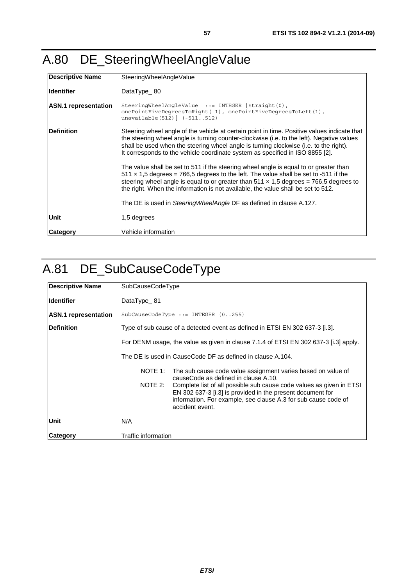## <span id="page-56-0"></span>A.80 DE\_SteeringWheelAngleValue

| <b>Descriptive Name</b>     | SteeringWheelAngleValue                                                                                                                                                                                                                                                                                                                                                  |  |
|-----------------------------|--------------------------------------------------------------------------------------------------------------------------------------------------------------------------------------------------------------------------------------------------------------------------------------------------------------------------------------------------------------------------|--|
| lldentifier                 | DataType $80$                                                                                                                                                                                                                                                                                                                                                            |  |
| <b>ASN.1</b> representation | SteeringWheelAngleValue $::=$ INTEGER {straight $(0)$ ,<br>onePointFiveDeqreesToRight(-1), onePointFiveDeqreesToLeft(1),<br>unavailable $(512)$ $(-511512)$                                                                                                                                                                                                              |  |
| <b>Definition</b>           | Steering wheel angle of the vehicle at certain point in time. Positive values indicate that<br>the steering wheel angle is turning counter-clockwise (i.e. to the left). Negative values<br>shall be used when the steering wheel angle is turning clockwise (i.e. to the right).<br>It corresponds to the vehicle coordinate system as specified in ISO 8855 [2].       |  |
|                             | The value shall be set to 511 if the steering wheel angle is equal to or greater than<br>$511 \times 1.5$ degrees = 766.5 degrees to the left. The value shall be set to -511 if the<br>steering wheel angle is equal to or greater than $511 \times 1.5$ degrees = 766.5 degrees to<br>the right. When the information is not available, the value shall be set to 512. |  |
|                             | The DE is used in SteeringWheelAngle DF as defined in clause A.127.                                                                                                                                                                                                                                                                                                      |  |
| Unit                        | 1,5 degrees                                                                                                                                                                                                                                                                                                                                                              |  |
| <b>Category</b>             | Vehicle information                                                                                                                                                                                                                                                                                                                                                      |  |

### A.81 DE\_SubCauseCodeType

| Descriptive Name            | <b>SubCauseCodeType</b>                                                                                                                                                                                                                                                                                                                               |
|-----------------------------|-------------------------------------------------------------------------------------------------------------------------------------------------------------------------------------------------------------------------------------------------------------------------------------------------------------------------------------------------------|
| lldentifier                 | DataType $_81$                                                                                                                                                                                                                                                                                                                                        |
| <b>ASN.1</b> representation | $SubCause$ CodeType ::= INTEGER $(0255)$                                                                                                                                                                                                                                                                                                              |
| <b>IDefinition</b>          | Type of sub cause of a detected event as defined in ETSI EN 302 637-3 [i.3].                                                                                                                                                                                                                                                                          |
|                             | For DENM usage, the value as given in clause 7.1.4 of ETSI EN 302 637-3 [i.3] apply.                                                                                                                                                                                                                                                                  |
|                             | The DE is used in CauseCode DF as defined in clause A.104.                                                                                                                                                                                                                                                                                            |
|                             | NOTE 1:<br>The sub cause code value assignment varies based on value of<br>causeCode as defined in clause A.10.<br>NOTE 2:<br>Complete list of all possible sub cause code values as given in ETSI<br>EN 302 637-3 [i.3] is provided in the present document for<br>information. For example, see clause A.3 for sub cause code of<br>accident event. |
| Unit                        | N/A                                                                                                                                                                                                                                                                                                                                                   |
| <b>Category</b>             | Traffic information                                                                                                                                                                                                                                                                                                                                   |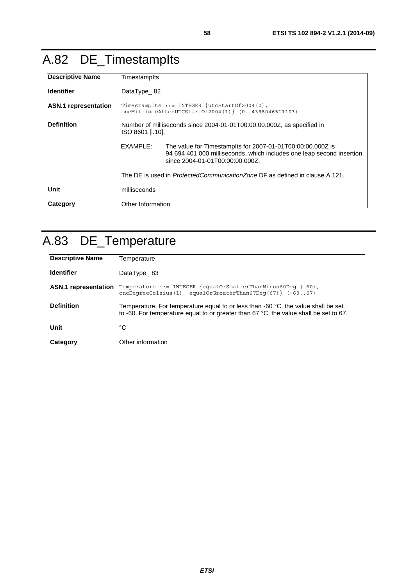# A.82 DE\_TimestampIts

| Descriptive Name            | Timestamplts                                                                                                 |                                                                                                                                                                        |
|-----------------------------|--------------------------------------------------------------------------------------------------------------|------------------------------------------------------------------------------------------------------------------------------------------------------------------------|
| <b>Identifier</b>           | DataType $82$                                                                                                |                                                                                                                                                                        |
| <b>ASN.1</b> representation | TimestampIts ::= INTEGER $\{utcStartOf2004(0),\}$<br>oneMillisecAfterUTCStartOf2004 $(1)$ $(04398046511103)$ |                                                                                                                                                                        |
| <b>Definition</b>           | Number of milliseconds since 2004-01-01T00:00:00.000Z, as specified in<br>ISO 8601 [i.10].                   |                                                                                                                                                                        |
|                             | EXAMPLE:                                                                                                     | The value for Timestamplts for 2007-01-01T00:00:00.000Z is<br>94 694 401 000 milliseconds, which includes one leap second insertion<br>since 2004-01-01T00:00:00.000Z. |
|                             | The DE is used in <i>ProtectedCommunicationZone</i> DF as defined in clause A.121.                           |                                                                                                                                                                        |
| Unit                        | milliseconds                                                                                                 |                                                                                                                                                                        |
| <b>Category</b>             | Other Information                                                                                            |                                                                                                                                                                        |

# A.83 DE\_Temperature

| <b>Descriptive Name</b>     | Temperature                                                                                                                                                                                |
|-----------------------------|--------------------------------------------------------------------------------------------------------------------------------------------------------------------------------------------|
| <b>Identifier</b>           | DataType $_83$                                                                                                                                                                             |
| <b>ASN.1</b> representation | Temperature ::= INTEGER $\{equalOrSmallerThanMinus60$ Deq $(-60)$ ,<br>oneDeqreeCelsius(1), equalOrGreaterThan67Deq(67) $(-6067)$                                                          |
| <b>Definition</b>           | Temperature. For temperature equal to or less than -60 $^{\circ}$ C, the value shall be set<br>to -60. For temperature equal to or greater than $67 °C$ , the value shall be set to $67$ . |
| Unit                        | °C                                                                                                                                                                                         |
| Category                    | Other information                                                                                                                                                                          |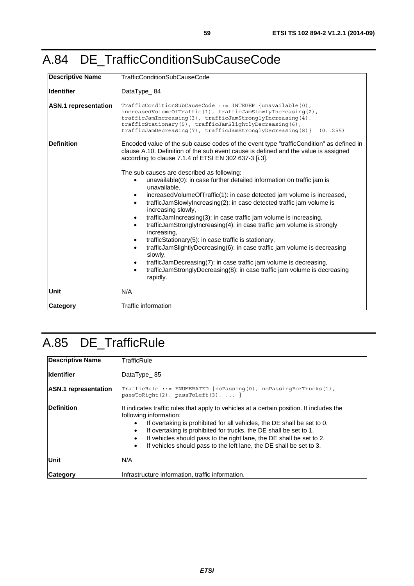### A.84 DE\_TrafficConditionSubCauseCode

| <b>Descriptive Name</b>     | <b>TrafficConditionSubCauseCode</b>                                                                                                                                                                                                                                                                                                                                                                                                                                                                                                                                                                                                                                                                                                                                                                                                                   |  |
|-----------------------------|-------------------------------------------------------------------------------------------------------------------------------------------------------------------------------------------------------------------------------------------------------------------------------------------------------------------------------------------------------------------------------------------------------------------------------------------------------------------------------------------------------------------------------------------------------------------------------------------------------------------------------------------------------------------------------------------------------------------------------------------------------------------------------------------------------------------------------------------------------|--|
| <b>Identifier</b>           | DataType_84                                                                                                                                                                                                                                                                                                                                                                                                                                                                                                                                                                                                                                                                                                                                                                                                                                           |  |
| <b>ASN.1</b> representation | TrafficConditionSubCauseCode ::= INTEGER $\{unavailable(0),\}$<br>$increased$ VolumeOfTraffic $(1)$ , trafficJamSlowlyIncreasing $(2)$ ,<br>$trafficJamIncreasing (3)$ , $trafficJamStronglyIncreasing (4)$ ,<br>trafficStationary(5), trafficJamSlightlyDecreasing(6),<br>$\text{trafficJamDecreasing}(7)$ , $\text{trafficJamStronglyDecreasing}(8)$<br>(0.0255)                                                                                                                                                                                                                                                                                                                                                                                                                                                                                    |  |
| <b>Definition</b>           | Encoded value of the sub cause codes of the event type "trafficCondition" as defined in<br>clause A.10. Definition of the sub event cause is defined and the value is assigned<br>according to clause 7.1.4 of ETSI EN 302 637-3 [i.3].                                                                                                                                                                                                                                                                                                                                                                                                                                                                                                                                                                                                               |  |
|                             | The sub causes are described as following:<br>unavailable(0): in case further detailed information on traffic jam is<br>unavailable,<br>increasedVolumeOfTraffic(1): in case detected jam volume is increased,<br>trafficJamSlowlyIncreasing(2): in case detected traffic jam volume is<br>$\bullet$<br>increasing slowly,<br>trafficJamIncreasing(3): in case traffic jam volume is increasing,<br>trafficJamStronglyIncreasing(4): in case traffic jam volume is strongly<br>$\bullet$<br>increasing,<br>trafficStationary(5): in case traffic is stationary,<br>trafficJamSlightlyDecreasing(6): in case traffic jam volume is decreasing<br>$\bullet$<br>slowly,<br>trafficJamDecreasing(7): in case traffic jam volume is decreasing,<br>٠<br>trafficJamStronglyDecreasing(8): in case traffic jam volume is decreasing<br>$\bullet$<br>rapidly. |  |
| Unit                        | N/A                                                                                                                                                                                                                                                                                                                                                                                                                                                                                                                                                                                                                                                                                                                                                                                                                                                   |  |
| <b>Category</b>             | <b>Traffic information</b>                                                                                                                                                                                                                                                                                                                                                                                                                                                                                                                                                                                                                                                                                                                                                                                                                            |  |

## A.85 DE\_TrafficRule

| Descriptive Name            | TrafficRule                                                                                                                                                                                                                                                                                                                                                                                                                                 |  |
|-----------------------------|---------------------------------------------------------------------------------------------------------------------------------------------------------------------------------------------------------------------------------------------------------------------------------------------------------------------------------------------------------------------------------------------------------------------------------------------|--|
| <b>Identifier</b>           | DataType 85                                                                                                                                                                                                                                                                                                                                                                                                                                 |  |
| <b>ASN.1</b> representation | TrafficRule ::= ENUMERATED $\{noPassing(0), noPassingForTrucks(1),\}$<br>passToRight(2), passToLeft(3), $\ldots$ }                                                                                                                                                                                                                                                                                                                          |  |
| <b>IDefinition</b>          | It indicates traffic rules that apply to vehicles at a certain position. It includes the<br>following information:<br>If overtaking is prohibited for all vehicles, the DE shall be set to 0.<br>If overtaking is prohibited for trucks, the DE shall be set to 1.<br>If vehicles should pass to the right lane, the DE shall be set to 2.<br>$\bullet$<br>If vehicles should pass to the left lane, the DE shall be set to 3.<br>$\bullet$ |  |
| Unit                        | N/A                                                                                                                                                                                                                                                                                                                                                                                                                                         |  |
| <b>Category</b>             | Infrastructure information, traffic information.                                                                                                                                                                                                                                                                                                                                                                                            |  |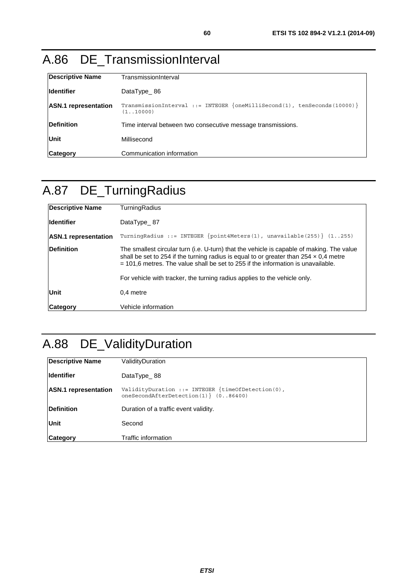### A.86 DE\_TransmissionInterval

| <b>Descriptive Name</b>     | TransmissionInterval                                                                    |
|-----------------------------|-----------------------------------------------------------------------------------------|
| <b>Identifier</b>           | DataType $86$                                                                           |
| <b>ASN.1</b> representation | TransmissionInterval ::= INTEGER $\{oneMillisecond(1), tenSecons(10000)\}$<br>(1.10000) |
| <b>Definition</b>           | Time interval between two consecutive message transmissions.                            |
| <b>Unit</b>                 | Millisecond                                                                             |
| <b>Category</b>             | Communication information                                                               |

### A.87 DE\_TurningRadius

| <b>Descriptive Name</b>     | TurningRadius                                                                                                                                                                                                                                                                   |
|-----------------------------|---------------------------------------------------------------------------------------------------------------------------------------------------------------------------------------------------------------------------------------------------------------------------------|
| <b>Identifier</b>           | DataType 87                                                                                                                                                                                                                                                                     |
| <b>ASN.1</b> representation | TurningRadius ::= INTEGER $\{point4Meters(1), unavailable(255)\}$ (1255)                                                                                                                                                                                                        |
| <b>Definition</b>           | The smallest circular turn (i.e. U-turn) that the vehicle is capable of making. The value<br>shall be set to 254 if the turning radius is equal to or greater than $254 \times 0.4$ metre<br>$=$ 101.6 metres. The value shall be set to 255 if the information is unavailable. |
|                             | For vehicle with tracker, the turning radius applies to the vehicle only.                                                                                                                                                                                                       |
| Unit                        | 0.4 metre                                                                                                                                                                                                                                                                       |
| <b>Category</b>             | Vehicle information                                                                                                                                                                                                                                                             |

# A.88 DE\_ValidityDuration

| <b>Descriptive Name</b>     | ValidityDuration                                                                                    |
|-----------------------------|-----------------------------------------------------------------------------------------------------|
| <b>Identifier</b>           | DataType 88                                                                                         |
| <b>ASN.1</b> representation | ValidityDuration ::= INTEGER $\{timeOf Detection(0),\}$<br>oneSecondAfterDetection $(1)$ $(086400)$ |
| <b>Definition</b>           | Duration of a traffic event validity.                                                               |
| <b>Unit</b>                 | Second                                                                                              |
| Category                    | Traffic information                                                                                 |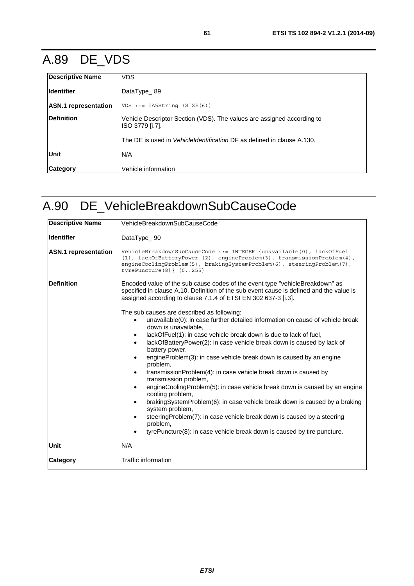## A.89 DE\_VDS

| <b>Descriptive Name</b>     | <b>VDS</b>                                                                                |
|-----------------------------|-------------------------------------------------------------------------------------------|
| <b>Identifier</b>           | DataType 89                                                                               |
| <b>ASN.1</b> representation | $VDS ::= IASString (SIZE (6))$                                                            |
| Definition                  | Vehicle Descriptor Section (VDS). The values are assigned according to<br>ISO 3779 [i.7]. |
|                             | The DE is used in <i>Vehicleldentification</i> DF as defined in clause A.130.             |
| Unit                        | N/A                                                                                       |
| <b>Category</b>             | Vehicle information                                                                       |

### A.90 DE\_VehicleBreakdownSubCauseCode

| <b>Descriptive Name</b>     | VehicleBreakdownSubCauseCode                                                                                                                                                                                                                                                                                                                                                                                                                                                                                                                                                                                                                                                                                                                                                                                                                                                                                                                                                  |
|-----------------------------|-------------------------------------------------------------------------------------------------------------------------------------------------------------------------------------------------------------------------------------------------------------------------------------------------------------------------------------------------------------------------------------------------------------------------------------------------------------------------------------------------------------------------------------------------------------------------------------------------------------------------------------------------------------------------------------------------------------------------------------------------------------------------------------------------------------------------------------------------------------------------------------------------------------------------------------------------------------------------------|
| <b>Identifier</b>           | DataType_90                                                                                                                                                                                                                                                                                                                                                                                                                                                                                                                                                                                                                                                                                                                                                                                                                                                                                                                                                                   |
| <b>ASN.1</b> representation | VehicleBreakdownSubCauseCode ::= INTEGER {unavailable(0), lackOfFuel<br>(1), lackOfBatteryPower (2), engineProblem(3), transmissionProblem(4),<br>engineCoolingProblem(5), brakingSystemProblem(6), steeringProblem(7),<br>tyrePuncture(8) $(0255)$                                                                                                                                                                                                                                                                                                                                                                                                                                                                                                                                                                                                                                                                                                                           |
| Definition                  | Encoded value of the sub cause codes of the event type "vehicleBreakdown" as<br>specified in clause A.10. Definition of the sub event cause is defined and the value is<br>assigned according to clause 7.1.4 of ETSI EN 302 637-3 [i.3].                                                                                                                                                                                                                                                                                                                                                                                                                                                                                                                                                                                                                                                                                                                                     |
|                             | The sub causes are described as following:<br>unavailable(0): in case further detailed information on cause of vehicle break<br>$\bullet$<br>down is unavailable.<br>lackOfFuel(1): in case vehicle break down is due to lack of fuel,<br>٠<br>lackOfBatteryPower(2): in case vehicle break down is caused by lack of<br>$\bullet$<br>battery power,<br>engineProblem(3): in case vehicle break down is caused by an engine<br>$\bullet$<br>problem,<br>transmissionProblem(4): in case vehicle break down is caused by<br>$\bullet$<br>transmission problem,<br>engineCoolingProblem(5): in case vehicle break down is caused by an engine<br>$\bullet$<br>cooling problem,<br>brakingSystemProblem(6): in case vehicle break down is caused by a braking<br>$\bullet$<br>system problem,<br>steeringProblem(7): in case vehicle break down is caused by a steering<br>٠<br>problem,<br>tyrePuncture(8): in case vehicle break down is caused by tire puncture.<br>$\bullet$ |
| Unit                        | N/A                                                                                                                                                                                                                                                                                                                                                                                                                                                                                                                                                                                                                                                                                                                                                                                                                                                                                                                                                                           |
| <b>Category</b>             | Traffic information                                                                                                                                                                                                                                                                                                                                                                                                                                                                                                                                                                                                                                                                                                                                                                                                                                                                                                                                                           |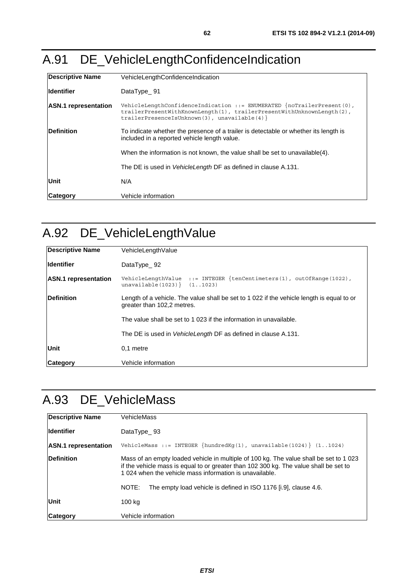# A.91 DE\_VehicleLengthConfidenceIndication

| Descriptive Name            | VehicleLengthConfidenceIndication                                                                                                                                                                |
|-----------------------------|--------------------------------------------------------------------------------------------------------------------------------------------------------------------------------------------------|
| <b>Identifier</b>           | DataType 91                                                                                                                                                                                      |
| <b>ASN.1</b> representation | VehicleLengthConfidenceIndication ::= ENUMERATED $\{noTrailerPresent(0),\}$<br>trailerPresentWithKnownLength(1), trailerPresentWithUnknownLength(2),<br>$trainerPresentes$ (3), unavailable(4) } |
| Definition                  | To indicate whether the presence of a trailer is detectable or whether its length is<br>included in a reported vehicle length value.                                                             |
|                             | When the information is not known, the value shall be set to unavailable(4).                                                                                                                     |
|                             | The DE is used in VehicleLength DF as defined in clause A.131.                                                                                                                                   |
| Unit                        | N/A                                                                                                                                                                                              |
| <b>Category</b>             | Vehicle information                                                                                                                                                                              |

## A.92 DE\_VehicleLengthValue

| <b>Descriptive Name</b>     | VehicleLengthValue                                                                                                      |
|-----------------------------|-------------------------------------------------------------------------------------------------------------------------|
| <b>Identifier</b>           | DataType $92$                                                                                                           |
| <b>ASN.1</b> representation | VehicleLengthValue ::= INTEGER $\{tenCentimeters(1), outOfRange(1022),\}$<br>unavailable $(1023)$ $(1.1023)$            |
| <b>Definition</b>           | Length of a vehicle. The value shall be set to 1 022 if the vehicle length is equal to or<br>greater than 102,2 metres. |
|                             | The value shall be set to 1 023 if the information in unavailable.                                                      |
|                             | The DE is used in <i>VehicleLength</i> DF as defined in clause A.131.                                                   |
| Unit                        | 0.1 metre                                                                                                               |
| Category                    | Vehicle information                                                                                                     |

### A.93 DE\_VehicleMass

| <b>Descriptive Name</b>     | VehicleMass                                                                                                                                                                                                                               |
|-----------------------------|-------------------------------------------------------------------------------------------------------------------------------------------------------------------------------------------------------------------------------------------|
| <b>Identifier</b>           | DataType 93                                                                                                                                                                                                                               |
| <b>ASN.1</b> representation | VehicleMass ::= INTEGER $\{hundredKq(1)$ , unavailable(1024) $\{11024\}$                                                                                                                                                                  |
| Definition                  | Mass of an empty loaded vehicle in multiple of 100 kg. The value shall be set to 1 023<br>if the vehicle mass is equal to or greater than 102 300 kg. The value shall be set to<br>1024 when the vehicle mass information is unavailable. |
|                             | The empty load vehicle is defined in ISO 1176 [i.9], clause 4.6.<br>NOTE:                                                                                                                                                                 |
| Unit                        | 100 kg                                                                                                                                                                                                                                    |
| Category                    | Vehicle information                                                                                                                                                                                                                       |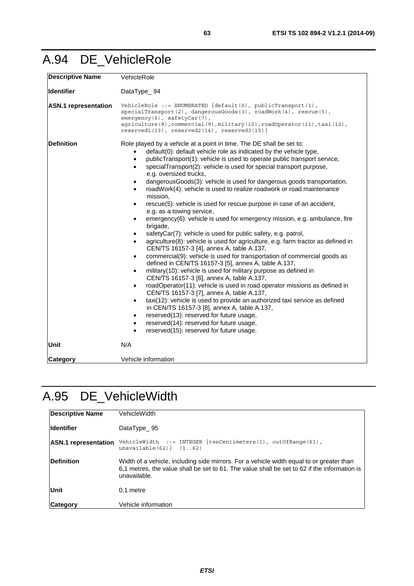### A.94 DE\_VehicleRole

| <b>Descriptive Name</b>     | VehicleRole                                                                                                                                                                                                                                                                                                                                                                                                                                                                                                                                                                                                                                                                                                                                                                                                                                                                                                                                                                                                                                                                                                                                                                                                                                                                                                                                                                                                                                                                                                                                                                                                                                                                    |
|-----------------------------|--------------------------------------------------------------------------------------------------------------------------------------------------------------------------------------------------------------------------------------------------------------------------------------------------------------------------------------------------------------------------------------------------------------------------------------------------------------------------------------------------------------------------------------------------------------------------------------------------------------------------------------------------------------------------------------------------------------------------------------------------------------------------------------------------------------------------------------------------------------------------------------------------------------------------------------------------------------------------------------------------------------------------------------------------------------------------------------------------------------------------------------------------------------------------------------------------------------------------------------------------------------------------------------------------------------------------------------------------------------------------------------------------------------------------------------------------------------------------------------------------------------------------------------------------------------------------------------------------------------------------------------------------------------------------------|
| <b>Identifier</b>           | DataType_94                                                                                                                                                                                                                                                                                                                                                                                                                                                                                                                                                                                                                                                                                                                                                                                                                                                                                                                                                                                                                                                                                                                                                                                                                                                                                                                                                                                                                                                                                                                                                                                                                                                                    |
| <b>ASN.1</b> representation | VehicleRole ::= ENUMERATED $\{default(0), public Transport(1),\}$<br>$specialTransport(2)$ , dangerousGoods(3), roadWork(4), rescue(5),<br>emergency(6), safetyCar(7),<br>agriculture(8), commercial(9), military(10), roadOperator(11), taxi(12),<br>$respected1(13)$ , $respected2(14)$ , $respected3(15)$                                                                                                                                                                                                                                                                                                                                                                                                                                                                                                                                                                                                                                                                                                                                                                                                                                                                                                                                                                                                                                                                                                                                                                                                                                                                                                                                                                   |
| <b>Definition</b>           | Role played by a vehicle at a point in time. The DE shall be set to:<br>default(0): default vehicle role as indicated by the vehicle type,<br>publicTransport(1): vehicle is used to operate public transport service,<br>$\bullet$<br>specialTransport(2): vehicle is used for special transport purpose,<br>$\bullet$<br>e.g. oversized trucks,<br>dangerousGoods(3): vehicle is used for dangerous goods transportation,<br>٠<br>roadWork(4): vehicle is used to realize roadwork or road maintenance<br>mission,<br>rescue(5): vehicle is used for rescue purpose in case of an accident,<br>e.g. as a towing service,<br>emergency(6): vehicle is used for emergency mission, e.g. ambulance, fire<br>brigade,<br>safetyCar(7): vehicle is used for public safety, e.g. patrol,<br>agriculture(8): vehicle is used for agriculture, e.g. farm tractor as defined in<br>$\bullet$<br>CEN/TS 16157-3 [4], annex A, table A.137,<br>commercial(9): vehicle is used for transportation of commercial goods as<br>$\bullet$<br>defined in CEN/TS 16157-3 [5], annex A, table A.137,<br>military(10): vehicle is used for military purpose as defined in<br>$\bullet$<br>CEN/TS 16157-3 [6], annex A, table A.137,<br>roadOperator(11): vehicle is used in road operator missions as defined in<br>$\bullet$<br>CEN/TS 16157-3 [7], annex A, table A.137,<br>taxi(12): vehicle is used to provide an authorized taxi service as defined<br>$\bullet$<br>in CEN/TS 16157-3 [8], annex A, table A.137,<br>reserved(13): reserved for future usage,<br>$\bullet$<br>reserved(14): reserved for future usage,<br>$\bullet$<br>reserved(15): reserved for future usage.<br>$\bullet$ |
| <b>Unit</b>                 | N/A                                                                                                                                                                                                                                                                                                                                                                                                                                                                                                                                                                                                                                                                                                                                                                                                                                                                                                                                                                                                                                                                                                                                                                                                                                                                                                                                                                                                                                                                                                                                                                                                                                                                            |
| <b>Category</b>             | Vehicle information                                                                                                                                                                                                                                                                                                                                                                                                                                                                                                                                                                                                                                                                                                                                                                                                                                                                                                                                                                                                                                                                                                                                                                                                                                                                                                                                                                                                                                                                                                                                                                                                                                                            |

## A.95 DE\_VehicleWidth

| Descriptive Name            | VehicleWidth                                                                                                                                                                                             |
|-----------------------------|----------------------------------------------------------------------------------------------------------------------------------------------------------------------------------------------------------|
| <b>Identifier</b>           | DataType $95$                                                                                                                                                                                            |
| <b>ASN.1</b> representation | VehicleWidth ::= INTEGER $\{tenCentimeters(1), outOfRange(61),\}$<br>unavailable $(62)$ $(1.62)$                                                                                                         |
| <b>Definition</b>           | Width of a vehicle, including side mirrors. For a vehicle width equal to or greater than<br>6.1 metres, the value shall be set to 61. The value shall be set to 62 if the information is<br>unavailable. |
| Unit                        | 0.1 metre                                                                                                                                                                                                |
| <b>Category</b>             | Vehicle information                                                                                                                                                                                      |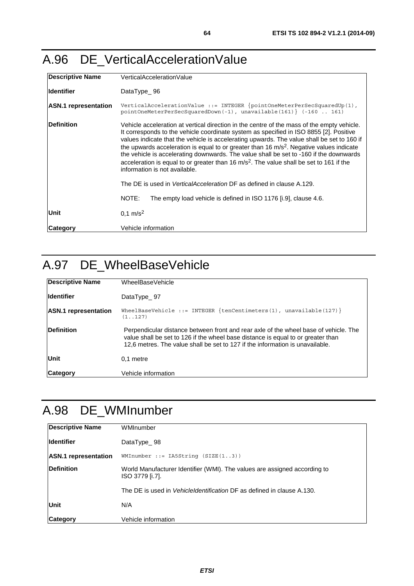### A.96 DE\_VerticalAccelerationValue

| Descriptive Name            | VerticalAccelerationValue                                                                                                                                                                                                                                                                                                                                                                                                                                                                                                                                                                                                                                                                                                                                                      |
|-----------------------------|--------------------------------------------------------------------------------------------------------------------------------------------------------------------------------------------------------------------------------------------------------------------------------------------------------------------------------------------------------------------------------------------------------------------------------------------------------------------------------------------------------------------------------------------------------------------------------------------------------------------------------------------------------------------------------------------------------------------------------------------------------------------------------|
| lldentifier                 | DataType $\_ 96$                                                                                                                                                                                                                                                                                                                                                                                                                                                                                                                                                                                                                                                                                                                                                               |
| <b>ASN.1</b> representation | VerticalAccelerationValue ::= INTEGER {pointOneMeterPerSecSquaredUp(1),<br>pointOneMeterPerSecSquaredDown(-1), unavailable(161) } (-160  161)                                                                                                                                                                                                                                                                                                                                                                                                                                                                                                                                                                                                                                  |
| <b>Definition</b>           | Vehicle acceleration at vertical direction in the centre of the mass of the empty vehicle.<br>It corresponds to the vehicle coordinate system as specified in ISO 8855 [2]. Positive<br>values indicate that the vehicle is accelerating upwards. The value shall be set to 160 if<br>the upwards acceleration is equal to or greater than 16 m/s <sup>2</sup> . Negative values indicate<br>the vehicle is accelerating downwards. The value shall be set to -160 if the downwards<br>acceleration is equal to or greater than 16 $m/s2$ . The value shall be set to 161 if the<br>information is not available.<br>The DE is used in <i>VerticalAcceleration</i> DF as defined in clause A.129.<br>NOTE:<br>The empty load vehicle is defined in ISO 1176 [i.9], clause 4.6. |
| lUnit                       | $0,1 \text{ m/s}^2$                                                                                                                                                                                                                                                                                                                                                                                                                                                                                                                                                                                                                                                                                                                                                            |
| <b>ICategorv</b>            | Vehicle information                                                                                                                                                                                                                                                                                                                                                                                                                                                                                                                                                                                                                                                                                                                                                            |

## A.97 DE\_WheelBaseVehicle

| <b>Descriptive Name</b>     | WheelBaseVehicle                                                                                                                                                                                                                                          |
|-----------------------------|-----------------------------------------------------------------------------------------------------------------------------------------------------------------------------------------------------------------------------------------------------------|
| lldentifier                 | DataType $97$                                                                                                                                                                                                                                             |
| <b>ASN.1</b> representation | WheelBaseVehicle ::= INTEGER $\{tenCentimeters(1), unavailable(127)\}$<br>(1.127)                                                                                                                                                                         |
| Definition                  | Perpendicular distance between front and rear axle of the wheel base of vehicle. The<br>value shall be set to 126 if the wheel base distance is equal to or greater than<br>12.6 metres. The value shall be set to 127 if the information is unavailable. |
| Unit                        | 0.1 metre                                                                                                                                                                                                                                                 |
| <b>Category</b>             | Vehicle information                                                                                                                                                                                                                                       |

## A.98 DE\_WMInumber

| <b>Descriptive Name</b>     | WMInumber                                                                                    |
|-----------------------------|----------------------------------------------------------------------------------------------|
| <b>Identifier</b>           | DataType 98                                                                                  |
| <b>ASN.1</b> representation | $W$ MInumber ::= IA5String $(SIZE(13))$                                                      |
| Definition                  | World Manufacturer Identifier (WMI). The values are assigned according to<br>ISO 3779 [i.7]. |
|                             | The DE is used in <i>Vehicleldentification</i> DF as defined in clause A.130.                |
| Unit                        | N/A                                                                                          |
| <b>Category</b>             | Vehicle information                                                                          |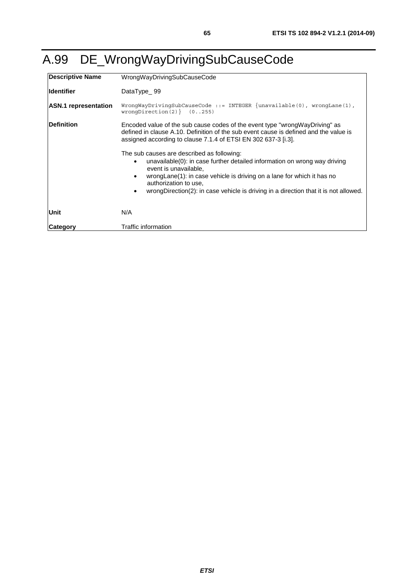| <b>Descriptive Name</b>     | WrongWayDrivingSubCauseCode                                                                                                                                                                                                                                                                                                                                                                                                                                                                                                                                                                         |
|-----------------------------|-----------------------------------------------------------------------------------------------------------------------------------------------------------------------------------------------------------------------------------------------------------------------------------------------------------------------------------------------------------------------------------------------------------------------------------------------------------------------------------------------------------------------------------------------------------------------------------------------------|
| <b>Identifier</b>           | DataType_99                                                                                                                                                                                                                                                                                                                                                                                                                                                                                                                                                                                         |
| <b>ASN.1</b> representation | WronqWayDrivingSubCauseCode ::= INTEGER $\{$ unavailable(0), wronqLane(1),<br>wrongDirection $(2)$ $(0255)$                                                                                                                                                                                                                                                                                                                                                                                                                                                                                         |
| <b>IDefinition</b>          | Encoded value of the sub cause codes of the event type "wrong Way Driving" as<br>defined in clause A.10. Definition of the sub event cause is defined and the value is<br>assigned according to clause 7.1.4 of ETSI EN 302 637-3 [i.3].<br>The sub causes are described as following:<br>unavailable(0): in case further detailed information on wrong way driving<br>event is unavailable.<br>wrong Lane (1): in case vehicle is driving on a lane for which it has no<br>٠<br>authorization to use,<br>wrongDirection(2): in case vehicle is driving in a direction that it is not allowed.<br>٠ |
| Unit                        | N/A                                                                                                                                                                                                                                                                                                                                                                                                                                                                                                                                                                                                 |
| Category                    | Traffic information                                                                                                                                                                                                                                                                                                                                                                                                                                                                                                                                                                                 |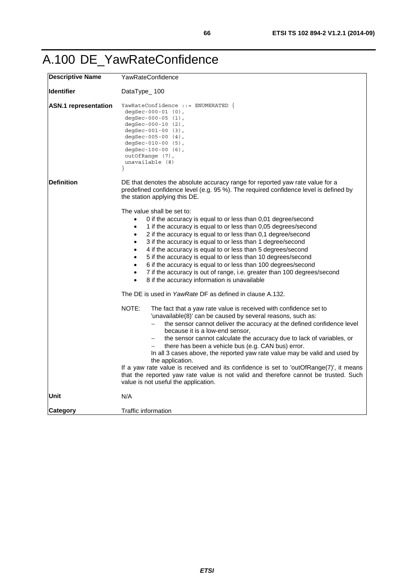## A.100 DE\_YawRateConfidence

| <b>Descriptive Name</b>     | YawRateConfidence                                                                                                                                                                                                                                                                                                                                                                                                                                                                                                                                                                                                                                                                                                              |
|-----------------------------|--------------------------------------------------------------------------------------------------------------------------------------------------------------------------------------------------------------------------------------------------------------------------------------------------------------------------------------------------------------------------------------------------------------------------------------------------------------------------------------------------------------------------------------------------------------------------------------------------------------------------------------------------------------------------------------------------------------------------------|
| <b>Identifier</b>           | DataType_100                                                                                                                                                                                                                                                                                                                                                                                                                                                                                                                                                                                                                                                                                                                   |
| <b>ASN.1</b> representation | YawRateConfidence ::= ENUMERATED {<br>degSec-000-01 $(0)$ ,<br>degSec-000-05 $(1)$ ,<br>degSec-000-10 $(2)$ ,<br>degSec-001-00 $(3)$ ,<br>degSec-005-00 (4),<br>degSec-010-00 $(5)$ ,<br>degSec-100-00 $(6)$ ,<br>outOfRange (7),<br>unavailable (8)<br>ł                                                                                                                                                                                                                                                                                                                                                                                                                                                                      |
| <b>Definition</b>           | DE that denotes the absolute accuracy range for reported yaw rate value for a<br>predefined confidence level (e.g. 95 %). The required confidence level is defined by<br>the station applying this DE.                                                                                                                                                                                                                                                                                                                                                                                                                                                                                                                         |
|                             | The value shall be set to:<br>0 if the accuracy is equal to or less than 0,01 degree/second<br>1 if the accuracy is equal to or less than 0,05 degrees/second<br>$\bullet$<br>2 if the accuracy is equal to or less than 0,1 degree/second<br>$\bullet$<br>3 if the accuracy is equal to or less than 1 degree/second<br>$\bullet$<br>4 if the accuracy is equal to or less than 5 degrees/second<br>$\bullet$<br>5 if the accuracy is equal to or less than 10 degrees/second<br>$\bullet$<br>6 if the accuracy is equal to or less than 100 degrees/second<br>$\bullet$<br>7 if the accuracy is out of range, i.e. greater than 100 degrees/second<br>$\bullet$<br>8 if the accuracy information is unavailable<br>$\bullet$ |
|                             | The DE is used in YawRate DF as defined in clause A.132.                                                                                                                                                                                                                                                                                                                                                                                                                                                                                                                                                                                                                                                                       |
|                             | NOTE:<br>The fact that a yaw rate value is received with confidence set to<br>'unavailable(8)' can be caused by several reasons, such as:<br>the sensor cannot deliver the accuracy at the defined confidence level<br>because it is a low-end sensor,<br>the sensor cannot calculate the accuracy due to lack of variables, or<br>there has been a vehicle bus (e.g. CAN bus) error.<br>In all 3 cases above, the reported yaw rate value may be valid and used by<br>the application.<br>If a yaw rate value is received and its confidence is set to 'outOfRange(7)', it means<br>that the reported yaw rate value is not valid and therefore cannot be trusted. Such<br>value is not useful the application.               |
| Unit                        | N/A                                                                                                                                                                                                                                                                                                                                                                                                                                                                                                                                                                                                                                                                                                                            |
| <b>Category</b>             | Traffic information                                                                                                                                                                                                                                                                                                                                                                                                                                                                                                                                                                                                                                                                                                            |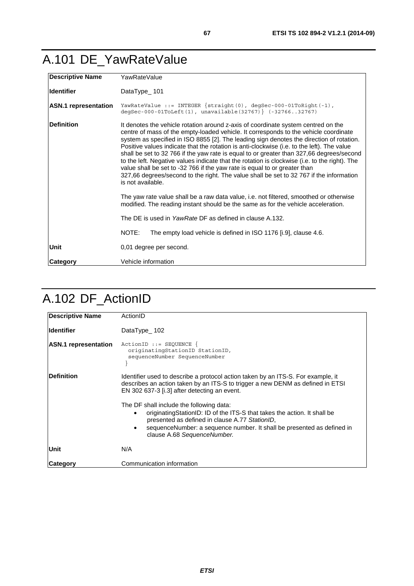### <span id="page-66-0"></span>A.101 DE\_YawRateValue

| <b>Descriptive Name</b>     | YawRateValue                                                                                                                                                                                                                                                                                                                                                                                                                                                                                                                                                                                                                                                                                                                                                  |
|-----------------------------|---------------------------------------------------------------------------------------------------------------------------------------------------------------------------------------------------------------------------------------------------------------------------------------------------------------------------------------------------------------------------------------------------------------------------------------------------------------------------------------------------------------------------------------------------------------------------------------------------------------------------------------------------------------------------------------------------------------------------------------------------------------|
| <b>Identifier</b>           | DataType $101$                                                                                                                                                                                                                                                                                                                                                                                                                                                                                                                                                                                                                                                                                                                                                |
| <b>ASN.1</b> representation | YawRateValue ::= INTEGER $\{strabla(0), \text{degsec-000-01ToRight}(-1),\}$<br>degSec-000-01ToLeft(1), unavailable(32767) } (-3276632767)                                                                                                                                                                                                                                                                                                                                                                                                                                                                                                                                                                                                                     |
| <b>Definition</b>           | It denotes the vehicle rotation around z-axis of coordinate system centred on the<br>centre of mass of the empty-loaded vehicle. It corresponds to the vehicle coordinate<br>system as specified in ISO 8855 [2]. The leading sign denotes the direction of rotation.<br>Positive values indicate that the rotation is anti-clockwise (i.e. to the left). The value<br>shall be set to 32 766 if the yaw rate is equal to or greater than 327,66 degrees/second<br>to the left. Negative values indicate that the rotation is clockwise (i.e. to the right). The<br>value shall be set to -32 766 if the yaw rate is equal to or greater than<br>327,66 degrees/second to the right. The value shall be set to 32 767 if the information<br>is not available. |
|                             | The yaw rate value shall be a raw data value, i.e. not filtered, smoothed or otherwise<br>modified. The reading instant should be the same as for the vehicle acceleration.                                                                                                                                                                                                                                                                                                                                                                                                                                                                                                                                                                                   |
|                             | The DE is used in YawRate DF as defined in clause A.132.                                                                                                                                                                                                                                                                                                                                                                                                                                                                                                                                                                                                                                                                                                      |
|                             | NOTE:<br>The empty load vehicle is defined in ISO 1176 [i.9], clause 4.6.                                                                                                                                                                                                                                                                                                                                                                                                                                                                                                                                                                                                                                                                                     |
| Unit                        | 0,01 degree per second.                                                                                                                                                                                                                                                                                                                                                                                                                                                                                                                                                                                                                                                                                                                                       |
| Category                    | Vehicle information                                                                                                                                                                                                                                                                                                                                                                                                                                                                                                                                                                                                                                                                                                                                           |

### A.102 DF\_ActionID

| <b>Descriptive Name</b>     | ActionID                                                                                                                                                                                                                                                                                     |
|-----------------------------|----------------------------------------------------------------------------------------------------------------------------------------------------------------------------------------------------------------------------------------------------------------------------------------------|
| <b>Identifier</b>           | DataType 102                                                                                                                                                                                                                                                                                 |
| <b>ASN.1</b> representation | $ActionID :: = SEQUENCE$<br>originatingStationID StationID,<br>sequenceNumber SequenceNumber                                                                                                                                                                                                 |
| Definition                  | Identifier used to describe a protocol action taken by an ITS-S. For example, it<br>describes an action taken by an ITS-S to trigger a new DENM as defined in ETSI<br>EN 302 637-3 [i.3] after detecting an event.                                                                           |
|                             | The DF shall include the following data:<br>originatingStationID: ID of the ITS-S that takes the action. It shall be<br>presented as defined in clause A.77 StationID,<br>sequenceNumber: a sequence number. It shall be presented as defined in<br>$\bullet$<br>clause A.68 SequenceNumber. |
| Unit                        | N/A                                                                                                                                                                                                                                                                                          |
| <b>Category</b>             | Communication information                                                                                                                                                                                                                                                                    |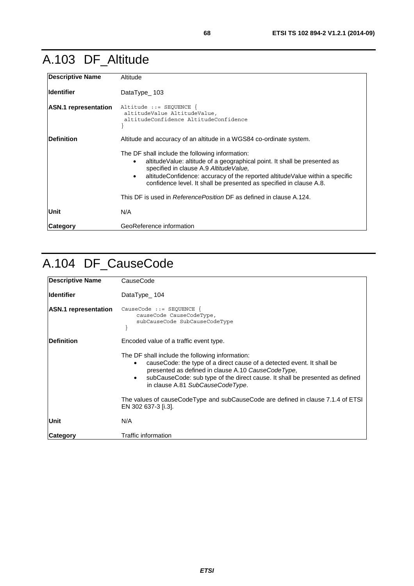### <span id="page-67-0"></span>A.103 DF\_Altitude

| <b>Descriptive Name</b>     | Altitude                                                                                                                                                                                                                                                                                                                                                  |
|-----------------------------|-----------------------------------------------------------------------------------------------------------------------------------------------------------------------------------------------------------------------------------------------------------------------------------------------------------------------------------------------------------|
| <b>I</b> Identifier         | DataType $\_ 103$                                                                                                                                                                                                                                                                                                                                         |
| <b>ASN.1</b> representation | Altitude ::= SEQUENCE {<br>altitudeValue AltitudeValue,<br>altitudeConfidence AltitudeConfidence                                                                                                                                                                                                                                                          |
| <b>IDefinition</b>          | Altitude and accuracy of an altitude in a WGS84 co-ordinate system.                                                                                                                                                                                                                                                                                       |
|                             | The DF shall include the following information:<br>altitude Value: altitude of a geographical point. It shall be presented as<br>$\bullet$<br>specified in clause A.9 Altitude Value,<br>altitudeConfidence: accuracy of the reported altitudeValue within a specific<br>$\bullet$<br>confidence level. It shall be presented as specified in clause A.8. |
|                             | This DF is used in Reference Position DF as defined in clause A.124.                                                                                                                                                                                                                                                                                      |
| Unit                        | N/A                                                                                                                                                                                                                                                                                                                                                       |
| Category                    | GeoReference information                                                                                                                                                                                                                                                                                                                                  |

# A.104 DF\_CauseCode

| <b>Descriptive Name</b>     | CauseCode                                                                                                                                                                                                                                                                                                     |
|-----------------------------|---------------------------------------------------------------------------------------------------------------------------------------------------------------------------------------------------------------------------------------------------------------------------------------------------------------|
| <b>Identifier</b>           | DataType_104                                                                                                                                                                                                                                                                                                  |
| <b>ASN.1</b> representation | CauseCode $::=$ SEQUENCE {<br>causeCode CauseCodeType,<br>subCauseCode SubCauseCodeType                                                                                                                                                                                                                       |
| <b>IDefinition</b>          | Encoded value of a traffic event type.                                                                                                                                                                                                                                                                        |
|                             | The DF shall include the following information:<br>causeCode: the type of a direct cause of a detected event. It shall be<br>٠<br>presented as defined in clause A.10 CauseCodeType,<br>subCauseCode: sub type of the direct cause. It shall be presented as defined<br>٠<br>in clause A.81 SubCauseCodeType. |
|                             | The values of causeCodeType and subCauseCode are defined in clause 7.1.4 of ETSI<br>EN 302 637-3 [i.3].                                                                                                                                                                                                       |
| <b>Unit</b>                 | N/A                                                                                                                                                                                                                                                                                                           |
| Category                    | Traffic information                                                                                                                                                                                                                                                                                           |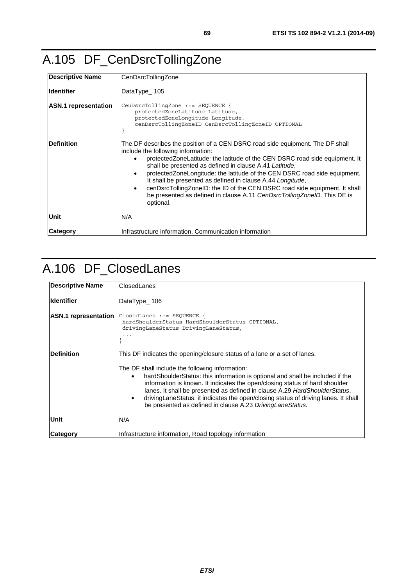# <span id="page-68-0"></span>A.105 DF\_CenDsrcTollingZone

| <b>Descriptive Name</b>     | CenDsrcTollingZone                                                                                                                                                                                                                                                                                                                                                                                                                                                                                                                                                                     |
|-----------------------------|----------------------------------------------------------------------------------------------------------------------------------------------------------------------------------------------------------------------------------------------------------------------------------------------------------------------------------------------------------------------------------------------------------------------------------------------------------------------------------------------------------------------------------------------------------------------------------------|
| <b>Identifier</b>           | DataType_105                                                                                                                                                                                                                                                                                                                                                                                                                                                                                                                                                                           |
| <b>ASN.1</b> representation | $CenDsrcTollingZone :: = SEQUENCE$<br>protectedZoneLatitude Latitude,<br>protectedZoneLongitude Longitude,<br>cenDsrcTollingZoneID CenDsrcTollingZoneID OPTIONAL                                                                                                                                                                                                                                                                                                                                                                                                                       |
| <b>IDefinition</b>          | The DF describes the position of a CEN DSRC road side equipment. The DF shall<br>include the following information:<br>protected Zone Latitude: the latitude of the CEN DSRC road side equipment. It<br>shall be presented as defined in clause A.41 Latitude,<br>protected Zone Longitude: the latitude of the CEN DSRC road side equipment.<br>It shall be presented as defined in clause A.44 Longitude,<br>cenDsrcTollingZoneID: the ID of the CEN DSRC road side equipment. It shall<br>٠<br>be presented as defined in clause A.11 CenDsrcTollingZoneID. This DE is<br>optional. |
| <b>Unit</b>                 | N/A                                                                                                                                                                                                                                                                                                                                                                                                                                                                                                                                                                                    |
| <b>ICategorv</b>            | Infrastructure information, Communication information                                                                                                                                                                                                                                                                                                                                                                                                                                                                                                                                  |

### A.106 DF\_ClosedLanes

| Descriptive Name            | ClosedLanes                                                                                                                                                                                                                                                                                                                                                                                                                                                                                                                                          |
|-----------------------------|------------------------------------------------------------------------------------------------------------------------------------------------------------------------------------------------------------------------------------------------------------------------------------------------------------------------------------------------------------------------------------------------------------------------------------------------------------------------------------------------------------------------------------------------------|
| <b>Ildentifier</b>          | DataType $106$                                                                                                                                                                                                                                                                                                                                                                                                                                                                                                                                       |
| <b>ASN.1</b> representation | $ClosedLanes :: = SEQUENCE$<br>hardShoulderStatus HardShoulderStatus OPTIONAL,<br>drivingLaneStatus DrivingLaneStatus,                                                                                                                                                                                                                                                                                                                                                                                                                               |
| <b>IDefinition</b>          | This DF indicates the opening/closure status of a lane or a set of lanes.<br>The DF shall include the following information:<br>hard Shoulder Status: this information is optional and shall be included if the<br>$\bullet$<br>information is known. It indicates the open/closing status of hard shoulder<br>lanes. It shall be presented as defined in clause A.29 HardShoulderStatus,<br>driving LaneStatus: it indicates the open/closing status of driving lanes. It shall<br>٠<br>be presented as defined in clause A.23 Driving Lane Status. |
| Unit                        | N/A                                                                                                                                                                                                                                                                                                                                                                                                                                                                                                                                                  |
| Category                    | Infrastructure information, Road topology information                                                                                                                                                                                                                                                                                                                                                                                                                                                                                                |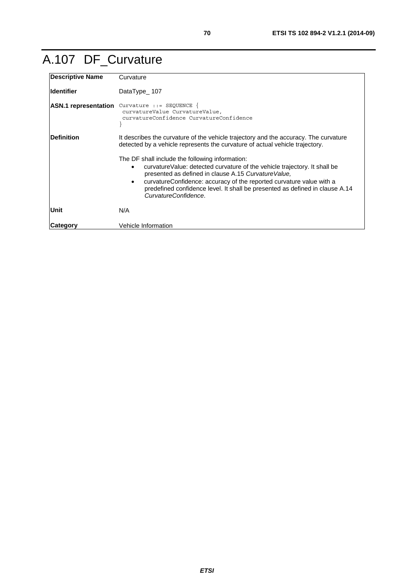## A.107 DF\_Curvature

| <b>Descriptive Name</b>     | Curvature                                                                                                                                                                                                                                                                                                                                                                                       |
|-----------------------------|-------------------------------------------------------------------------------------------------------------------------------------------------------------------------------------------------------------------------------------------------------------------------------------------------------------------------------------------------------------------------------------------------|
| <b>Identifier</b>           | DataType $107$                                                                                                                                                                                                                                                                                                                                                                                  |
| <b>ASN.1</b> representation | Curvature $::=$ SEQUENCE {<br>curvatureValue CurvatureValue,<br>curvatureConfidence CurvatureConfidence                                                                                                                                                                                                                                                                                         |
| <b>Definition</b>           | It describes the curvature of the vehicle trajectory and the accuracy. The curvature<br>detected by a vehicle represents the curvature of actual vehicle trajectory.                                                                                                                                                                                                                            |
|                             | The DF shall include the following information:<br>curvatureValue: detected curvature of the vehicle trajectory. It shall be<br>$\bullet$<br>presented as defined in clause A.15 Curvature Value,<br>curvature Confidence: accuracy of the reported curvature value with a<br>$\bullet$<br>predefined confidence level. It shall be presented as defined in clause A.14<br>CurvatureConfidence. |
| Unit                        | N/A                                                                                                                                                                                                                                                                                                                                                                                             |
| Category                    | Vehicle Information                                                                                                                                                                                                                                                                                                                                                                             |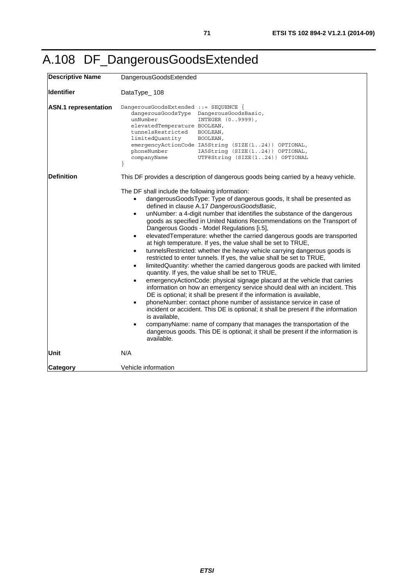# A.108 DF\_DangerousGoodsExtended

| <b>Descriptive Name</b>     | DangerousGoodsExtended                                                                                                                                                                                                                                                                                                                                                                                                                                                                                                                                                                                                                                                                                                                                                                                                                                                                                                                                                                                                                                                                                                                                                                                                                                                                                                                                                                                                                                                      |
|-----------------------------|-----------------------------------------------------------------------------------------------------------------------------------------------------------------------------------------------------------------------------------------------------------------------------------------------------------------------------------------------------------------------------------------------------------------------------------------------------------------------------------------------------------------------------------------------------------------------------------------------------------------------------------------------------------------------------------------------------------------------------------------------------------------------------------------------------------------------------------------------------------------------------------------------------------------------------------------------------------------------------------------------------------------------------------------------------------------------------------------------------------------------------------------------------------------------------------------------------------------------------------------------------------------------------------------------------------------------------------------------------------------------------------------------------------------------------------------------------------------------------|
| <b>Identifier</b>           | DataType_108                                                                                                                                                                                                                                                                                                                                                                                                                                                                                                                                                                                                                                                                                                                                                                                                                                                                                                                                                                                                                                                                                                                                                                                                                                                                                                                                                                                                                                                                |
| <b>ASN.1</b> representation | DangerousGoodsExtended ::= SEQUENCE {<br>dangerousGoodsType DangerousGoodsBasic,<br>unNumber<br>INTEGER (09999),<br>elevatedTemperature BOOLEAN,<br>tunnelsRestricted<br>BOOLEAN,<br>limitedQuantity<br>BOOLEAN,<br>emergencyActionCode IA5String (SIZE(124)) OPTIONAL,<br>phoneNumber<br>IA5String (SIZE(124)) OPTIONAL,<br>UTF8String (SIZE(124)) OPTIONAL<br>companyName                                                                                                                                                                                                                                                                                                                                                                                                                                                                                                                                                                                                                                                                                                                                                                                                                                                                                                                                                                                                                                                                                                 |
| <b>Definition</b>           | This DF provides a description of dangerous goods being carried by a heavy vehicle.                                                                                                                                                                                                                                                                                                                                                                                                                                                                                                                                                                                                                                                                                                                                                                                                                                                                                                                                                                                                                                                                                                                                                                                                                                                                                                                                                                                         |
|                             | The DF shall include the following information:<br>dangerousGoodsType: Type of dangerous goods, It shall be presented as<br>defined in clause A.17 DangerousGoodsBasic,<br>unNumber: a 4-digit number that identifies the substance of the dangerous<br>$\bullet$<br>goods as specified in United Nations Recommendations on the Transport of<br>Dangerous Goods - Model Regulations [i.5],<br>elevatedTemperature: whether the carried dangerous goods are transported<br>at high temperature. If yes, the value shall be set to TRUE,<br>tunnelsRestricted: whether the heavy vehicle carrying dangerous goods is<br>$\bullet$<br>restricted to enter tunnels. If yes, the value shall be set to TRUE,<br>limitedQuantity: whether the carried dangerous goods are packed with limited<br>$\bullet$<br>quantity. If yes, the value shall be set to TRUE,<br>emergencyActionCode: physical signage placard at the vehicle that carries<br>$\bullet$<br>information on how an emergency service should deal with an incident. This<br>DE is optional; it shall be present if the information is available,<br>phoneNumber: contact phone number of assistance service in case of<br>$\bullet$<br>incident or accident. This DE is optional; it shall be present if the information<br>is available.<br>companyName: name of company that manages the transportation of the<br>dangerous goods. This DE is optional; it shall be present if the information is<br>available. |
| <b>Unit</b>                 | N/A                                                                                                                                                                                                                                                                                                                                                                                                                                                                                                                                                                                                                                                                                                                                                                                                                                                                                                                                                                                                                                                                                                                                                                                                                                                                                                                                                                                                                                                                         |
| Category                    | Vehicle information                                                                                                                                                                                                                                                                                                                                                                                                                                                                                                                                                                                                                                                                                                                                                                                                                                                                                                                                                                                                                                                                                                                                                                                                                                                                                                                                                                                                                                                         |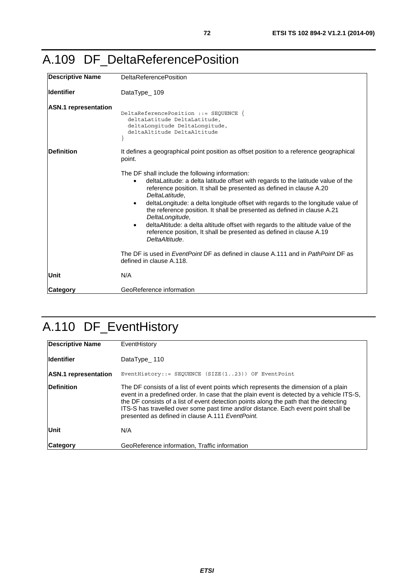### A.109 DF\_DeltaReferencePosition

| <b>Descriptive Name</b>     | <b>DeltaReferencePosition</b>                                                                                                                                                                                                                                                                                                                                                                                                                                                                                                                                                                                                     |
|-----------------------------|-----------------------------------------------------------------------------------------------------------------------------------------------------------------------------------------------------------------------------------------------------------------------------------------------------------------------------------------------------------------------------------------------------------------------------------------------------------------------------------------------------------------------------------------------------------------------------------------------------------------------------------|
| lldentifier                 | DataType_109                                                                                                                                                                                                                                                                                                                                                                                                                                                                                                                                                                                                                      |
| <b>ASN.1</b> representation | DeltaReferencePosition ::= SEQUENCE {<br>deltaLatitude DeltaLatitude,<br>deltaLongitude DeltaLongitude,<br>deltaAltitude DeltaAltitude                                                                                                                                                                                                                                                                                                                                                                                                                                                                                            |
| <b>Definition</b>           | It defines a geographical point position as offset position to a reference geographical<br>point.                                                                                                                                                                                                                                                                                                                                                                                                                                                                                                                                 |
|                             | The DF shall include the following information:<br>deltaLatitude: a delta latitude offset with regards to the latitude value of the<br>$\bullet$<br>reference position. It shall be presented as defined in clause A.20<br>DeltaLatitude.<br>deltaLongitude: a delta longitude offset with regards to the longitude value of<br>$\bullet$<br>the reference position. It shall be presented as defined in clause A.21<br>DeltaLongitude,<br>deltaAltitude: a delta altitude offset with regards to the altitude value of the<br>$\bullet$<br>reference position, It shall be presented as defined in clause A.19<br>DeltaAltitude. |
|                             | The DF is used in <i>EventPoint</i> DF as defined in clause A.111 and in <i>PathPoint</i> DF as<br>defined in clause A.118.                                                                                                                                                                                                                                                                                                                                                                                                                                                                                                       |
| Unit                        | N/A                                                                                                                                                                                                                                                                                                                                                                                                                                                                                                                                                                                                                               |
| Category                    | GeoReference information                                                                                                                                                                                                                                                                                                                                                                                                                                                                                                                                                                                                          |

# A.110 DF\_EventHistory

| <b>Descriptive Name</b>     | EventHistory                                                                                                                                                                                                                                                                                                                                                                                                        |
|-----------------------------|---------------------------------------------------------------------------------------------------------------------------------------------------------------------------------------------------------------------------------------------------------------------------------------------------------------------------------------------------------------------------------------------------------------------|
| <b>Identifier</b>           | DataType 110                                                                                                                                                                                                                                                                                                                                                                                                        |
| <b>ASN.1</b> representation | EventHistory::= SEQUENCE (SIZE $(123)$ ) OF EventPoint                                                                                                                                                                                                                                                                                                                                                              |
| <b>Definition</b>           | The DF consists of a list of event points which represents the dimension of a plain<br>event in a predefined order. In case that the plain event is detected by a vehicle ITS-S,<br>the DF consists of a list of event detection points along the path that the detecting<br>ITS-S has travelled over some past time and/or distance. Each event point shall be<br>presented as defined in clause A.111 EventPoint. |
| Unit                        | N/A                                                                                                                                                                                                                                                                                                                                                                                                                 |
| <b>Category</b>             | GeoReference information, Traffic information                                                                                                                                                                                                                                                                                                                                                                       |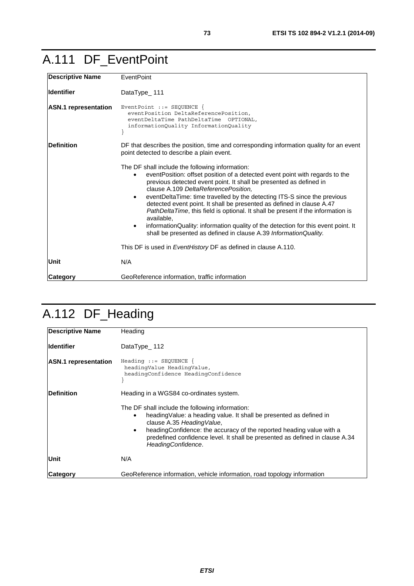### A.111 DF\_EventPoint

| <b>Descriptive Name</b>     | EventPoint                                                                                                                                                                                                                                                                                                                                                                                                                                                                                                                                                                                                                                                     |
|-----------------------------|----------------------------------------------------------------------------------------------------------------------------------------------------------------------------------------------------------------------------------------------------------------------------------------------------------------------------------------------------------------------------------------------------------------------------------------------------------------------------------------------------------------------------------------------------------------------------------------------------------------------------------------------------------------|
| lldentifier                 | DataType_111                                                                                                                                                                                                                                                                                                                                                                                                                                                                                                                                                                                                                                                   |
| <b>ASN.1</b> representation | EventPoint $::=$ SEQUENCE {<br>eventPosition DeltaReferencePosition,<br>eventDeltaTime PathDeltaTime OPTIONAL,<br>informationQuality InformationQuality                                                                                                                                                                                                                                                                                                                                                                                                                                                                                                        |
| <b>Definition</b>           | DF that describes the position, time and corresponding information quality for an event<br>point detected to describe a plain event.                                                                                                                                                                                                                                                                                                                                                                                                                                                                                                                           |
|                             | The DF shall include the following information:<br>event Position: offset position of a detected event point with regards to the<br>previous detected event point. It shall be presented as defined in<br>clause A.109 DeltaReferencePosition,<br>eventDeltaTime: time travelled by the detecting ITS-S since the previous<br>detected event point. It shall be presented as defined in clause A.47<br>PathDeltaTime, this field is optional. It shall be present if the information is<br>available.<br>informationQuality: information quality of the detection for this event point. It<br>shall be presented as defined in clause A.39 InformationQuality. |
|                             | This DF is used in EventHistory DF as defined in clause A.110.                                                                                                                                                                                                                                                                                                                                                                                                                                                                                                                                                                                                 |
| Unit                        | N/A                                                                                                                                                                                                                                                                                                                                                                                                                                                                                                                                                                                                                                                            |
| <b>Category</b>             | GeoReference information, traffic information                                                                                                                                                                                                                                                                                                                                                                                                                                                                                                                                                                                                                  |

# A.112 DF\_Heading

| <b>Descriptive Name</b>     | Heading                                                                                                                                                                                                                                                                                                                                              |  |
|-----------------------------|------------------------------------------------------------------------------------------------------------------------------------------------------------------------------------------------------------------------------------------------------------------------------------------------------------------------------------------------------|--|
| lldentifier                 | DataType_112                                                                                                                                                                                                                                                                                                                                         |  |
| <b>ASN.1</b> representation | Heading $::=$ SEQUENCE {<br>headingValue HeadingValue,<br>headingConfidence HeadingConfidence                                                                                                                                                                                                                                                        |  |
| <b>Definition</b>           | Heading in a WGS84 co-ordinates system.                                                                                                                                                                                                                                                                                                              |  |
|                             | The DF shall include the following information:<br>heading Value: a heading value. It shall be presented as defined in<br>$\bullet$<br>clause A.35 Heading Value,<br>headingConfidence: the accuracy of the reported heading value with a<br>٠<br>predefined confidence level. It shall be presented as defined in clause A.34<br>HeadingConfidence. |  |
| Unit                        | N/A                                                                                                                                                                                                                                                                                                                                                  |  |
| Category                    | GeoReference information, vehicle information, road topology information                                                                                                                                                                                                                                                                             |  |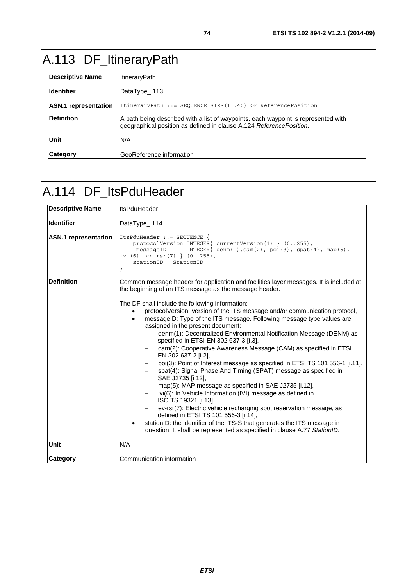# <span id="page-73-0"></span>A.113 DF\_ItineraryPath

| <b>Descriptive Name</b>     | <b>ItineraryPath</b>                                                                                                                                      |  |
|-----------------------------|-----------------------------------------------------------------------------------------------------------------------------------------------------------|--|
| <b>Ildentifier</b>          | DataType $\_ 113$                                                                                                                                         |  |
| <b>ASN.1</b> representation | ItineraryPath ::= SEQUENCE SIZE(140) OF ReferencePosition                                                                                                 |  |
| <b>Definition</b>           | A path being described with a list of waypoints, each waypoint is represented with<br>geographical position as defined in clause A.124 ReferencePosition. |  |
| Unit                        | N/A                                                                                                                                                       |  |
| <b>Category</b>             | GeoReference information                                                                                                                                  |  |

#### A.114 DF\_ItsPduHeader

| <b>Descriptive Name</b>     | <b>ItsPduHeader</b>                                                                                                                                                                                                                                                                                                                                                                                                                                                                                                                                                                                                                                                                                                                                                                                                                                                                                                                                                                                                                                                                        |  |
|-----------------------------|--------------------------------------------------------------------------------------------------------------------------------------------------------------------------------------------------------------------------------------------------------------------------------------------------------------------------------------------------------------------------------------------------------------------------------------------------------------------------------------------------------------------------------------------------------------------------------------------------------------------------------------------------------------------------------------------------------------------------------------------------------------------------------------------------------------------------------------------------------------------------------------------------------------------------------------------------------------------------------------------------------------------------------------------------------------------------------------------|--|
| <b>Identifier</b>           | DataType_114                                                                                                                                                                                                                                                                                                                                                                                                                                                                                                                                                                                                                                                                                                                                                                                                                                                                                                                                                                                                                                                                               |  |
| <b>ASN.1</b> representation | ItsPduHeader ::= SEQUENCE {<br>protocolVersion INTEGER{ currentVersion(1) } $(0255)$ ,<br>$INTER{ denm(1), cam(2), poi(3), spat(4), map(5),$<br>messageID<br>ivi(6), $ev-rsr(7)$ } (0255),<br>stationID<br>StationID                                                                                                                                                                                                                                                                                                                                                                                                                                                                                                                                                                                                                                                                                                                                                                                                                                                                       |  |
| <b>Definition</b>           | Common message header for application and facilities layer messages. It is included at<br>the beginning of an ITS message as the message header.                                                                                                                                                                                                                                                                                                                                                                                                                                                                                                                                                                                                                                                                                                                                                                                                                                                                                                                                           |  |
|                             | The DF shall include the following information:<br>protocolVersion: version of the ITS message and/or communication protocol,<br>messageID: Type of the ITS message. Following message type values are<br>$\bullet$<br>assigned in the present document:<br>denm(1): Decentralized Environmental Notification Message (DENM) as<br>specified in ETSI EN 302 637-3 [i.3],<br>cam(2): Cooperative Awareness Message (CAM) as specified in ETSI<br>EN 302 637-2 [i.2],<br>poi(3): Point of Interest message as specified in ETSI TS 101 556-1 [i.11],<br>spat(4): Signal Phase And Timing (SPAT) message as specified in<br>$\qquad \qquad -$<br>SAE J2735 [i.12],<br>map(5): MAP message as specified in SAE J2735 [i.12],<br>ivi(6): In Vehicle Information (IVI) message as defined in<br>ISO TS 19321 [i.13],<br>ev-rsr(7): Electric vehicle recharging spot reservation message, as<br>defined in ETSI TS 101 556-3 [i.14],<br>stationID: the identifier of the ITS-S that generates the ITS message in<br>٠<br>question. It shall be represented as specified in clause A.77 StationID. |  |
| Unit                        | N/A                                                                                                                                                                                                                                                                                                                                                                                                                                                                                                                                                                                                                                                                                                                                                                                                                                                                                                                                                                                                                                                                                        |  |
| <b>Category</b>             | Communication information                                                                                                                                                                                                                                                                                                                                                                                                                                                                                                                                                                                                                                                                                                                                                                                                                                                                                                                                                                                                                                                                  |  |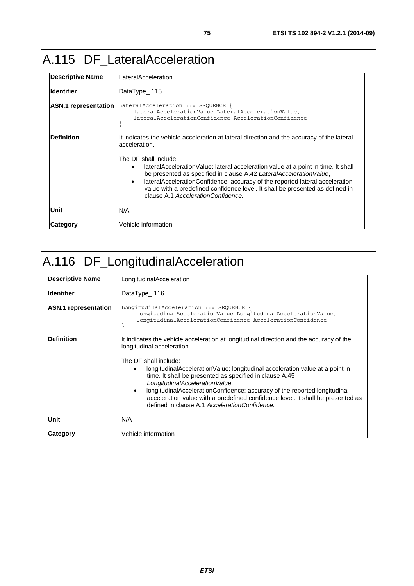#### A.115 DF\_LateralAcceleration

| <b>Descriptive Name</b> | LateralAcceleration                                                                                                                                                                                                                                                                                                                                                                       |  |
|-------------------------|-------------------------------------------------------------------------------------------------------------------------------------------------------------------------------------------------------------------------------------------------------------------------------------------------------------------------------------------------------------------------------------------|--|
| <b>Identifier</b>       | DataType 115                                                                                                                                                                                                                                                                                                                                                                              |  |
|                         | ASN.1 representation LateralAcceleration ::= SEQUENCE {<br>lateralAccelerationValue LateralAccelerationValue,<br>lateralAccelerationConfidence AccelerationConfidence                                                                                                                                                                                                                     |  |
| <b>Definition</b>       | It indicates the vehicle acceleration at lateral direction and the accuracy of the lateral<br>acceleration.                                                                                                                                                                                                                                                                               |  |
|                         | The DF shall include:<br>lateralAccelerationValue: lateral acceleration value at a point in time. It shall<br>be presented as specified in clause A.42 LateralAccelerationValue,<br>lateral Acceleration Confidence: accuracy of the reported lateral acceleration<br>value with a predefined confidence level. It shall be presented as defined in<br>clause A.1 AccelerationConfidence. |  |
| Unit                    | N/A                                                                                                                                                                                                                                                                                                                                                                                       |  |
| Category                | Vehicle information                                                                                                                                                                                                                                                                                                                                                                       |  |

### A.116 DF\_LongitudinalAcceleration

| Descriptive Name            | LongitudinalAcceleration                                                                                                                                                                                                                                                                                                                                                                                                              |  |
|-----------------------------|---------------------------------------------------------------------------------------------------------------------------------------------------------------------------------------------------------------------------------------------------------------------------------------------------------------------------------------------------------------------------------------------------------------------------------------|--|
| <b>Identifier</b>           | DataType $\_ 116$                                                                                                                                                                                                                                                                                                                                                                                                                     |  |
| <b>ASN.1</b> representation | LongitudinalAcceleration ::= SEQUENCE {<br>longitudinalAccelerationValue LongitudinalAccelerationValue,<br>longitudinalAccelerationConfidence AccelerationConfidence                                                                                                                                                                                                                                                                  |  |
| <b>IDefinition</b>          | It indicates the vehicle acceleration at longitudinal direction and the accuracy of the<br>longitudinal acceleration.                                                                                                                                                                                                                                                                                                                 |  |
|                             | The DF shall include:<br>longitudinalAccelerationValue: longitudinal acceleration value at a point in<br>٠<br>time. It shall be presented as specified in clause A.45<br>LongitudinalAccelerationValue,<br>longitudinalAccelerationConfidence: accuracy of the reported longitudinal<br>$\bullet$<br>acceleration value with a predefined confidence level. It shall be presented as<br>defined in clause A.1 AccelerationConfidence. |  |
| Unit                        | N/A                                                                                                                                                                                                                                                                                                                                                                                                                                   |  |
| Category                    | Vehicle information                                                                                                                                                                                                                                                                                                                                                                                                                   |  |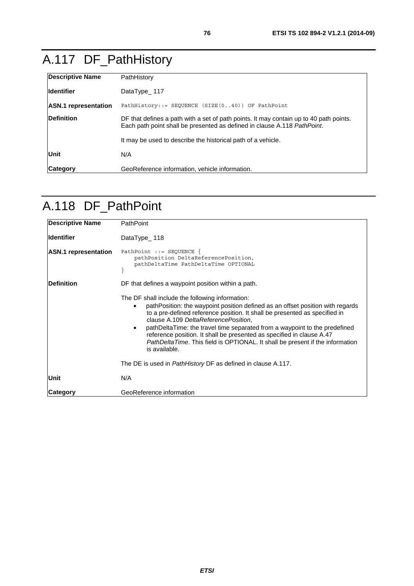# <span id="page-75-0"></span>A.117 DF\_PathHistory

| <b>Descriptive Name</b>     | PathHistory                                                                                                                                                        |  |
|-----------------------------|--------------------------------------------------------------------------------------------------------------------------------------------------------------------|--|
| <b>Ildentifier</b>          | DataType 117                                                                                                                                                       |  |
| <b>ASN.1</b> representation | PathHistory::= SEQUENCE $(SIZE(040))$ OF PathPoint                                                                                                                 |  |
| <b>Definition</b>           | DF that defines a path with a set of path points. It may contain up to 40 path points.<br>Each path point shall be presented as defined in clause A.118 PathPoint. |  |
|                             | It may be used to describe the historical path of a vehicle.                                                                                                       |  |
| Unit                        | N/A                                                                                                                                                                |  |
| <b>Category</b>             | GeoReference information, vehicle information.                                                                                                                     |  |

### A.118 DF\_PathPoint

| <b>Descriptive Name</b>     | <b>PathPoint</b>                                                                                                                                                                                                                                                                                                                                                                                                                                                                                                                     |
|-----------------------------|--------------------------------------------------------------------------------------------------------------------------------------------------------------------------------------------------------------------------------------------------------------------------------------------------------------------------------------------------------------------------------------------------------------------------------------------------------------------------------------------------------------------------------------|
| lldentifier                 | DataType $\_ 118$                                                                                                                                                                                                                                                                                                                                                                                                                                                                                                                    |
| <b>ASN.1</b> representation | PathPoint ::= SEQUENCE {<br>pathPosition DeltaReferencePosition,<br>pathDeltaTime PathDeltaTime OPTIONAL                                                                                                                                                                                                                                                                                                                                                                                                                             |
| <b>Definition</b>           | DF that defines a waypoint position within a path.                                                                                                                                                                                                                                                                                                                                                                                                                                                                                   |
|                             | The DF shall include the following information:<br>pathPosition: the waypoint position defined as an offset position with regards<br>to a pre-defined reference position. It shall be presented as specified in<br>clause A.109 DeltaReferencePosition,<br>pathDeltaTime: the travel time separated from a waypoint to the predefined<br>$\bullet$<br>reference position. It shall be presented as specified in clause A.47<br><i>PathDeltaTime.</i> This field is OPTIONAL. It shall be present if the information<br>is available. |
|                             | The DE is used in <i>PathHistory</i> DF as defined in clause A.117.                                                                                                                                                                                                                                                                                                                                                                                                                                                                  |
| Unit                        | N/A                                                                                                                                                                                                                                                                                                                                                                                                                                                                                                                                  |
| <b>Category</b>             | GeoReference information                                                                                                                                                                                                                                                                                                                                                                                                                                                                                                             |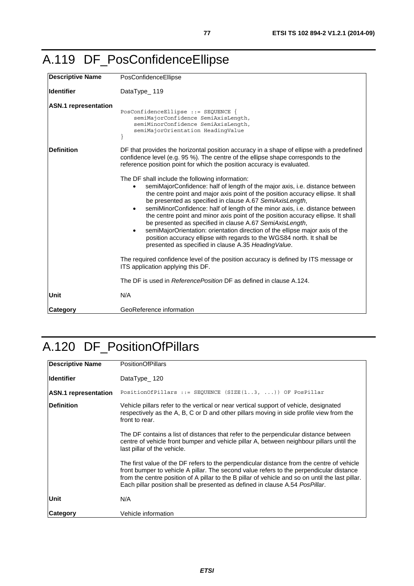<span id="page-76-0"></span>

|  |  | A.119 DF_PosConfidenceEllipse |
|--|--|-------------------------------|
|--|--|-------------------------------|

| <b>Descriptive Name</b>     | PosConfidenceEllipse                                                                                                                                                                                                                                                                                                                                                                                                                                                                                                                                                                                                                                                                                                                           |  |
|-----------------------------|------------------------------------------------------------------------------------------------------------------------------------------------------------------------------------------------------------------------------------------------------------------------------------------------------------------------------------------------------------------------------------------------------------------------------------------------------------------------------------------------------------------------------------------------------------------------------------------------------------------------------------------------------------------------------------------------------------------------------------------------|--|
| <b>Identifier</b>           | DataType_119                                                                                                                                                                                                                                                                                                                                                                                                                                                                                                                                                                                                                                                                                                                                   |  |
| <b>ASN.1</b> representation | $PosConfidenceEllipse :: = SEQUENCE$<br>semiMajorConfidence SemiAxisLength,<br>semiMinorConfidence SemiAxisLength,<br>semiMajorOrientation HeadingValue                                                                                                                                                                                                                                                                                                                                                                                                                                                                                                                                                                                        |  |
| <b>Definition</b>           | DF that provides the horizontal position accuracy in a shape of ellipse with a predefined<br>confidence level (e.g. 95 %). The centre of the ellipse shape corresponds to the<br>reference position point for which the position accuracy is evaluated.                                                                                                                                                                                                                                                                                                                                                                                                                                                                                        |  |
|                             | The DF shall include the following information:<br>semiMajorConfidence: half of length of the major axis, i.e. distance between<br>the centre point and major axis point of the position accuracy ellipse. It shall<br>be presented as specified in clause A.67 SemiAxisLength,<br>semiMinorConfidence: half of length of the minor axis, i.e. distance between<br>$\bullet$<br>the centre point and minor axis point of the position accuracy ellipse. It shall<br>be presented as specified in clause A.67 SemiAxisLength,<br>semiMajorOrientation: orientation direction of the ellipse major axis of the<br>position accuracy ellipse with regards to the WGS84 north. It shall be<br>presented as specified in clause A.35 Heading Value. |  |
|                             | The required confidence level of the position accuracy is defined by ITS message or<br>ITS application applying this DF.                                                                                                                                                                                                                                                                                                                                                                                                                                                                                                                                                                                                                       |  |
|                             | The DF is used in Reference Position DF as defined in clause A.124.                                                                                                                                                                                                                                                                                                                                                                                                                                                                                                                                                                                                                                                                            |  |
| Unit                        | N/A                                                                                                                                                                                                                                                                                                                                                                                                                                                                                                                                                                                                                                                                                                                                            |  |
| <b>Category</b>             | GeoReference information                                                                                                                                                                                                                                                                                                                                                                                                                                                                                                                                                                                                                                                                                                                       |  |

### A.120 DF\_PositionOfPillars

| <b>Descriptive Name</b>     | <b>PositionOfPillars</b>                                                                                                                                                                                                                                                                                                                                                 |  |
|-----------------------------|--------------------------------------------------------------------------------------------------------------------------------------------------------------------------------------------------------------------------------------------------------------------------------------------------------------------------------------------------------------------------|--|
| lldentifier                 | DataType_120                                                                                                                                                                                                                                                                                                                                                             |  |
| <b>ASN.1</b> representation | PositionOfPillars ::= SEQUENCE (SIZE $(13, )$ ) OF PosPillar                                                                                                                                                                                                                                                                                                             |  |
| <b>Definition</b>           | Vehicle pillars refer to the vertical or near vertical support of vehicle, designated<br>respectively as the A, B, C or D and other pillars moving in side profile view from the<br>front to rear.                                                                                                                                                                       |  |
|                             | The DF contains a list of distances that refer to the perpendicular distance between<br>centre of vehicle front bumper and vehicle pillar A, between neighbour pillars until the<br>last pillar of the vehicle.                                                                                                                                                          |  |
|                             | The first value of the DF refers to the perpendicular distance from the centre of vehicle<br>front bumper to vehicle A pillar. The second value refers to the perpendicular distance<br>from the centre position of A pillar to the B pillar of vehicle and so on until the last pillar.<br>Each pillar position shall be presented as defined in clause A.54 PosPillar. |  |
| Unit                        | N/A                                                                                                                                                                                                                                                                                                                                                                      |  |
| Category                    | Vehicle information                                                                                                                                                                                                                                                                                                                                                      |  |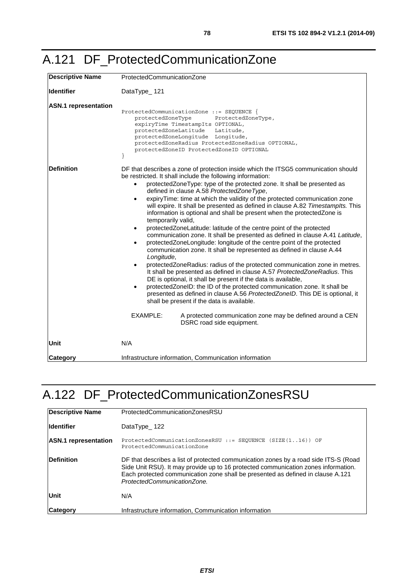| <b>Descriptive Name</b>     | ProtectedCommunicationZone                                                                                                                                                                                                                                                                                                                                                                                                                                                                                                                                                                                                                                                                                                                                                                                                                                                                                                                                                                                                                                                                                                                                                                                                                                                                                                                                                                                         |  |
|-----------------------------|--------------------------------------------------------------------------------------------------------------------------------------------------------------------------------------------------------------------------------------------------------------------------------------------------------------------------------------------------------------------------------------------------------------------------------------------------------------------------------------------------------------------------------------------------------------------------------------------------------------------------------------------------------------------------------------------------------------------------------------------------------------------------------------------------------------------------------------------------------------------------------------------------------------------------------------------------------------------------------------------------------------------------------------------------------------------------------------------------------------------------------------------------------------------------------------------------------------------------------------------------------------------------------------------------------------------------------------------------------------------------------------------------------------------|--|
| <b>Identifier</b>           | DataType_121                                                                                                                                                                                                                                                                                                                                                                                                                                                                                                                                                                                                                                                                                                                                                                                                                                                                                                                                                                                                                                                                                                                                                                                                                                                                                                                                                                                                       |  |
| <b>ASN.1</b> representation | ProtectedCommunicationZone ::= SEQUENCE {<br>protectedZoneType<br>ProtectedZoneType,<br>expiryTime TimestampIts OPTIONAL,<br>protectedZoneLatitude<br>Latitude,<br>protectedZoneLongitude Longitude,<br>protectedZoneRadius ProtectedZoneRadius OPTIONAL,<br>protectedZoneID ProtectedZoneID OPTIONAL                                                                                                                                                                                                                                                                                                                                                                                                                                                                                                                                                                                                                                                                                                                                                                                                                                                                                                                                                                                                                                                                                                              |  |
| <b>Definition</b>           | DF that describes a zone of protection inside which the ITSG5 communication should<br>be restricted. It shall include the following information:<br>protectedZoneType: type of the protected zone. It shall be presented as<br>defined in clause A.58 ProtectedZoneType,<br>expiryTime: time at which the validity of the protected communication zone<br>will expire. It shall be presented as defined in clause A.82 Timestamplts. This<br>information is optional and shall be present when the protectedZone is<br>temporarily valid,<br>protectedZoneLatitude: latitude of the centre point of the protected<br>communication zone. It shall be presented as defined in clause A.41 Latitude,<br>protectedZoneLongitude: longitude of the centre point of the protected<br>communication zone. It shall be represented as defined in clause A.44<br>Longitude,<br>protectedZoneRadius: radius of the protected communication zone in metres.<br>It shall be presented as defined in clause A.57 Protected Zone Radius. This<br>DE is optional, it shall be present if the data is available,<br>protectedZoneID: the ID of the protected communication zone. It shall be<br>presented as defined in clause A.56 ProtectedZoneID. This DE is optional, it<br>shall be present if the data is available.<br>EXAMPLE:<br>A protected communication zone may be defined around a CEN<br>DSRC road side equipment. |  |
| Unit                        | N/A                                                                                                                                                                                                                                                                                                                                                                                                                                                                                                                                                                                                                                                                                                                                                                                                                                                                                                                                                                                                                                                                                                                                                                                                                                                                                                                                                                                                                |  |
| Category                    | Infrastructure information, Communication information                                                                                                                                                                                                                                                                                                                                                                                                                                                                                                                                                                                                                                                                                                                                                                                                                                                                                                                                                                                                                                                                                                                                                                                                                                                                                                                                                              |  |

### A.122 DF\_ProtectedCommunicationZonesRSU

| Descriptive Name            | ProtectedCommunicationZonesRSU                                                                                                                                                                                                                                                               |  |
|-----------------------------|----------------------------------------------------------------------------------------------------------------------------------------------------------------------------------------------------------------------------------------------------------------------------------------------|--|
| <b>Identifier</b>           | DataType $122$                                                                                                                                                                                                                                                                               |  |
| <b>ASN.1</b> representation | ProtectedCommunicationZonesRSU ::= SEQUENCE (SIZE(116)) OF<br>ProtectedCommunicationZone                                                                                                                                                                                                     |  |
| Definition                  | DF that describes a list of protected communication zones by a road side ITS-S (Road<br>Side Unit RSU). It may provide up to 16 protected communication zones information.<br>Each protected communication zone shall be presented as defined in clause A.121<br>ProtectedCommunicationZone. |  |
| Unit                        | N/A                                                                                                                                                                                                                                                                                          |  |
| <b>Category</b>             | Infrastructure information, Communication information                                                                                                                                                                                                                                        |  |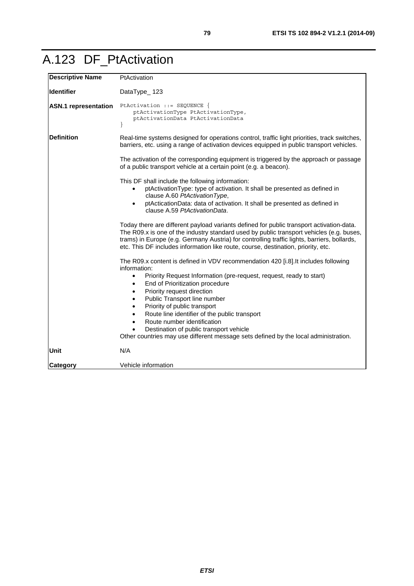### A.123 DF\_PtActivation

| <b>Descriptive Name</b>     | PtActivation                                                                                                                                                                                                                                                                                                                                                                                                                                                                                                                                                                                                             |  |  |
|-----------------------------|--------------------------------------------------------------------------------------------------------------------------------------------------------------------------------------------------------------------------------------------------------------------------------------------------------------------------------------------------------------------------------------------------------------------------------------------------------------------------------------------------------------------------------------------------------------------------------------------------------------------------|--|--|
| <b>Identifier</b>           | DataType_123                                                                                                                                                                                                                                                                                                                                                                                                                                                                                                                                                                                                             |  |  |
| <b>ASN.1</b> representation | PtActivation ::= SEQUENCE {<br>ptActivationType PtActivationType,<br>ptActivationData PtActivationData<br>$\}$                                                                                                                                                                                                                                                                                                                                                                                                                                                                                                           |  |  |
| <b>Definition</b>           | Real-time systems designed for operations control, traffic light priorities, track switches,<br>barriers, etc. using a range of activation devices equipped in public transport vehicles.                                                                                                                                                                                                                                                                                                                                                                                                                                |  |  |
|                             | The activation of the corresponding equipment is triggered by the approach or passage<br>of a public transport vehicle at a certain point (e.g. a beacon).                                                                                                                                                                                                                                                                                                                                                                                                                                                               |  |  |
|                             | This DF shall include the following information:<br>ptActivationType: type of activation. It shall be presented as defined in<br>$\bullet$<br>clause A.60 PtActivation Type,<br>ptActicationData: data of activation. It shall be presented as defined in<br>clause A.59 PtActivationData.                                                                                                                                                                                                                                                                                                                               |  |  |
|                             | Today there are different payload variants defined for public transport activation-data.<br>The R09.x is one of the industry standard used by public transport vehicles (e.g. buses,<br>trams) in Europe (e.g. Germany Austria) for controlling traffic lights, barriers, bollards,<br>etc. This DF includes information like route, course, destination, priority, etc.                                                                                                                                                                                                                                                 |  |  |
|                             | The R09.x content is defined in VDV recommendation 420 [i.8]. It includes following<br>information:<br>Priority Request Information (pre-request, request, ready to start)<br>$\bullet$<br>End of Prioritization procedure<br>$\bullet$<br>Priority request direction<br>$\bullet$<br>Public Transport line number<br>$\bullet$<br>Priority of public transport<br>$\bullet$<br>Route line identifier of the public transport<br>$\bullet$<br>Route number identification<br>$\bullet$<br>Destination of public transport vehicle<br>Other countries may use different message sets defined by the local administration. |  |  |
| Unit                        | N/A                                                                                                                                                                                                                                                                                                                                                                                                                                                                                                                                                                                                                      |  |  |
| Category                    | Vehicle information                                                                                                                                                                                                                                                                                                                                                                                                                                                                                                                                                                                                      |  |  |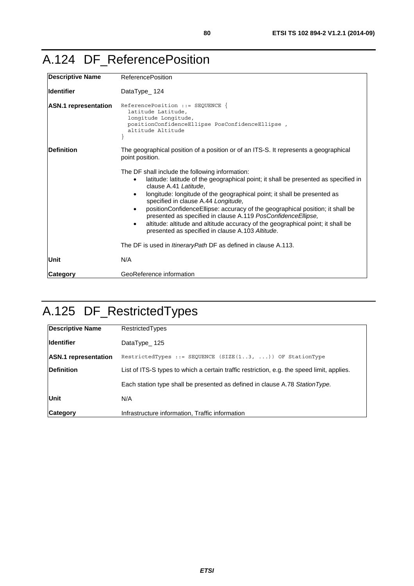#### <span id="page-79-0"></span>A.124 DF\_ReferencePosition

| <b>Descriptive Name</b>     | <b>ReferencePosition</b>                                                                                                                                                                                                                                                                                                                                                                                                                                                                                                                                                                              |  |  |
|-----------------------------|-------------------------------------------------------------------------------------------------------------------------------------------------------------------------------------------------------------------------------------------------------------------------------------------------------------------------------------------------------------------------------------------------------------------------------------------------------------------------------------------------------------------------------------------------------------------------------------------------------|--|--|
| <b>Identifier</b>           | DataType_124                                                                                                                                                                                                                                                                                                                                                                                                                                                                                                                                                                                          |  |  |
| <b>ASN.1</b> representation | $ReferencePosition :: = SEOUENCE$<br>latitude Latitude,<br>longitude Longitude,<br>positionConfidenceEllipse PosConfidenceEllipse,<br>altitude Altitude                                                                                                                                                                                                                                                                                                                                                                                                                                               |  |  |
| <b>Definition</b>           | The geographical position of a position or of an ITS-S. It represents a geographical<br>point position.                                                                                                                                                                                                                                                                                                                                                                                                                                                                                               |  |  |
|                             | The DF shall include the following information:<br>latitude: latitude of the geographical point; it shall be presented as specified in<br>clause A.41 Latitude.<br>longitude: longitude of the geographical point; it shall be presented as<br>specified in clause A.44 Longitude,<br>positionConfidenceEllipse: accuracy of the geographical position; it shall be<br>$\bullet$<br>presented as specified in clause A.119 PosConfidence Ellipse,<br>altitude: altitude and altitude accuracy of the geographical point; it shall be<br>$\bullet$<br>presented as specified in clause A.103 Altitude. |  |  |
|                             | The DF is used in <i>ItineraryPath</i> DF as defined in clause A.113.                                                                                                                                                                                                                                                                                                                                                                                                                                                                                                                                 |  |  |
| Unit                        | N/A                                                                                                                                                                                                                                                                                                                                                                                                                                                                                                                                                                                                   |  |  |
| <b>Category</b>             | GeoReference information                                                                                                                                                                                                                                                                                                                                                                                                                                                                                                                                                                              |  |  |

# A.125 DF\_RestrictedTypes

| <b>Descriptive Name</b>     | <b>Restricted Types</b>                                                                    |  |
|-----------------------------|--------------------------------------------------------------------------------------------|--|
| <b>Identifier</b>           | DataType $125$                                                                             |  |
| <b>ASN.1</b> representation | RestrictedTypes ::= SEQUENCE (SIZE $(13, )$ ) OF StationType                               |  |
| <b>IDefinition</b>          | List of ITS-S types to which a certain traffic restriction, e.g. the speed limit, applies. |  |
|                             | Each station type shall be presented as defined in clause A.78 Station Type.               |  |
| <b>Unit</b>                 | N/A                                                                                        |  |
| <b>Category</b>             | Infrastructure information, Traffic information                                            |  |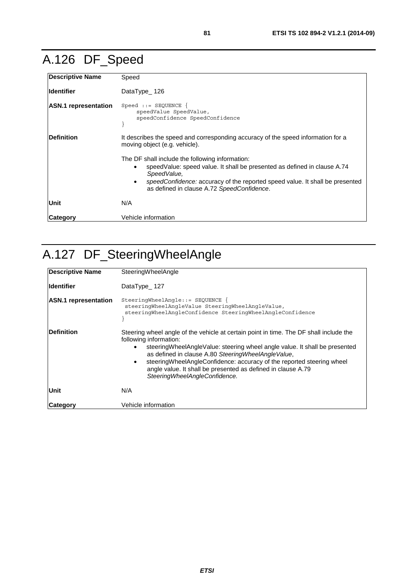# A.126 DF\_Speed

| <b>Descriptive Name</b>     | Speed                                                                                                                                                                                                                                                                                  |  |
|-----------------------------|----------------------------------------------------------------------------------------------------------------------------------------------------------------------------------------------------------------------------------------------------------------------------------------|--|
| lldentifier                 | DataType $126$                                                                                                                                                                                                                                                                         |  |
| <b>ASN.1</b> representation | $Speed :: = SEQUENCE$<br>speedValue SpeedValue,<br>speedConfidence SpeedConfidence                                                                                                                                                                                                     |  |
| <b>IDefinition</b>          | It describes the speed and corresponding accuracy of the speed information for a<br>moving object (e.g. vehicle).                                                                                                                                                                      |  |
|                             | The DF shall include the following information:<br>speed Value: speed value. It shall be presented as defined in clause A.74<br>SpeedValue,<br>speedConfidence: accuracy of the reported speed value. It shall be presented<br>$\bullet$<br>as defined in clause A.72 SpeedConfidence. |  |
| <b>Unit</b>                 | N/A                                                                                                                                                                                                                                                                                    |  |
| Category                    | Vehicle information                                                                                                                                                                                                                                                                    |  |

# A.127 DF\_SteeringWheelAngle

| Descriptive Name            | SteeringWheelAngle                                                                                                                                                                                                                                                                                                                                                                                                                                 |  |  |
|-----------------------------|----------------------------------------------------------------------------------------------------------------------------------------------------------------------------------------------------------------------------------------------------------------------------------------------------------------------------------------------------------------------------------------------------------------------------------------------------|--|--|
| <b>Identifier</b>           | DataType_127                                                                                                                                                                                                                                                                                                                                                                                                                                       |  |  |
| <b>ASN.1 representation</b> | SteeringWheelAngle::= SEQUENCE {<br>steeringWheelAngleValue SteeringWheelAngleValue,<br>steeringWheelAngleConfidence SteeringWheelAngleConfidence                                                                                                                                                                                                                                                                                                  |  |  |
| Definition                  | Steering wheel angle of the vehicle at certain point in time. The DF shall include the<br>following information:<br>steering WheelAngle Value: steering wheel angle value. It shall be presented<br>as defined in clause A.80 Steering WheelAngle Value,<br>steering Wheel Angle Confidence: accuracy of the reported steering wheel<br>$\bullet$<br>angle value. It shall be presented as defined in clause A.79<br>SteeringWheelAngleConfidence. |  |  |
| Unit                        | N/A                                                                                                                                                                                                                                                                                                                                                                                                                                                |  |  |
| Category                    | Vehicle information                                                                                                                                                                                                                                                                                                                                                                                                                                |  |  |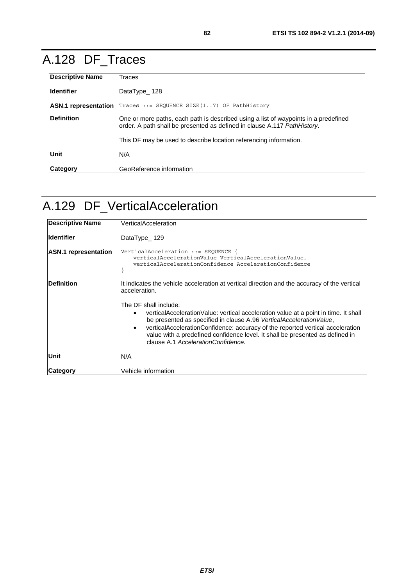### A.128 DF\_Traces

| <b>Descriptive Name</b>     | Traces                                                                                                                                                           |  |
|-----------------------------|------------------------------------------------------------------------------------------------------------------------------------------------------------------|--|
| lldentifier                 | DataType 128                                                                                                                                                     |  |
| <b>ASN.1</b> representation | Traces ::= SEOUENCE SIZE $(1.7)$ OF PathHistory                                                                                                                  |  |
| Definition                  | One or more paths, each path is described using a list of waypoints in a predefined<br>order. A path shall be presented as defined in clause A.117 Path History. |  |
|                             | This DF may be used to describe location referencing information.                                                                                                |  |
| Unit                        | N/A                                                                                                                                                              |  |
| <b>Category</b>             | GeoReference information                                                                                                                                         |  |

### A.129 DF\_VerticalAcceleration

| <b>Descriptive Name</b>     | VerticalAcceleration                                                                                                                                                                                                                                                                                                                                                                                             |  |
|-----------------------------|------------------------------------------------------------------------------------------------------------------------------------------------------------------------------------------------------------------------------------------------------------------------------------------------------------------------------------------------------------------------------------------------------------------|--|
| <b>Identifier</b>           | DataType_129                                                                                                                                                                                                                                                                                                                                                                                                     |  |
| <b>ASN.1</b> representation | VerticalAcceleration ::= SEQUENCE<br>verticalAccelerationValue VerticalAccelerationValue,<br>verticalAccelerationConfidence AccelerationConfidence                                                                                                                                                                                                                                                               |  |
| <b>Definition</b>           | It indicates the vehicle acceleration at vertical direction and the accuracy of the vertical<br>acceleration.                                                                                                                                                                                                                                                                                                    |  |
|                             | The DF shall include:<br>vertical Acceleration Value: vertical acceleration value at a point in time. It shall<br>٠<br>be presented as specified in clause A.96 VerticalAccelerationValue,<br>verticalAccelerationConfidence: accuracy of the reported vertical acceleration<br>$\bullet$<br>value with a predefined confidence level. It shall be presented as defined in<br>clause A.1 AccelerationConfidence. |  |
| Unit                        | N/A                                                                                                                                                                                                                                                                                                                                                                                                              |  |
| <b>Category</b>             | Vehicle information                                                                                                                                                                                                                                                                                                                                                                                              |  |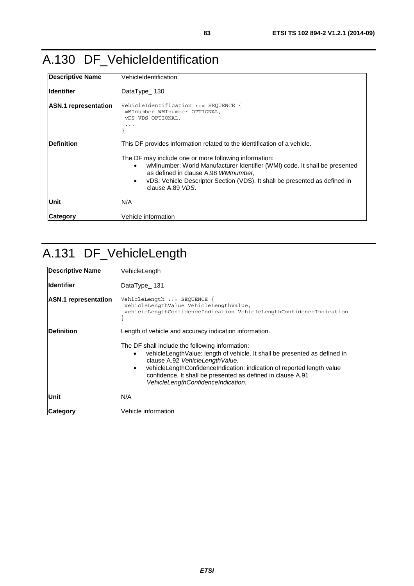### A.130 DF\_VehicleIdentification

| <b>Descriptive Name</b>     | VehicleIdentification                                                                                                                                                                                                                                                                           |  |  |
|-----------------------------|-------------------------------------------------------------------------------------------------------------------------------------------------------------------------------------------------------------------------------------------------------------------------------------------------|--|--|
| lldentifier                 | DataType_130                                                                                                                                                                                                                                                                                    |  |  |
| <b>ASN.1</b> representation | VehicleIdentification ::= SEQUENCE $\{$<br>wMInumber WMInumber OPTIONAL,<br>VDS VDS OPTIONAL,                                                                                                                                                                                                   |  |  |
| Definition                  | This DF provides information related to the identification of a vehicle.                                                                                                                                                                                                                        |  |  |
|                             | The DF may include one or more following information:<br>wMInumber: World Manufacturer Identifier (WMI) code. It shall be presented<br>$\bullet$<br>as defined in clause A.98 WMInumber,<br>vDS: Vehicle Descriptor Section (VDS). It shall be presented as defined in<br>٠<br>clause A.89 VDS. |  |  |
| lUnit                       | N/A                                                                                                                                                                                                                                                                                             |  |  |
| Category                    | Vehicle information                                                                                                                                                                                                                                                                             |  |  |

### A.131 DF\_VehicleLength

| <b>Descriptive Name</b>     | VehicleLength                                                                                                                                                                                                                                                                                                                                                                                                  |  |  |
|-----------------------------|----------------------------------------------------------------------------------------------------------------------------------------------------------------------------------------------------------------------------------------------------------------------------------------------------------------------------------------------------------------------------------------------------------------|--|--|
| lldentifier                 | DataType_131                                                                                                                                                                                                                                                                                                                                                                                                   |  |  |
| <b>ASN.1</b> representation | VehicleLength ::= SEQUENCE<br>vehicleLengthValue VehicleLengthValue,<br>vehicleLengthConfidenceIndication VehicleLengthConfidenceIndication                                                                                                                                                                                                                                                                    |  |  |
| Definition                  | Length of vehicle and accuracy indication information.<br>The DF shall include the following information:<br>vehicleLengthValue: length of vehicle. It shall be presented as defined in<br>clause A.92 VehicleLengthValue,<br>vehicleLengthConfidenceIndication: indication of reported length value<br>٠<br>confidence. It shall be presented as defined in clause A.91<br>VehicleLengthConfidenceIndication. |  |  |
| Unit                        | N/A                                                                                                                                                                                                                                                                                                                                                                                                            |  |  |
| <b>Category</b>             | Vehicle information                                                                                                                                                                                                                                                                                                                                                                                            |  |  |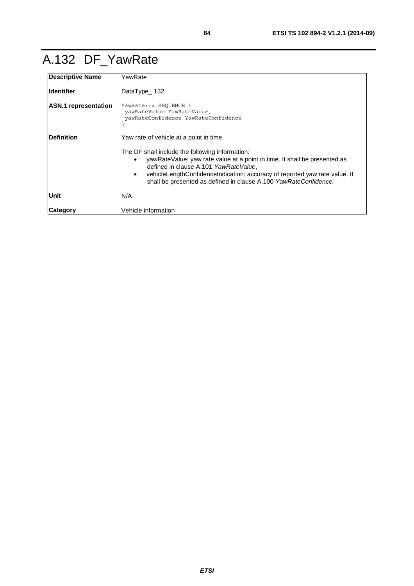### A.132 DF\_YawRate

| <b>Descriptive Name</b>     | YawRate                                                                                                                                                                                                                                                                                                                              |  |  |
|-----------------------------|--------------------------------------------------------------------------------------------------------------------------------------------------------------------------------------------------------------------------------------------------------------------------------------------------------------------------------------|--|--|
| lldentifier                 | DataType_132                                                                                                                                                                                                                                                                                                                         |  |  |
| <b>ASN.1</b> representation | $YawRate: := SEQUENCE$<br>yawRateValue YawRateValue,<br>yawRateConfidence YawRateConfidence                                                                                                                                                                                                                                          |  |  |
| Definition                  | Yaw rate of vehicle at a point in time.                                                                                                                                                                                                                                                                                              |  |  |
|                             | The DF shall include the following information:<br>yawRateValue: yaw rate value at a point in time. It shall be presented as<br>defined in clause A.101 YawRateValue,<br>vehicleLengthConfidenceIndication: accuracy of reported yaw rate value. It<br>$\bullet$<br>shall be presented as defined in clause A.100 YawRateConfidence. |  |  |
| <b>Unit</b>                 | N/A                                                                                                                                                                                                                                                                                                                                  |  |  |
| Category                    | Vehicle information                                                                                                                                                                                                                                                                                                                  |  |  |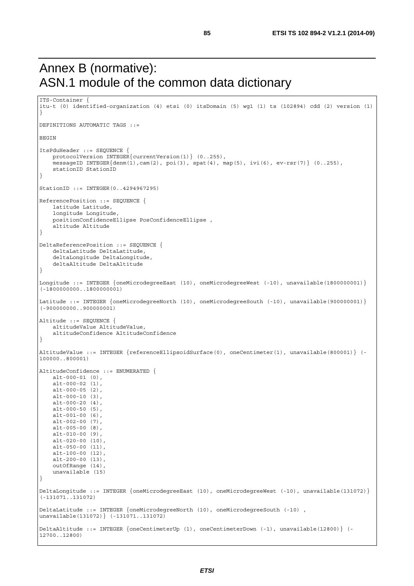#### Annex B (normative): ASN.1 module of the common data dictionary

ITS-Container {

```
itu-t (0) identified-organization (4) etsi (0) itsDomain (5) wg1 (1) ts (102894) cdd (2) version (1) 
} 
DEFINITIONS AUTOMATIC TAGS ::= 
BEGIN 
ItsPduHeader ::= SEQUENCE { 
     protocolVersion INTEGER{currentVersion(1)} (0..255), 
     messageID INTEGER{denm(1),cam(2), poi(3), spat(4), map(5), ivi(6), ev-rsr(7)} (0..255), 
     stationID StationID 
} 
StationID ::= INTEGER(0..4294967295) 
ReferencePosition ::= SEQUENCE { 
     latitude Latitude, 
     longitude Longitude, 
     positionConfidenceEllipse PosConfidenceEllipse , 
     altitude Altitude 
} 
DeltaReferencePosition ::= SEQUENCE { 
     deltaLatitude DeltaLatitude, 
     deltaLongitude DeltaLongitude, 
    deltaAltitude DeltaAltitude 
} 
Longitude ::= INTEGER {oneMicrodegreeEast (10), oneMicrodegreeWest (-10), unavailable(1800000001)}
(-1800000000..1800000001) 
Latitude ::= INTEGER {oneMicrodegreeNorth (10), oneMicrodegreeSouth (-10), unavailable(900000001)}
(-900000000..900000001) 
Altitude ::= SEQUENCE { 
     altitudeValue AltitudeValue, 
     altitudeConfidence AltitudeConfidence 
} 
AltitudeValue ::= INTEGER {referenceEllipsoidSurface(0), oneCentimeter(1), unavailable(800001)} (-
100000..800001) 
AltitudeConfidence ::= ENUMERATED { 
    alt-000-01 (0), 
     alt-000-02 (1), 
     alt-000-05 (2), 
    alt-000-10 (3), 
   alt-000-20(4),
   alt-000-50 (5),
     alt-001-00 (6), 
     alt-002-00 (7), 
    alt-005-00 (8), 
    alt-010-00 (9), 
     alt-020-00 (10), 
   alt-050-00 (11),
     alt-100-00 (12), 
    alt-200-00 (13), 
     outOfRange (14), 
     unavailable (15) 
} 
DeltaLongitude ::= INTEGER {oneMicrodegreeEast (10), oneMicrodegreeWest (-10), unavailable(131072)} 
(-131071..131072) 
DeltaLatitude ::= INTEGER {oneMicrodegreeNorth (10), oneMicrodegreeSouth (-10) , 
unavailable(131072)} (-131071..131072) 
DeltaAltitude ::= INTEGER {oneCentimeterUp (1), oneCentimeterDown (-1), unavailable(12800)} (-
12700..12800)
```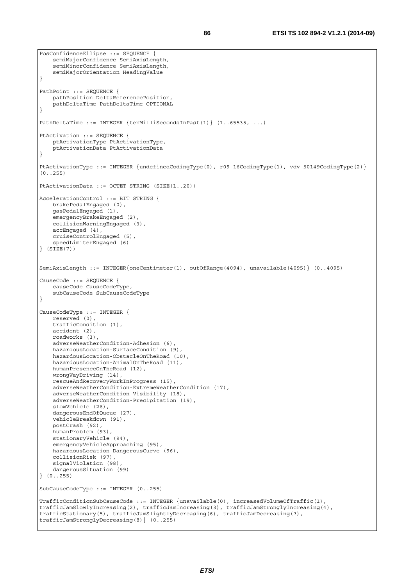```
PosConfidenceEllipse ::= SEQUENCE { 
     semiMajorConfidence SemiAxisLength, 
     semiMinorConfidence SemiAxisLength, 
     semiMajorOrientation HeadingValue 
} 
PathPoint ::= SEQUENCE { 
    pathPosition DeltaReferencePosition, 
    pathDeltaTime PathDeltaTime OPTIONAL 
} 
PathDeltaTime ::= INTEGER {tenMilliSecondsInPast(1)} (1..65535, ...) 
PtActivation ::= SEQUENCE { 
     ptActivationType PtActivationType, 
     ptActivationData PtActivationData 
} 
PtActivationType ::= INTEGER {undefinedCodingType(0), r09-16CodingType(1), vdv-50149CodingType(2)} 
(0..255) 
PtActivationData ::= OCTET STRING (SIZE(1..20)) 
AccelerationControl ::= BIT STRING { 
    brakePedalEngaged (0), 
     gasPedalEngaged (1), 
     emergencyBrakeEngaged (2), 
     collisionWarningEngaged (3), 
     accEngaged (4), 
     cruiseControlEngaged (5), 
     speedLimiterEngaged (6) 
\overline{S} (STZE(7))
SemiAxisLength ::= INTEGER{oneCentimeter(1), outOfRange(4094), unavailable(4095)} (0..4095) 
CauseCode ::= SEQUENCE { 
     causeCode CauseCodeType, 
     subCauseCode SubCauseCodeType 
} 
CauseCodeType ::= INTEGER { 
    reserved (0), 
     trafficCondition (1), 
     accident (2), 
     roadworks (3), 
     adverseWeatherCondition-Adhesion (6), 
     hazardousLocation-SurfaceCondition (9), 
     hazardousLocation-ObstacleOnTheRoad (10), 
    hazardousLocation-AnimalOnTheRoad (11), 
     humanPresenceOnTheRoad (12), 
     wrongWayDriving (14), 
     rescueAndRecoveryWorkInProgress (15), 
     adverseWeatherCondition-ExtremeWeatherCondition (17), 
     adverseWeatherCondition-Visibility (18), 
     adverseWeatherCondition-Precipitation (19), 
     slowVehicle (26), 
     dangerousEndOfQueue (27), 
     vehicleBreakdown (91), 
     postCrash (92), 
     humanProblem (93), 
     stationaryVehicle (94), 
     emergencyVehicleApproaching (95), 
     hazardousLocation-DangerousCurve (96), 
     collisionRisk (97), 
    signalViolation (98)
     dangerousSituation (99) 
} (0..255) 
SubCauseCodeType ::= INTEGER (0..255) 
TrafficConditionSubCauseCode ::= INTEGER {unavailable(0), increasedVolumeOfTraffic(1), 
trafficJamSlowlyIncreasing(2), trafficJamIncreasing(3), trafficJamStronglyIncreasing(4), 
trafficStationary(5), trafficJamSlightlyDecreasing(6), trafficJamDecreasing(7), 
trafficJamStronglyDecreasing(8)} (0..255)
```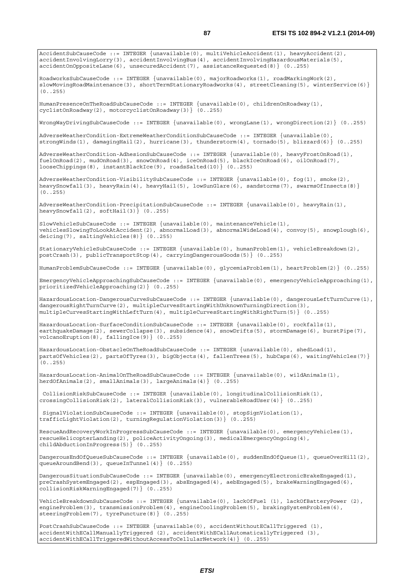AccidentSubCauseCode ::= INTEGER {unavailable(0), multiVehicleAccident(1), heavyAccident(2), accidentInvolvingLorry(3), accidentInvolvingBus(4), accidentInvolvingHazardousMaterials(5), accidentOnOppositeLane(6), unsecuredAccident(7), assistanceRequested(8)} (0..255) RoadworksSubCauseCode ::= INTEGER {unavailable(0), majorRoadworks(1), roadMarkingWork(2), slowMovingRoadMaintenance(3), shortTermStationaryRoadworks(4), streetCleaning(5), winterService(6)} (0..255) HumanPresenceOnTheRoadSubCauseCode ::= INTEGER {unavailable(0), childrenOnRoadway(1), cyclistOnRoadway(2), motorcyclistOnRoadway(3)} (0..255) WrongWayDrivingSubCauseCode ::= INTEGER {unavailable(0), wrongLane(1), wrongDirection(2)} (0..255) AdverseWeatherCondition-ExtremeWeatherConditionSubCauseCode ::= INTEGER {unavailable(0), strongWinds(1), damagingHail(2), hurricane(3), thunderstorm(4), tornado(5), blizzard(6)} (0..255) AdverseWeatherCondition-AdhesionSubCauseCode ::= INTEGER {unavailable(0), heavyFrostOnRoad(1), fuelOnRoad(2), mudOnRoad(3), snowOnRoad(4), iceOnRoad(5), blackIceOnRoad(6), oilOnRoad(7), looseChippings(8), instantBlackIce(9), roadsSalted(10)} (0..255) AdverseWeatherCondition-VisibilitySubCauseCode ::= INTEGER {unavailable(0), fog(1), smoke(2), heavySnowfall(3), heavyRain(4), heavyHail(5), lowSunGlare(6), sandstorms(7), swarmsOfInsects(8)} (0..255) AdverseWeatherCondition-PrecipitationSubCauseCode ::= INTEGER {unavailable(0), heavyRain(1), heavySnowfall(2),  $softHall(3)$  (0..255) SlowVehicleSubCauseCode ::= INTEGER {unavailable(0), maintenanceVehicle(1), vehiclesSlowingToLookAtAccident(2), abnormalLoad(3), abnormalWideLoad(4), convoy(5), snowplough(6), deicing(7), saltingVehicles(8)} (0..255) StationaryVehicleSubCauseCode ::= INTEGER {unavailable(0), humanProblem(1), vehicleBreakdown(2), postCrash(3), publicTransportStop(4), carryingDangerousGoods(5)} (0..255) HumanProblemSubCauseCode ::= INTEGER {unavailable(0), glycemiaProblem(1), heartProblem(2)} (0..255) EmergencyVehicleApproachingSubCauseCode ::= INTEGER {unavailable(0), emergencyVehicleApproaching(1), prioritizedVehicleApproaching(2)} (0..255) HazardousLocation-DangerousCurveSubCauseCode ::= INTEGER {unavailable(0), dangerousLeftTurnCurve(1), dangerousRightTurnCurve(2), multipleCurvesStartingWithUnknownTurningDirection(3), multipleCurvesStartingWithLeftTurn(4), multipleCurvesStartingWithRightTurn(5)} (0..255) HazardousLocation-SurfaceConditionSubCauseCode ::= INTEGER {unavailable(0), rockfalls(1), earthquakeDamage(2), sewerCollapse(3), subsidence(4), snowDrifts(5), stormDamage(6), burstPipe(7), volcanoEruption(8), fallingIce(9)} (0..255) HazardousLocation-ObstacleOnTheRoadSubCauseCode ::= INTEGER {unavailable(0), shedLoad(1), partsOfVehicles(2), partsOfTyres(3), bigObjects(4), fallenTrees(5), hubCaps(6), waitingVehicles(7)} (0..255) HazardousLocation-AnimalOnTheRoadSubCauseCode ::= INTEGER {unavailable(0), wildAnimals(1), herdOfAnimals(2), smallAnimals(3), largeAnimals(4)} (0..255) CollisionRiskSubCauseCode ::= INTEGER {unavailable(0), longitudinalCollisionRisk(1), crossingCollisionRisk(2), lateralCollisionRisk(3), vulnerableRoadUser(4)} (0..255) SignalViolationSubCauseCode ::= INTEGER {unavailable(0), stopSignViolation(1), trafficLightViolation(2), turningRegulationViolation(3)} (0..255) RescueAndRecoveryWorkInProgressSubCauseCode ::= INTEGER {unavailable(0), emergencyVehicles(1), rescueHelicopterLanding(2), policeActivityOngoing(3), medicalEmergencyOngoing(4), childAbductionInProgress(5)} (0..255) DangerousEndOfQueueSubCauseCode ::= INTEGER {unavailable(0), suddenEndOfQueue(1), queueOverHill(2), queueAroundBend(3), queueInTunnel(4)} (0..255) DangerousSituationSubCauseCode ::= INTEGER {unavailable(0), emergencyElectronicBrakeEngaged(1), preCrashSystemEngaged(2), espEngaged(3), absEngaged(4), aebEngaged(5), brakeWarningEngaged(6), collisionRiskWarningEngaged(7)} (0..255) VehicleBreakdownSubCauseCode ::= INTEGER {unavailable(0), lackOfFuel (1), lackOfBatteryPower (2), engineProblem(3), transmissionProblem(4), engineCoolingProblem(5), brakingSystemProblem(6), steeringProblem(7), tyrePuncture(8)} (0..255) PostCrashSubCauseCode ::= INTEGER {unavailable(0), accidentWithoutECallTriggered (1), accidentWithECallManuallyTriggered (2), accidentWithECallAutomaticallyTriggered (3),

accidentWithECallTriggeredWithoutAccessToCellularNetwork(4)} (0..255)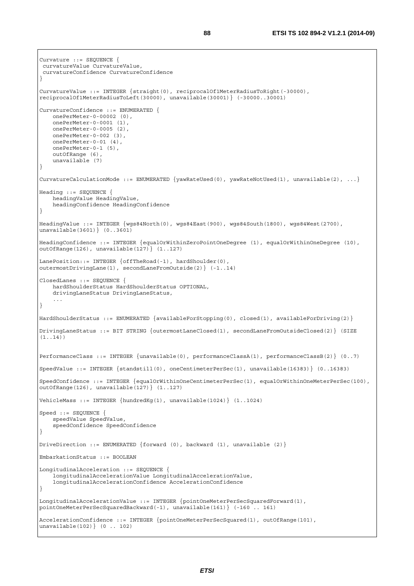```
Curvature ::= SEQUENCE { 
 curvatureValue CurvatureValue, 
 curvatureConfidence CurvatureConfidence 
} 
CurvatureValue ::= INTEGER {straight(0), reciprocalOf1MeterRadiusToRight(-30000), 
reciprocalOf1MeterRadiusToLeft(30000), unavailable(30001)} (-30000..30001) 
CurvatureConfidence ::= ENUMERATED { 
     onePerMeter-0-00002 (0), 
     onePerMeter-0-0001 (1), 
    onePerMeter-0-0005 (2), 
    onePerMeter-0-002 (3), 
    onePerMeter-0-01 (4), 
     onePerMeter-0-1 (5), 
     outOfRange (6), 
    unavailable (7) 
} 
CurvatureCalculationMode ::= ENUMERATED {yawRateUsed(0), yawRateNotUsed(1), unavailable(2), ...}
Heading ::= SEQUENCE { 
     headingValue HeadingValue, 
    headingConfidence HeadingConfidence 
} 
HeadingValue ::= INTEGER {wgs84North(0), wgs84East(900), wgs84South(1800), wgs84West(2700),
unavailable(3601)} (0..3601) 
HeadingConfidence ::= INTEGER {equalOrWithinZeroPointOneDegree (1), equalOrWithinOneDegree (10), 
out Of Range (126), unavailable (127) (1..127)
LanePosition::= INTEGER {offTheRoad(-1), hardShoulder(0), 
outermostDrivingLane(1), secondLaneFromOutside(2)} (-1..14) 
ClosedLanes ::= SEQUENCE { 
     hardShoulderStatus HardShoulderStatus OPTIONAL, 
     drivingLaneStatus DrivingLaneStatus, 
     ... 
} 
HardShoulderStatus ::= ENUMERATED {availableForStopping(0), closed(1), availableForDriving(2)} 
DrivingLaneStatus ::= BIT STRING {outermostLaneClosed(1), secondLaneFromOutsideClosed(2)} (SIZE 
(1..14)) 
PerformanceClass ::= INTEGER {unavailable(0), performanceClassA(1), performanceClassB(2)} (0..7) 
SpeedValue ::= INTEGER {standstill(0), oneCentimeterPerSec(1), unavailable(16383)} (0..16383) 
SpeedConfidence ::= INTEGER {equalOrWithinOneCentimeterPerSec(1), equalOrWithinOneMeterPerSec(100), 
outOfRange(126), unavailable(127)} (1..127) 
VehicleMass ::= INTEGER {hundredKg(1), unavailable(1024)} (1..1024) 
Speed ::= SEQUENCE { 
     speedValue SpeedValue, 
     speedConfidence SpeedConfidence 
} 
DriveDirection ::= ENUMERATED {forward (0), backward (1), unavailable (2)} 
EmbarkationStatus ::= BOOLEAN 
LongitudinalAcceleration ::= SEQUENCE { 
     longitudinalAccelerationValue LongitudinalAccelerationValue, 
     longitudinalAccelerationConfidence AccelerationConfidence 
} 
LongitudinalAccelerationValue ::= INTEGER {pointOneMeterPerSecSquaredForward(1), 
pointOneMeterPerSecSquaredBackward(-1), unavailable(161)} (-160 .. 161) 
AccelerationConfidence ::= INTEGER {pointOneMeterPerSecSquared(1), outOfRange(101),
unavailable(102)} (0 .. 102)
```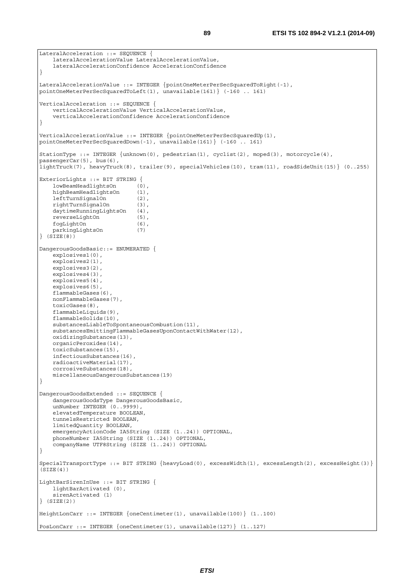```
LateralAcceleration ::= SEQUENCE { 
     lateralAccelerationValue LateralAccelerationValue, 
     lateralAccelerationConfidence AccelerationConfidence 
} 
LateralAccelerationValue ::= INTEGER {pointOneMeterPerSecSquaredToRight(-1),
pointOneMeterPerSecSquaredToLeft(1), unavailable(161)} (-160 .. 161) 
VerticalAcceleration ::= SEQUENCE { 
     verticalAccelerationValue VerticalAccelerationValue, 
     verticalAccelerationConfidence AccelerationConfidence 
} 
VerticalAccelerationValue ::= INTEGER {pointOneMeterPerSecSquaredUp(1), 
pointOneMeterPerSecSquaredDown(-1), unavailable(161)} (-160 .. 161) 
StationType ::= INTEGER {unknown(0), pedestrian(1), cyclist(2), moped(3), motorcycle(4), 
passengerCar(5), bus(6),
lightTruck(7), heavyTruck(8), trailer(9), specialVehicles(10), tram(11), roadSideUnit(15)} (0..255) 
ExteriorLights ::= BIT STRING { 
     lowBeamHeadlightsOn (0), 
    highBeamHeadlightsOn (1),
     leftTurnSignalOn (2), 
     rightTurnSignalOn (3), 
    daytimeRunningLightsOn (4),
     reverseLightOn (5), 
    fogLightOn (6),
     parkingLightsOn (7) 
} (SIZE(8)) 
DangerousGoodsBasic::= ENUMERATED { 
     explosives1(0), 
     explosives2(1), 
     explosives3(2), 
     explosives4(3), 
     explosives5(4), 
     explosives6(5), 
     flammableGases(6), 
     nonFlammableGases(7), 
     toxicGases(8), 
     flammableLiquids(9), 
     flammableSolids(10), 
     substancesLiableToSpontaneousCombustion(11), 
     substancesEmittingFlammableGasesUponContactWithWater(12), 
     oxidizingSubstances(13), 
     organicPeroxides(14), 
     toxicSubstances(15), 
     infectiousSubstances(16), 
     radioactiveMaterial(17), 
     corrosiveSubstances(18), 
     miscellaneousDangerousSubstances(19) 
} 
DangerousGoodsExtended ::= SEQUENCE { 
     dangerousGoodsType DangerousGoodsBasic, 
    unNumber INTEGER (0..9999),
     elevatedTemperature BOOLEAN, 
     tunnelsRestricted BOOLEAN, 
     limitedQuantity BOOLEAN, 
    emergencyActionCode IA5String (SIZE (1..24)) OPTIONAL,
     phoneNumber IA5String (SIZE (1..24)) OPTIONAL, 
     companyName UTF8String (SIZE (1..24)) OPTIONAL 
} 
SpecialTransportType ::= BIT STRING {heavyLoad(0), excessWidth(1), excessLength(2), excessHeight(3)}
(SITZE(4))LightBarSirenInUse ::= BIT STRING { 
     lightBarActivated (0), 
     sirenActivated (1) 
} (SIZE(2)) 
HeightLonCarr ::= INTEGER {oneCentimeter(1), unavailable(100)} (1..100) 
PosLonCarr ::= INTEGER {oneCentimeter(1), unavailable(127)} (1..127)
```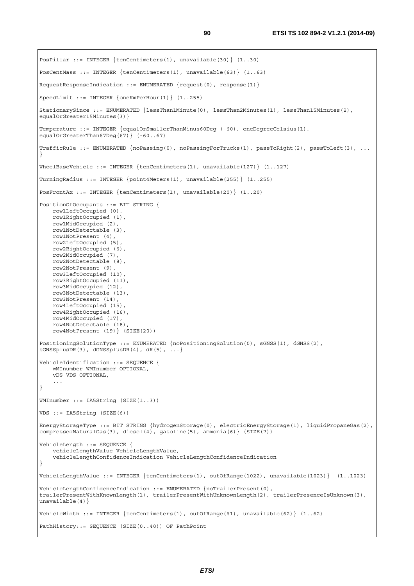```
PosPillar ::= INTEGER {tenCentimeters(1), unavailable(30)} (1..30) 
PosCentMass ::= INTEGER {tenCentimeters(1), unavailable(63)} (1..63)
RequestResponseIndication ::= ENUMERATED {request(0), response(1)} 
SpeedLimit ::= INTEGER {oneKmPerHour(1)} (1..255) 
StationarySince ::= ENUMERATED {lessThan1Minute(0), lessThan2Minutes(1), lessThan15Minutes(2), 
equalOrGreater15Minutes(3)} 
Temperature ::= INTEGER {equalOrSmallerThanMinus60Deg (-60), oneDegreeCelsius(1), 
equalOrGreaterThan67Deg(67)} (-60..67) 
TrafficRule ::= ENUMERATED {noPassing(0), noPassingForTrucks(1), passToRight(2), passToLeft(3), ... 
} 
WheelBaseVehicle ::= INTEGER {tenCentimeters(1), unavailable(127)} (1..127) 
TurningRadius ::= INTEGER {point4Meters(1), unavailable(255)} (1..255) 
PosFrontAx ::= INTEGER {tenCentimeters(1), unavailable(20)} (1..20) 
PositionOfOccupants ::= BIT STRING { 
    row1LeftOccupied (0), 
    row1RightOccupied (1), 
     row1MidOccupied (2), 
     row1NotDetectable (3), 
    row1NotPresent (4), 
    row2LeftOccupied (5), 
    row2RightOccupied (6), 
    row2MidOccupied (7), 
     row2NotDetectable (8), 
    row2NotPresent (9), 
    row3LeftOccupied (10), 
     row3RightOccupied (11), 
     row3MidOccupied (12), 
     row3NotDetectable (13), 
    row3NotPresent (14), 
     row4LeftOccupied (15), 
     row4RightOccupied (16), 
     row4MidOccupied (17), 
     row4NotDetectable (18), 
     row4NotPresent (19)} (SIZE(20)) 
PositioningSolutionType ::= ENUMERATED {noPositioningSolution(0), sGNSS(1), dGNSS(2), 
sGNSSplusDR(3), dGNSSplusDR(4), dR(5), ...}
VehicleIdentification ::= SEQUENCE { 
     wMInumber WMInumber OPTIONAL, 
     vDS VDS OPTIONAL, 
} 
WMInumber ::= IA5String (SIZE(1..3)) 
VDS ::= IA5String (SIZE(6)) 
EnergyStorageType ::= BIT STRING {hydrogenStorage(0), electricEnergyStorage(1), liquidPropaneGas(2), 
compressedNaturalGas(3), diesel(4), gasoline(5), ammonia(6)} (SIZE(7))
VehicleLength ::= SEQUENCE { 
     vehicleLengthValue VehicleLengthValue, 
     vehicleLengthConfidenceIndication VehicleLengthConfidenceIndication 
} 
VehicleLengthValue ::= INTEGER {tenCentimeters(1), outOfRange(1022), unavailable(1023)} (1..1023) 
VehicleLengthConfidenceIndication ::= ENUMERATED {noTrailerPresent(0), 
trailerPresentWithKnownLength(1), trailerPresentWithUnknownLength(2), trailerPresenceIsUnknown(3), 
unavailable(4)}
VehicleWidth ::= INTEGER {tenCentimeters(1), outOfRange(61), unavailable(62)} (1..62) 
PathHistory::= SEQUENCE (SIZE(0..40)) OF PathPoint
```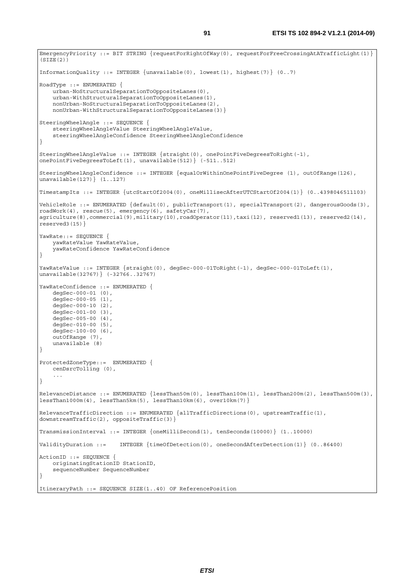EmergencyPriority ::= BIT STRING {requestForRightOfWay(0), requestForFreeCrossingAtATrafficLight(1)}  $(SIZE(2))$ InformationQuality ::= INTEGER {unavailable(0), lowest(1), highest(7)} (0..7) RoadType ::= ENUMERATED { urban-NoStructuralSeparationToOppositeLanes(0), urban-WithStructuralSeparationToOppositeLanes(1) nonUrban-NoStructuralSeparationToOppositeLanes(2), nonUrban-WithStructuralSeparationToOppositeLanes(3)} SteeringWheelAngle ::= SEQUENCE { steeringWheelAngleValue SteeringWheelAngleValue, steeringWheelAngleConfidence SteeringWheelAngleConfidence } SteeringWheelAngleValue ::= INTEGER {straight(0), onePointFiveDegreesToRight(-1), onePointFiveDegreesToLeft(1), unavailable(512)} (-511..512) SteeringWheelAngleConfidence ::= INTEGER {equalOrWithinOnePointFiveDegree (1), outOfRange(126), unavailable(127)} (1..127) TimestampIts ::= INTEGER {utcStartOf2004(0), oneMillisecAfterUTCStartOf2004(1)} (0..4398046511103) VehicleRole ::= ENUMERATED {default(0), publicTransport(1), specialTransport(2), dangerousGoods(3), roadWork(4), rescue(5), emergency(6), safetyCar(7), agriculture(8),commercial(9),military(10),roadOperator(11),taxi(12), reserved1(13), reserved2(14), reserved3(15)} YawRate: := SEQUENCE { yawRateValue YawRateValue, yawRateConfidence YawRateConfidence } YawRateValue ::= INTEGER {straight(0), degSec-000-01ToRight(-1), degSec-000-01ToLeft(1), unavailable(32767)} (-32766..32767) YawRateConfidence ::= ENUMERATED { degSec-000-01 (0),  $degSec-000-05(1)$ , degSec-000-10 (2), degSec-001-00 (3), degSec-005-00 (4),  $degSec-010-00$  (5), degSec-100-00 (6), outOfRange (7), unavailable (8) } ProtectedZoneType::= ENUMERATED { cenDsrcTolling (0), ... } RelevanceDistance ::= ENUMERATED {lessThan50m(0), lessThan100m(1), lessThan200m(2), lessThan500m(3), lessThan1000m(4), lessThan5km(5), lessThan10km(6), over10km(7)} RelevanceTrafficDirection ::= ENUMERATED {allTrafficDirections(0), upstreamTraffic(1), downstreamTraffic(2), oppositeTraffic(3)} TransmissionInterval ::= INTEGER {oneMilliSecond(1), tenSeconds(10000)} (1..10000) ValidityDuration ::= INTEGER {timeOfDetection(0), oneSecondAfterDetection(1)} (0..86400) ActionID ::= SEQUENCE { originatingStationID StationID, sequenceNumber SequenceNumber } ItineraryPath ::= SEQUENCE SIZE(1..40) OF ReferencePosition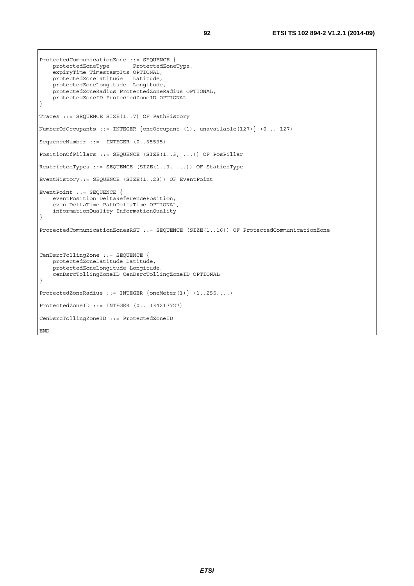```
ProtectedCommunicationZone ::= SEQUENCE { 
    protectedZoneType ProtectedZoneType, 
    expiryTime TimestampIts OPTIONAL, 
 protectedZoneLatitude Latitude, 
 protectedZoneLongitude Longitude, 
    protectedZoneRadius ProtectedZoneRadius OPTIONAL, 
    protectedZoneID ProtectedZoneID OPTIONAL 
} 
Traces ::= SEQUENCE SIZE(1..7) OF PathHistory 
NumberOfOccupants ::= INTEGER {oneOccupant (1), unavailable(127)} (0 .. 127) 
SequenceNumber ::= INTEGER (0..65535) 
PositionOfPillars ::= SEQUENCE (SIZE(1..3, ...)) OF PosPillar 
RestrictedTypes ::= SEQUENCE (SIZE(1..3, ...)) OF StationType 
EventHistory::= SEQUENCE (SIZE(1..23)) OF EventPoint 
EventPoint ::= SEQUENCE { 
     eventPosition DeltaReferencePosition, 
     eventDeltaTime PathDeltaTime OPTIONAL, 
     informationQuality InformationQuality 
} 
ProtectedCommunicationZonesRSU ::= SEQUENCE (SIZE(1..16)) OF ProtectedCommunicationZone 
CenDsrcTollingZone ::= SEQUENCE { 
    protectedZoneLatitude Latitude, 
    protectedZoneLongitude Longitude, 
     cenDsrcTollingZoneID CenDsrcTollingZoneID OPTIONAL 
} 
ProtectedZoneRadius ::= INTEGER {oneMeter(1)} (1..255,...) 
ProtectedZoneID ::= INTEGER (0.. 134217727) 
CenDsrcTollingZoneID ::= ProtectedZoneID 
END
```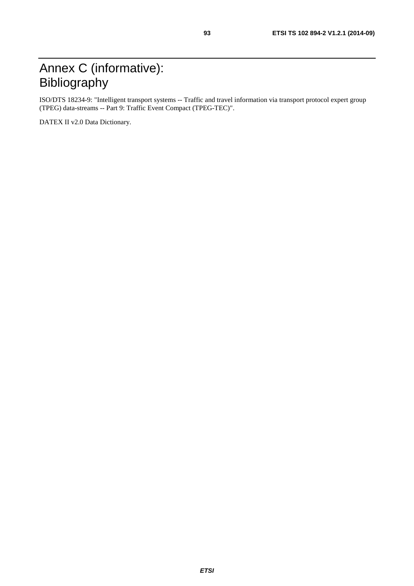#### Annex C (informative): Bibliography

ISO/DTS 18234-9: "Intelligent transport systems -- Traffic and travel information via transport protocol expert group (TPEG) data-streams -- Part 9: Traffic Event Compact (TPEG-TEC)".

DATEX II v2.0 Data Dictionary.